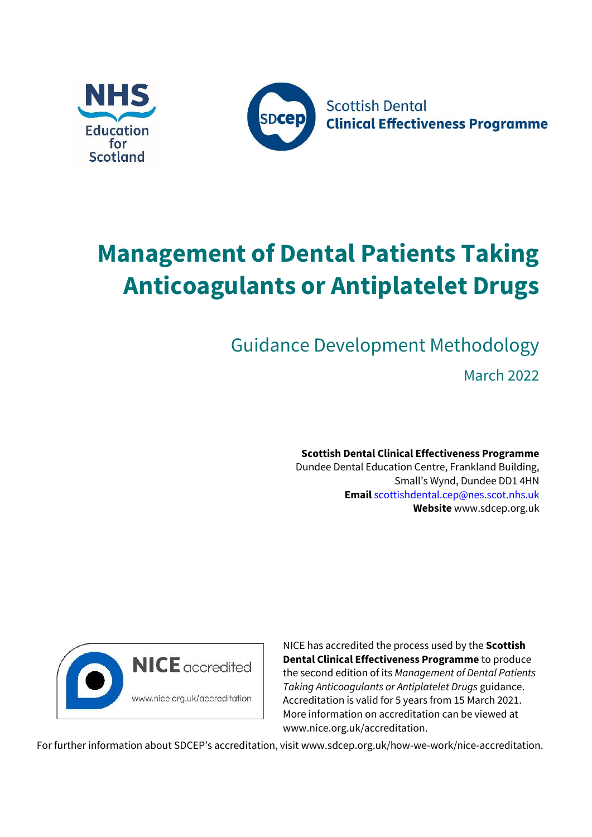



# **Management of Dental Patients Taking Anticoagulants or Antiplatelet Drugs**

Guidance Development Methodology

March 2022

**Scottish Dental Clinical Effectiveness Programme** Dundee Dental Education Centre, Frankland Building, Small's Wynd, Dundee DD1 4HN **Email** scottishdental.cep@nes.scot.nhs.uk **Website** [www.sdcep.org.uk](http://www.sdcep.org.uk/)



NICE has accredited the process used by the **Scottish Dental Clinical Effectiveness Programme** to produce the second edition of its *Management of Dental Patients Taking Anticoagulants or Antiplatelet Drugs* guidance. Accreditation is valid for 5 years from 15 March 2021. More information on accreditation can be viewed at [www.nice.org.uk/accreditation.](http://www.nice.org.uk/accreditation)

For further information about SDCEP's accreditation, visit [www.sdcep.org.uk/how-we-work/nice-accreditation.](http://www.sdcep.org.uk/how-we-work/nice-accreditation)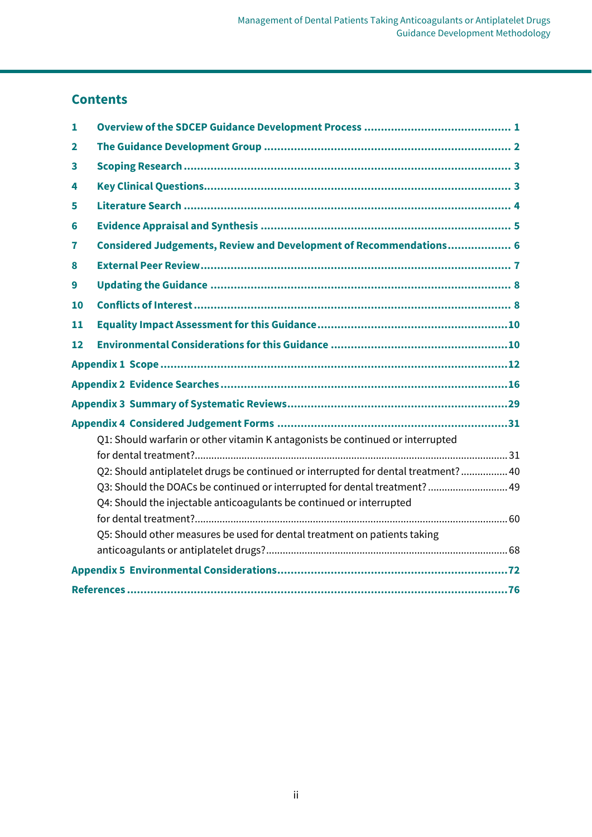# **Contents**

| 1  |                                                                                    |  |  |  |
|----|------------------------------------------------------------------------------------|--|--|--|
| 2  |                                                                                    |  |  |  |
| 3  |                                                                                    |  |  |  |
| 4  |                                                                                    |  |  |  |
| 5  |                                                                                    |  |  |  |
| 6  |                                                                                    |  |  |  |
| 7  | Considered Judgements, Review and Development of Recommendations 6                 |  |  |  |
| 8  |                                                                                    |  |  |  |
| 9  |                                                                                    |  |  |  |
| 10 |                                                                                    |  |  |  |
| 11 |                                                                                    |  |  |  |
| 12 |                                                                                    |  |  |  |
|    |                                                                                    |  |  |  |
|    |                                                                                    |  |  |  |
|    |                                                                                    |  |  |  |
|    |                                                                                    |  |  |  |
|    | Q1: Should warfarin or other vitamin K antagonists be continued or interrupted     |  |  |  |
|    |                                                                                    |  |  |  |
|    | Q2: Should antiplatelet drugs be continued or interrupted for dental treatment? 40 |  |  |  |
|    | Q3: Should the DOACs be continued or interrupted for dental treatment?  49         |  |  |  |
|    | Q4: Should the injectable anticoagulants be continued or interrupted               |  |  |  |
|    |                                                                                    |  |  |  |
|    | Q5: Should other measures be used for dental treatment on patients taking          |  |  |  |
|    |                                                                                    |  |  |  |
|    |                                                                                    |  |  |  |
|    |                                                                                    |  |  |  |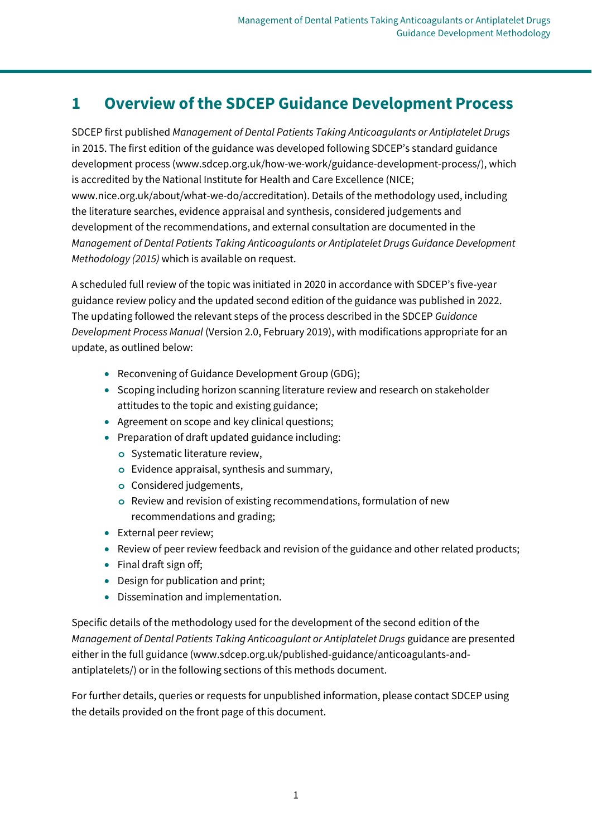# <span id="page-2-0"></span>**1 Overview of the SDCEP Guidance Development Process**

SDCEP first published *Management of Dental Patients Taking Anticoagulants or Antiplatelet Drugs* in 2015. The first edition of the guidance was developed following SDCEP's standard guidance development process (www.sdcep.org.uk/how-we-work/guidance-development-process/), which is accredited by the National Institute for Health and Care Excellence (NICE; www.nice.org.uk/about/what-we-do/accreditation). Details of the methodology used, including the literature searches, evidence appraisal and synthesis, considered judgements and development of the recommendations, and external consultation are documented in the *Management of Dental Patients Taking Anticoagulants or Antiplatelet Drugs Guidance Development Methodology (2015)* which is available on request.

A scheduled full review of the topic was initiated in 2020 in accordance with SDCEP's five-year guidance review policy and the updated second edition of the guidance was published in 2022. The updating followed the relevant steps of the process described in the SDCEP *Guidance Development Process Manual* (Version 2.0, February 2019), with modifications appropriate for an update, as outlined below:

- Reconvening of Guidance Development Group (GDG);
- Scoping including horizon scanning literature review and research on stakeholder attitudes to the topic and existing guidance;
- Agreement on scope and key clinical questions;
- Preparation of draft updated guidance including:
	- **o** Systematic literature review,
	- **o** Evidence appraisal, synthesis and summary,
	- **o** Considered judgements,
	- **o** Review and revision of existing recommendations, formulation of new recommendations and grading;
- External peer review;
- Review of peer review feedback and revision of the guidance and other related products;
- Final draft sign off;
- Design for publication and print;
- Dissemination and implementation.

Specific details of the methodology used for the development of the second edition of the *Management of Dental Patients Taking Anticoagulant or Antiplatelet Drugs* guidance are presented either in the full guidance (www.sdcep.org.uk/published-guidance/anticoagulants-andantiplatelets/) or in the following sections of this methods document.

For further details, queries or requests for unpublished information, please contact SDCEP using the details provided on the front page of this document.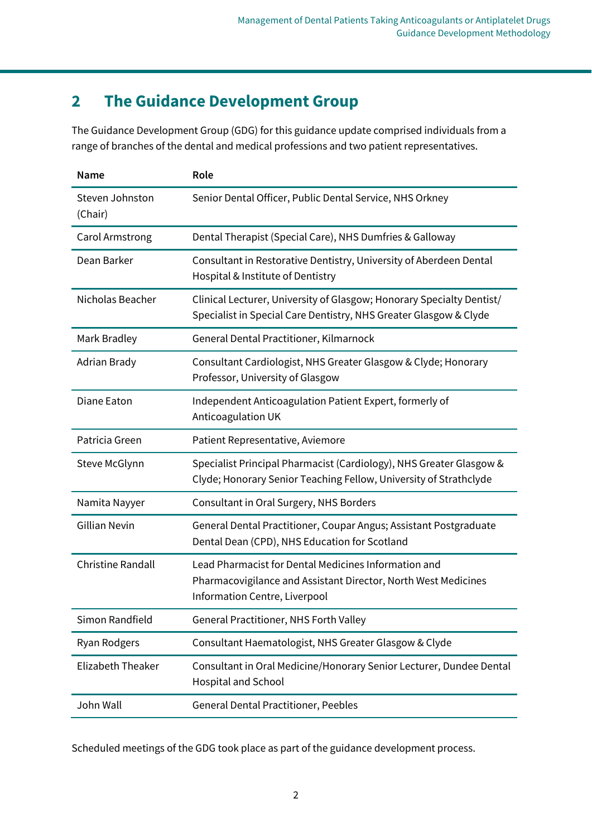# <span id="page-3-0"></span>**2 The Guidance Development Group**

The Guidance Development Group (GDG) for this guidance update comprised individuals from a range of branches of the dental and medical professions and two patient representatives.

| Name                       | Role                                                                                                                                                    |
|----------------------------|---------------------------------------------------------------------------------------------------------------------------------------------------------|
| Steven Johnston<br>(Chair) | Senior Dental Officer, Public Dental Service, NHS Orkney                                                                                                |
| Carol Armstrong            | Dental Therapist (Special Care), NHS Dumfries & Galloway                                                                                                |
| Dean Barker                | Consultant in Restorative Dentistry, University of Aberdeen Dental<br>Hospital & Institute of Dentistry                                                 |
| Nicholas Beacher           | Clinical Lecturer, University of Glasgow; Honorary Specialty Dentist/<br>Specialist in Special Care Dentistry, NHS Greater Glasgow & Clyde              |
| Mark Bradley               | General Dental Practitioner, Kilmarnock                                                                                                                 |
| Adrian Brady               | Consultant Cardiologist, NHS Greater Glasgow & Clyde; Honorary<br>Professor, University of Glasgow                                                      |
| Diane Eaton                | Independent Anticoagulation Patient Expert, formerly of<br>Anticoagulation UK                                                                           |
| Patricia Green             | Patient Representative, Aviemore                                                                                                                        |
| Steve McGlynn              | Specialist Principal Pharmacist (Cardiology), NHS Greater Glasgow &<br>Clyde; Honorary Senior Teaching Fellow, University of Strathclyde                |
| Namita Nayyer              | Consultant in Oral Surgery, NHS Borders                                                                                                                 |
| <b>Gillian Nevin</b>       | General Dental Practitioner, Coupar Angus; Assistant Postgraduate<br>Dental Dean (CPD), NHS Education for Scotland                                      |
| <b>Christine Randall</b>   | Lead Pharmacist for Dental Medicines Information and<br>Pharmacovigilance and Assistant Director, North West Medicines<br>Information Centre, Liverpool |
| Simon Randfield            | General Practitioner, NHS Forth Valley                                                                                                                  |
| Ryan Rodgers               | Consultant Haematologist, NHS Greater Glasgow & Clyde                                                                                                   |
| <b>Elizabeth Theaker</b>   | Consultant in Oral Medicine/Honorary Senior Lecturer, Dundee Dental<br>Hospital and School                                                              |
| John Wall                  | <b>General Dental Practitioner, Peebles</b>                                                                                                             |

Scheduled meetings of the GDG took place as part of the guidance development process.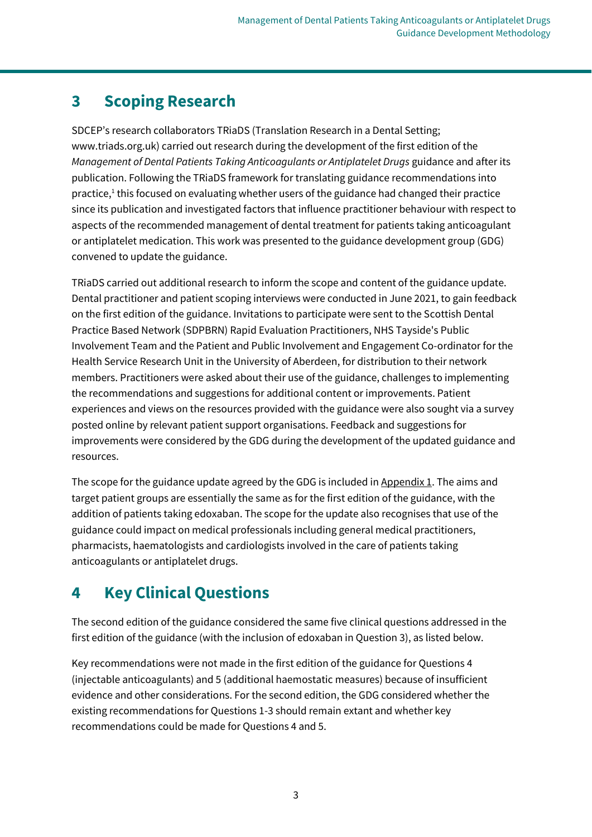# <span id="page-4-0"></span>**3 Scoping Research**

SDCEP's research collaborators TRiaDS (Translation Research in a Dental Setting; www.triads.org.uk) carried out research during the development of the first edition of the *Management of Dental Patients Taking Anticoagulants or Antiplatelet Drugs* guidance and after its publication. Following the TRiaDS framework for translating guidance recommendations into practice,<sup>1</sup> this focused on evaluating whether users of the guidance had changed their practice since its publication and investigated factors that influence practitioner behaviour with respect to aspects of the recommended management of dental treatment for patients taking anticoagulant or antiplatelet medication. This work was presented to the guidance development group (GDG) convened to update the guidance.

<span id="page-4-2"></span>TRiaDS carried out additional research to inform the scope and content of the guidance update. Dental practitioner and patient scoping interviews were conducted in June 2021, to gain feedback on the first edition of the guidance. Invitations to participate were sent to the Scottish Dental Practice Based Network (SDPBRN) Rapid Evaluation Practitioners, NHS Tayside's Public Involvement Team and the Patient and Public Involvement and Engagement Co-ordinator for the Health Service Research Unit in the University of Aberdeen, for distribution to their network members. Practitioners were asked about their use of the guidance, challenges to implementing the recommendations and suggestions for additional content or improvements. Patient experiences and views on the resources provided with the guidance were also sought via a survey posted online by relevant patient support organisations. Feedback and suggestions for improvements were considered by the GDG during the development of the updated guidance and resources.

The scope for the guidance update agreed by the GDG is included i[n Appendix 1.](#page-13-0) The aims and target patient groups are essentially the same as for the first edition of the guidance, with the addition of patients taking edoxaban. The scope for the update also recognises that use of the guidance could impact on medical professionals including general medical practitioners, pharmacists, haematologists and cardiologists involved in the care of patients taking anticoagulants or antiplatelet drugs.

# <span id="page-4-1"></span>**4 Key Clinical Questions**

The second edition of the guidance considered the same five clinical questions addressed in the first edition of the guidance (with the inclusion of edoxaban in Question 3), as listed below.

Key recommendations were not made in the first edition of the guidance for Questions 4 (injectable anticoagulants) and 5 (additional haemostatic measures) because of insufficient evidence and other considerations. For the second edition, the GDG considered whether the existing recommendations for Questions 1-3 should remain extant and whether key recommendations could be made for Questions 4 and 5.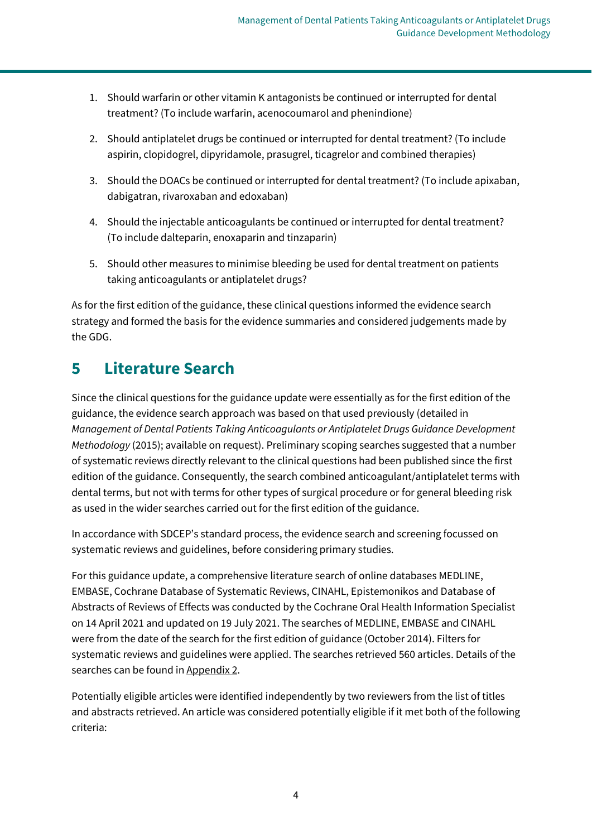- <span id="page-5-1"></span>1. Should warfarin or other vitamin K antagonists be continued or interrupted for dental treatment? (To include warfarin, acenocoumarol and phenindione)
- 2. Should antiplatelet drugs be continued or interrupted for dental treatment? (To include aspirin, clopidogrel, dipyridamole, prasugrel, ticagrelor and combined therapies)
- 3. Should the DOACs be continued or interrupted for dental treatment? (To include apixaban, dabigatran, rivaroxaban and edoxaban)
- 4. Should the injectable anticoagulants be continued or interrupted for dental treatment? (To include dalteparin, enoxaparin and tinzaparin)
- 5. Should other measures to minimise bleeding be used for dental treatment on patients taking anticoagulants or antiplatelet drugs?

As for the first edition of the guidance, these clinical questions informed the evidence search strategy and formed the basis for the evidence summaries and considered judgements made by the GDG.

# <span id="page-5-0"></span>**5 Literature Search**

Since the clinical questions for the guidance update were essentially as for the first edition of the guidance, the evidence search approach was based on that used previously (detailed in *Management of Dental Patients Taking Anticoagulants or Antiplatelet Drugs Guidance Development Methodology* (2015); available on request). Preliminary scoping searches suggested that a number of systematic reviews directly relevant to the clinical questions had been published since the first edition of the guidance. Consequently, the search combined anticoagulant/antiplatelet terms with dental terms, but not with terms for other types of surgical procedure or for general bleeding risk as used in the wider searches carried out for the first edition of the guidance.

In accordance with SDCEP's standard process, the evidence search and screening focussed on systematic reviews and guidelines, before considering primary studies.

For this guidance update, a comprehensive literature search of online databases MEDLINE, EMBASE, Cochrane Database of Systematic Reviews, CINAHL, Epistemonikos and Database of Abstracts of Reviews of Effects was conducted by the Cochrane Oral Health Information Specialist on 14 April 2021 and updated on 19 July 2021. The searches of MEDLINE, EMBASE and CINAHL were from the date of the search for the first edition of guidance (October 2014). Filters for systematic reviews and guidelines were applied. The searches retrieved 560 articles. Details of the searches can be found i[n Appendix 2.](#page-17-0)

Potentially eligible articles were identified independently by two reviewers from the list of titles and abstracts retrieved. An article was considered potentially eligible if it met both of the following criteria: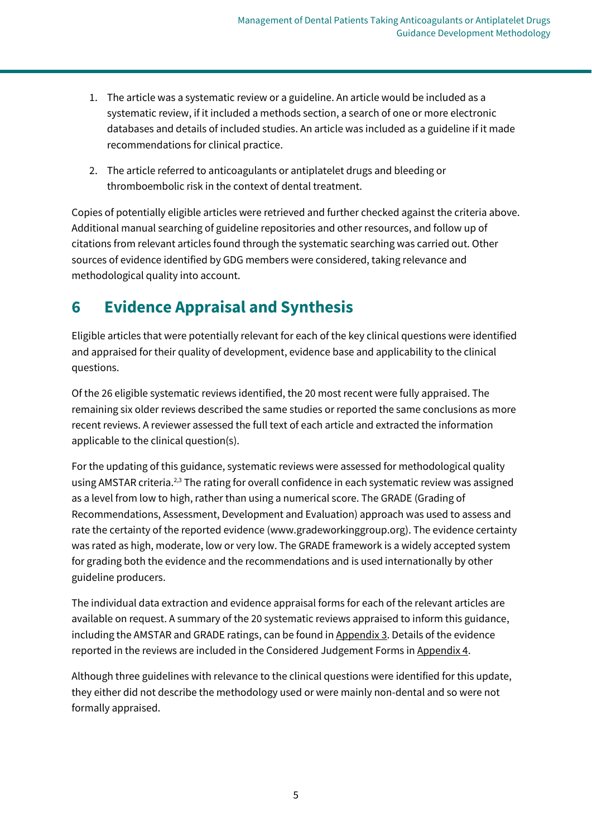- 1. The article was a systematic review or a guideline. An article would be included as a systematic review, if it included a methods section, a search of one or more electronic databases and details of included studies. An article was included as a guideline if it made recommendations for clinical practice.
- 2. The article referred to anticoagulants or antiplatelet drugs and bleeding or thromboembolic risk in the context of dental treatment.

Copies of potentially eligible articles were retrieved and further checked against the criteria above. Additional manual searching of guideline repositories and other resources, and follow up of citations from relevant articles found through the systematic searching was carried out. Other sources of evidence identified by GDG members were considered, taking relevance and methodological quality into account.

# <span id="page-6-0"></span>**6 Evidence Appraisal and Synthesis**

Eligible articles that were potentially relevant for each of the key clinical questions were identified and appraised for their quality of development, evidence base and applicability to the clinical questions.

Of the 26 eligible systematic reviews identified, the 20 most recent were fully appraised. The remaining six older reviews described the same studies or reported the same conclusions as more recent reviews. A reviewer assessed the full text of each article and extracted the information applicable to the clinical question(s).

For the updating of this guidance, systematic reviews were assessed for methodological quality using AMSTAR criteria.<sup>2,3</sup> The rating for overall confidence in each systematic review was assigned as a level from low to high, rather than using a numerical score. The GRADE (Grading of Recommendations, Assessment, Development and Evaluation) approach was used to assess and rate the certainty of the reported evidence (www.gradeworkinggroup.org). The evidence certainty was rated as high, moderate, low or very low. The GRADE framework is a widely accepted system for grading both the evidence and the recommendations and is used internationally by other guideline producers.

The individual data extraction and evidence appraisal forms for each of the relevant articles are available on request. A summary of the 20 systematic reviews appraised to inform this guidance, including the AMSTAR and GRADE ratings, can be found in [Appendix 3.](#page-30-0) Details of the evidence reported in the reviews are included in the Considered Judgement Forms i[n Appendix 4.](#page-32-0)

Although three guidelines with relevance to the clinical questions were identified for this update, they either did not describe the methodology used or were mainly non-dental and so were not formally appraised.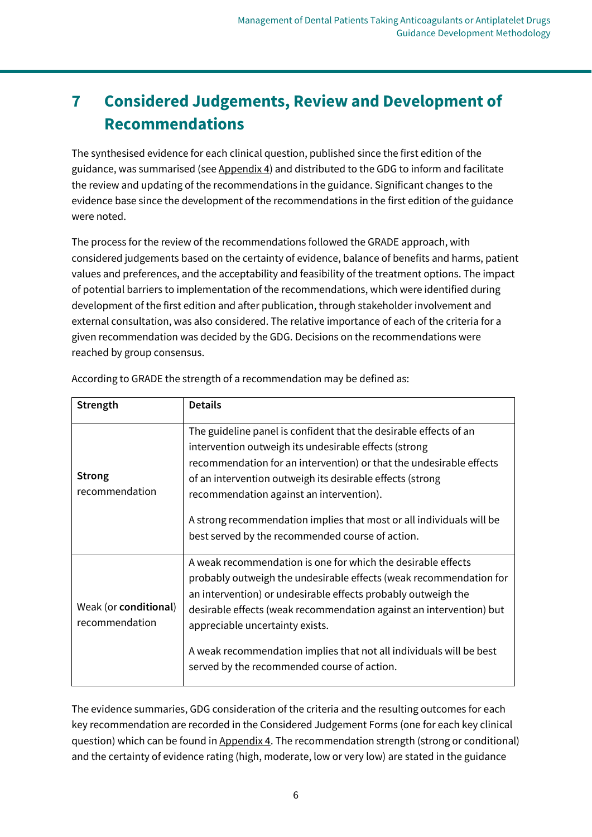# <span id="page-7-0"></span>**7 Considered Judgements, Review and Development of Recommendations**

The synthesised evidence for each clinical question, published since the first edition of the guidance, was summarised (see [Appendix 4\)](#page-32-0) and distributed to the GDG to inform and facilitate the review and updating of the recommendations in the guidance. Significant changes to the evidence base since the development of the recommendations in the first edition of the guidance were noted.

The process for the review of the recommendations followed the GRADE approach, with considered judgements based on the certainty of evidence, balance of benefits and harms, patient values and preferences, and the acceptability and feasibility of the treatment options. The impact of potential barriers to implementation of the recommendations, which were identified during development of the first edition and after publication, through stakeholder involvement and external consultation, was also considered. The relative importance of each of the criteria for a given recommendation was decided by the GDG. Decisions on the recommendations were reached by group consensus.

| Strength                                | <b>Details</b>                                                                                                                                                                                                                                                                                                                                                                                                                         |
|-----------------------------------------|----------------------------------------------------------------------------------------------------------------------------------------------------------------------------------------------------------------------------------------------------------------------------------------------------------------------------------------------------------------------------------------------------------------------------------------|
| <b>Strong</b><br>recommendation         | The guideline panel is confident that the desirable effects of an<br>intervention outweigh its undesirable effects (strong<br>recommendation for an intervention) or that the undesirable effects<br>of an intervention outweigh its desirable effects (strong<br>recommendation against an intervention).<br>A strong recommendation implies that most or all individuals will be<br>best served by the recommended course of action. |
| Weak (or conditional)<br>recommendation | A weak recommendation is one for which the desirable effects<br>probably outweigh the undesirable effects (weak recommendation for<br>an intervention) or undesirable effects probably outweigh the<br>desirable effects (weak recommendation against an intervention) but<br>appreciable uncertainty exists.<br>A weak recommendation implies that not all individuals will be best<br>served by the recommended course of action.    |

According to GRADE the strength of a recommendation may be defined as:

The evidence summaries, GDG consideration of the criteria and the resulting outcomes for each key recommendation are recorded in the Considered Judgement Forms (one for each key clinical question) which can be found in [Appendix 4.](#page-32-0) The recommendation strength (strong or conditional) and the certainty of evidence rating (high, moderate, low or very low) are stated in the guidance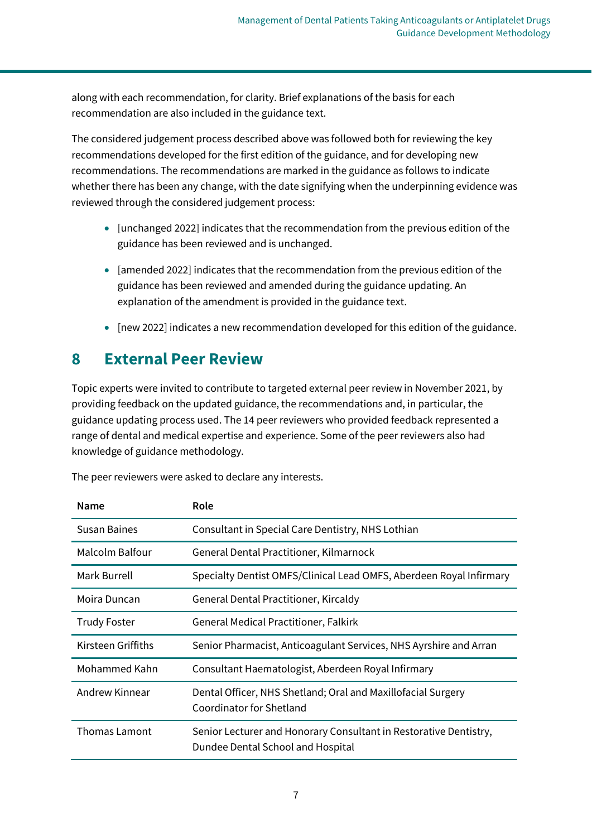along with each recommendation, for clarity. Brief explanations of the basis for each recommendation are also included in the guidance text.

The considered judgement process described above was followed both for reviewing the key recommendations developed for the first edition of the guidance, and for developing new recommendations. The recommendations are marked in the guidance as follows to indicate whether there has been any change, with the date signifying when the underpinning evidence was reviewed through the considered judgement process:

- [unchanged 2022] indicates that the recommendation from the previous edition of the guidance has been reviewed and is unchanged.
- [amended 2022] indicates that the recommendation from the previous edition of the guidance has been reviewed and amended during the guidance updating. An explanation of the amendment is provided in the guidance text.
- [new 2022] indicates a new recommendation developed for this edition of the guidance.

# <span id="page-8-0"></span>**8 External Peer Review**

Topic experts were invited to contribute to targeted external peer review in November 2021, by providing feedback on the updated guidance, the recommendations and, in particular, the guidance updating process used. The 14 peer reviewers who provided feedback represented a range of dental and medical expertise and experience. Some of the peer reviewers also had knowledge of guidance methodology.

| Name                 | Role                                                                                                   |
|----------------------|--------------------------------------------------------------------------------------------------------|
| <b>Susan Baines</b>  | Consultant in Special Care Dentistry, NHS Lothian                                                      |
| Malcolm Balfour      | General Dental Practitioner, Kilmarnock                                                                |
| Mark Burrell         | Specialty Dentist OMFS/Clinical Lead OMFS, Aberdeen Royal Infirmary                                    |
| Moira Duncan         | General Dental Practitioner, Kircaldy                                                                  |
| <b>Trudy Foster</b>  | <b>General Medical Practitioner, Falkirk</b>                                                           |
| Kirsteen Griffiths   | Senior Pharmacist, Anticoagulant Services, NHS Ayrshire and Arran                                      |
| Mohammed Kahn        | Consultant Haematologist, Aberdeen Royal Infirmary                                                     |
| Andrew Kinnear       | Dental Officer, NHS Shetland; Oral and Maxillofacial Surgery<br>Coordinator for Shetland               |
| <b>Thomas Lamont</b> | Senior Lecturer and Honorary Consultant in Restorative Dentistry,<br>Dundee Dental School and Hospital |

The peer reviewers were asked to declare any interests.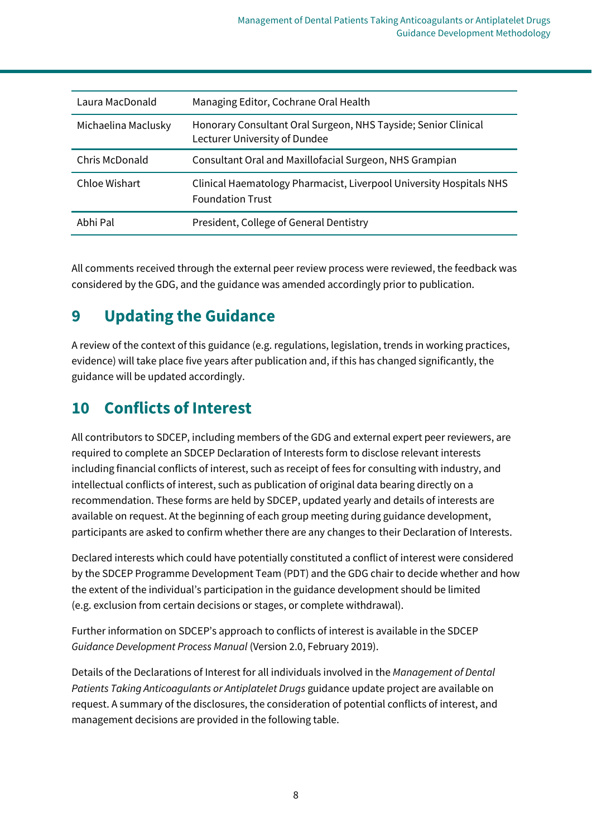| Laura MacDonald     | Managing Editor, Cochrane Oral Health                                                           |
|---------------------|-------------------------------------------------------------------------------------------------|
| Michaelina Maclusky | Honorary Consultant Oral Surgeon, NHS Tayside; Senior Clinical<br>Lecturer University of Dundee |
| Chris McDonald      | Consultant Oral and Maxillofacial Surgeon, NHS Grampian                                         |
| Chloe Wishart       | Clinical Haematology Pharmacist, Liverpool University Hospitals NHS<br><b>Foundation Trust</b>  |
| Abhi Pal            | President, College of General Dentistry                                                         |

All comments received through the external peer review process were reviewed, the feedback was considered by the GDG, and the guidance was amended accordingly prior to publication.

# <span id="page-9-0"></span>**9 Updating the Guidance**

A review of the context of this guidance (e.g. regulations, legislation, trends in working practices, evidence) will take place five years after publication and, if this has changed significantly, the guidance will be updated accordingly.

# <span id="page-9-1"></span>**10 Conflicts of Interest**

All contributors to SDCEP, including members of the GDG and external expert peer reviewers, are required to complete an SDCEP Declaration of Interests form to disclose relevant interests including financial conflicts of interest, such as receipt of fees for consulting with industry, and intellectual conflicts of interest, such as publication of original data bearing directly on a recommendation. These forms are held by SDCEP, updated yearly and details of interests are available on request. At the beginning of each group meeting during guidance development, participants are asked to confirm whether there are any changes to their Declaration of Interests.

Declared interests which could have potentially constituted a conflict of interest were considered by the SDCEP Programme Development Team (PDT) and the GDG chair to decide whether and how the extent of the individual's participation in the guidance development should be limited (e.g. exclusion from certain decisions or stages, or complete withdrawal).

Further information on SDCEP's approach to conflicts of interest is available in the SDCEP *Guidance Development Process Manual* (Version 2.0, February 2019).

Details of the Declarations of Interest for all individuals involved in the *Management of Dental Patients Taking Anticoagulants or Antiplatelet Drugs* guidance update project are available on request. A summary of the disclosures, the consideration of potential conflicts of interest, and management decisions are provided in the following table.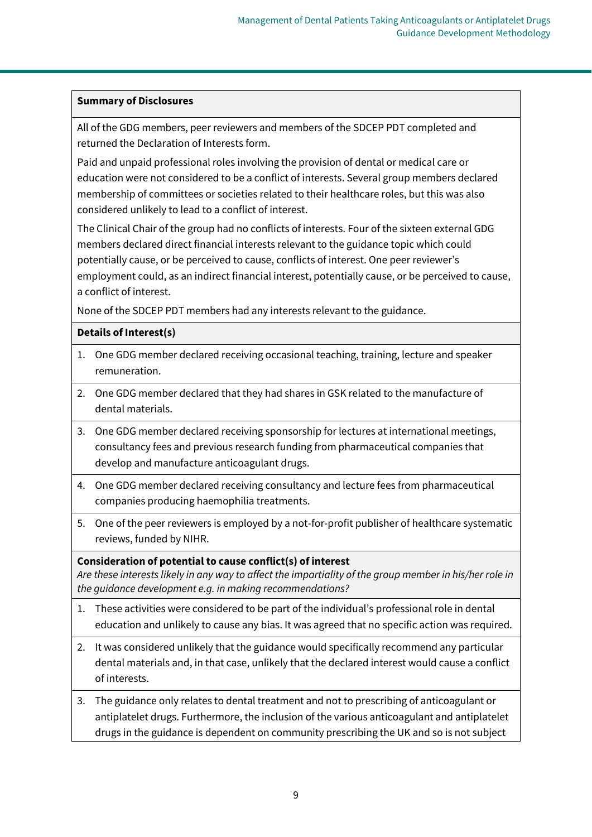### **Summary of Disclosures**

All of the GDG members, peer reviewers and members of the SDCEP PDT completed and returned the Declaration of Interests form.

Paid and unpaid professional roles involving the provision of dental or medical care or education were not considered to be a conflict of interests. Several group members declared membership of committees or societies related to their healthcare roles, but this was also considered unlikely to lead to a conflict of interest.

The Clinical Chair of the group had no conflicts of interests. Four of the sixteen external GDG members declared direct financial interests relevant to the guidance topic which could potentially cause, or be perceived to cause, conflicts of interest. One peer reviewer's employment could, as an indirect financial interest, potentially cause, or be perceived to cause, a conflict of interest.

None of the SDCEP PDT members had any interests relevant to the guidance.

### **Details of Interest(s)**

- 1. One GDG member declared receiving occasional teaching, training, lecture and speaker remuneration.
- 2. One GDG member declared that they had shares in GSK related to the manufacture of dental materials.
- 3. One GDG member declared receiving sponsorship for lectures at international meetings, consultancy fees and previous research funding from pharmaceutical companies that develop and manufacture anticoagulant drugs.
- 4. One GDG member declared receiving consultancy and lecture fees from pharmaceutical companies producing haemophilia treatments.
- 5. One of the peer reviewers is employed by a not-for-profit publisher of healthcare systematic reviews, funded by NIHR.

### **Consideration of potential to cause conflict(s) of interest**

*Are these interests likely in any way to affect the impartiality of the group member in his/her role in the guidance development e.g. in making recommendations?*

- 1. These activities were considered to be part of the individual's professional role in dental education and unlikely to cause any bias. It was agreed that no specific action was required.
- 2. It was considered unlikely that the guidance would specifically recommend any particular dental materials and, in that case, unlikely that the declared interest would cause a conflict of interests.
- 3. The guidance only relates to dental treatment and not to prescribing of anticoagulant or antiplatelet drugs. Furthermore, the inclusion of the various anticoagulant and antiplatelet drugs in the guidance is dependent on community prescribing the UK and so is not subject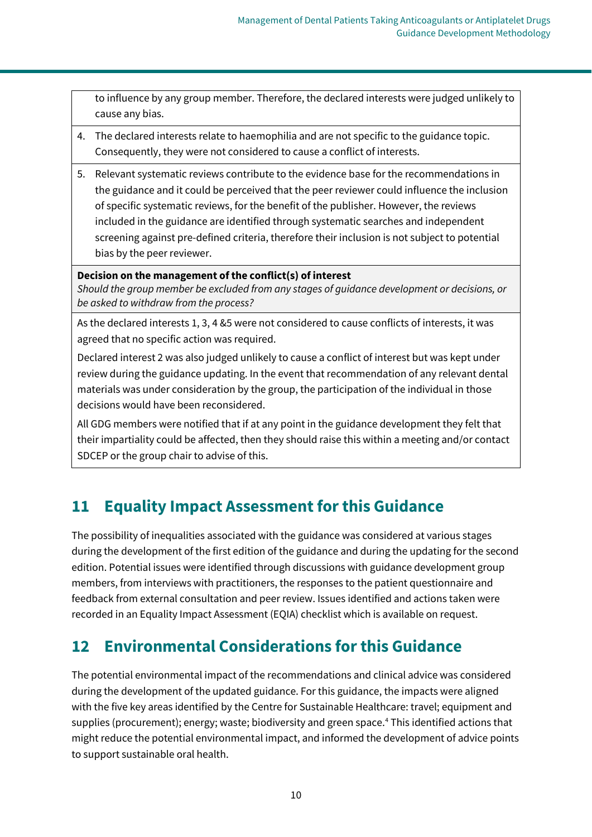to influence by any group member. Therefore, the declared interests were judged unlikely to cause any bias.

- 4. The declared interests relate to haemophilia and are not specific to the guidance topic. Consequently, they were not considered to cause a conflict of interests.
- 5. Relevant systematic reviews contribute to the evidence base for the recommendations in the guidance and it could be perceived that the peer reviewer could influence the inclusion of specific systematic reviews, for the benefit of the publisher. However, the reviews included in the guidance are identified through systematic searches and independent screening against pre-defined criteria, therefore their inclusion is not subject to potential bias by the peer reviewer.

#### **Decision on the management of the conflict(s) of interest**

*Should the group member be excluded from any stages of guidance development or decisions, or be asked to withdraw from the process?*

As the declared interests 1, 3, 4 &5 were not considered to cause conflicts of interests, it was agreed that no specific action was required.

Declared interest 2 was also judged unlikely to cause a conflict of interest but was kept under review during the guidance updating. In the event that recommendation of any relevant dental materials was under consideration by the group, the participation of the individual in those decisions would have been reconsidered.

All GDG members were notified that if at any point in the guidance development they felt that their impartiality could be affected, then they should raise this within a meeting and/or contact SDCEP or the group chair to advise of this.

# <span id="page-11-0"></span>**11 Equality Impact Assessment for this Guidance**

The possibility of inequalities associated with the guidance was considered at various stages during the development of the first edition of the guidance and during the updating for the second edition. Potential issues were identified through discussions with guidance development group members, from interviews with practitioners, the responses to the patient questionnaire and feedback from external consultation and peer review. Issues identified and actions taken were recorded in an Equality Impact Assessment (EQIA) checklist which is available on request.

# <span id="page-11-1"></span>**12 Environmental Considerations for this Guidance**

The potential environmental impact of the recommendations and clinical advice was considered during the development of the updated guidance. For this guidance, the impacts were aligned with the five key areas identified by the Centre for Sustainable Healthcare: travel; equipment and supplies (procurement); energy; waste; biodiversity and green space.<sup>4</sup> This identified actions that might reduce the potential environmental impact, and informed the development of advice points to support sustainable oral health.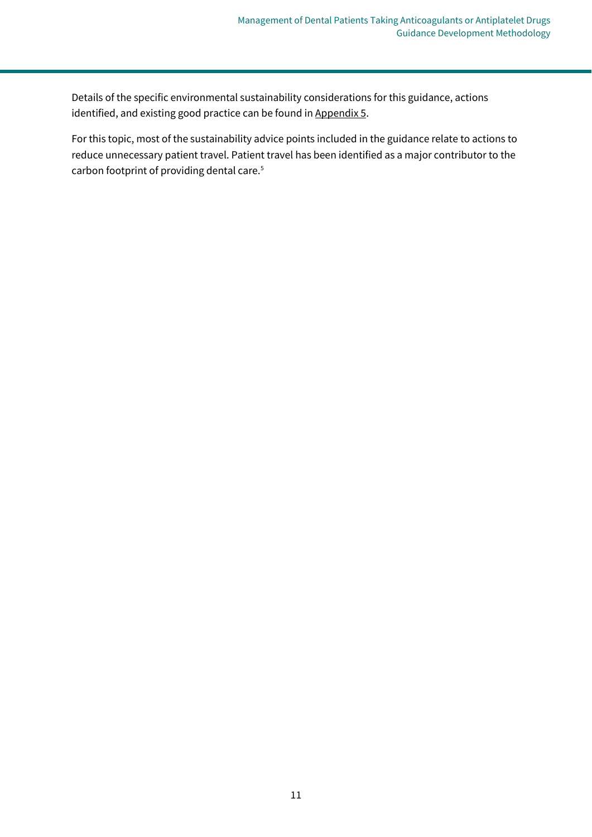Details of the specific environmental sustainability considerations for this guidance, actions identified, and existing good practice can be found in [Appendix 5.](#page-73-0)

For this topic, most of the sustainability advice points included in the guidance relate to actions to reduce unnecessary patient travel. Patient travel has been identified as a major contributor to the carbon footprint of providing dental care.<sup>5</sup>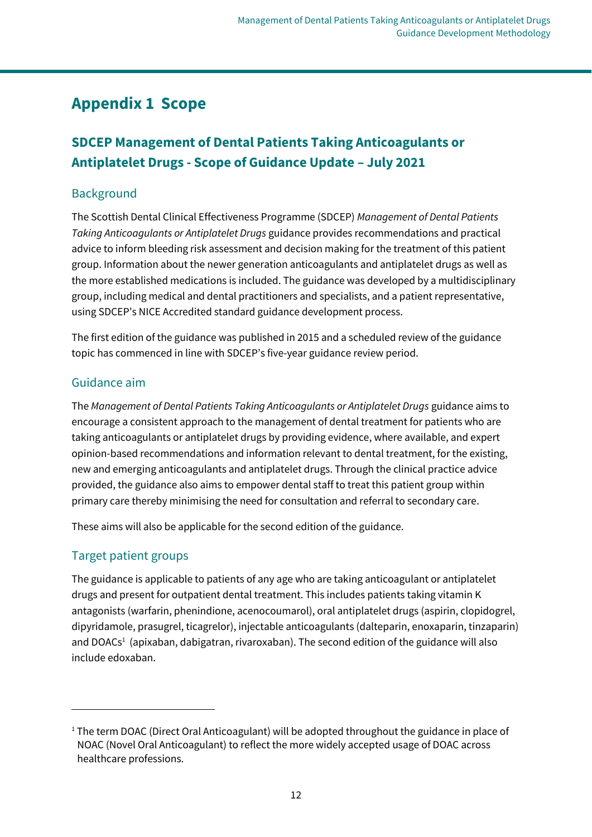# <span id="page-13-0"></span>**Appendix 1 Scope**

# **SDCEP Management of Dental Patients Taking Anticoagulants or Antiplatelet Drugs - Scope of Guidance Update – July 2021**

## **Background**

The Scottish Dental Clinical Effectiveness Programme (SDCEP) *Management of Dental Patients Taking Anticoagulants or Antiplatelet Drugs* guidance provides recommendations and practical advice to inform bleeding risk assessment and decision making for the treatment of this patient group. Information about the newer generation anticoagulants and antiplatelet drugs as well as the more established medications is included. The guidance was developed by a multidisciplinary group, including medical and dental practitioners and specialists, and a patient representative, using SDCEP's NICE Accredited standard guidance development process.

The first edition of the guidance was published in 2015 and a scheduled review of the guidance topic has commenced in line with SDCEP's five-year guidance review period.

## Guidance aim

The *Management of Dental Patients Taking Anticoagulants or Antiplatelet Drugs* guidance aims to encourage a consistent approach to the management of dental treatment for patients who are taking anticoagulants or antiplatelet drugs by providing evidence, where available, and expert opinion-based recommendations and information relevant to dental treatment, for the existing, new and emerging anticoagulants and antiplatelet drugs. Through the clinical practice advice provided, the guidance also aims to empower dental staff to treat this patient group within primary care thereby minimising the need for consultation and referral to secondary care.

These aims will also be applicable for the second edition of the guidance.

## Target patient groups

The guidance is applicable to patients of any age who are taking anticoagulant or antiplatelet drugs and present for outpatient dental treatment. This includes patients taking vitamin K antagonists (warfarin, phenindione, acenocoumarol), oral antiplatelet drugs (aspirin, clopidogrel, dipyridamole, prasugrel, ticagrelor), injectable anticoagulants (dalteparin, enoxaparin, tinzaparin) and DOACs<sup>1</sup> (apixaban, dabigatran, rivaroxaban). The second edition of the guidance will also include edoxaban.

<sup>&</sup>lt;sup>1</sup> The term DOAC (Direct Oral Anticoagulant) will be adopted throughout the guidance in place of NOAC (Novel Oral Anticoagulant) to reflect the more widely accepted usage of DOAC across healthcare professions.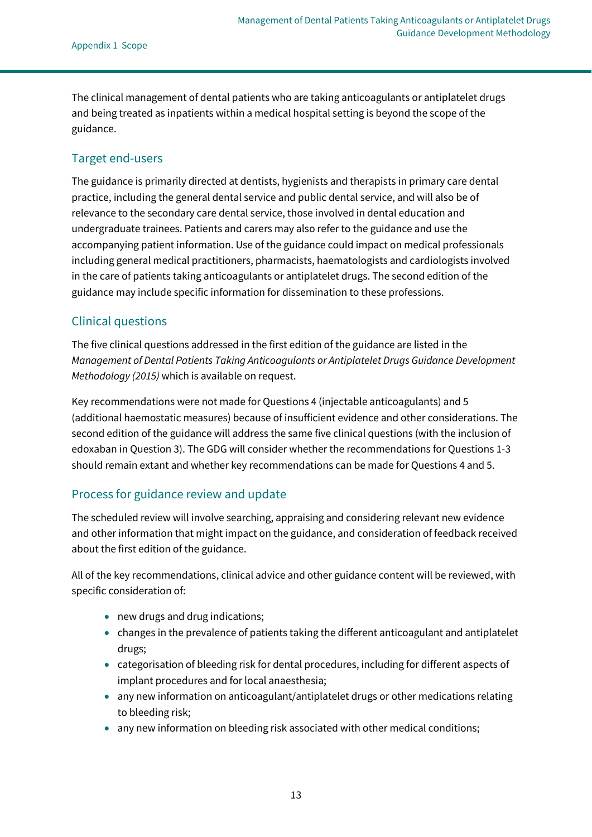The clinical management of dental patients who are taking anticoagulants or antiplatelet drugs and being treated as inpatients within a medical hospital setting is beyond the scope of the guidance.

### Target end-users

The guidance is primarily directed at dentists, hygienists and therapists in primary care dental practice, including the general dental service and public dental service, and will also be of relevance to the secondary care dental service, those involved in dental education and undergraduate trainees. Patients and carers may also refer to the guidance and use the accompanying patient information. Use of the guidance could impact on medical professionals including general medical practitioners, pharmacists, haematologists and cardiologists involved in the care of patients taking anticoagulants or antiplatelet drugs. The second edition of the guidance may include specific information for dissemination to these professions.

### Clinical questions

The five clinical questions addressed in the first edition of the guidance are listed in the *Management of Dental Patients Taking Anticoagulants or Antiplatelet Drugs Guidance Development Methodology (2015)* which is available on request.

Key recommendations were not made for Questions 4 (injectable anticoagulants) and 5 (additional haemostatic measures) because of insufficient evidence and other considerations. The second edition of the guidance will address the same five clinical questions (with the inclusion of edoxaban in Question 3). The GDG will consider whether the recommendations for Questions 1-3 should remain extant and whether key recommendations can be made for Questions 4 and 5.

### Process for guidance review and update

The scheduled review will involve searching, appraising and considering relevant new evidence and other information that might impact on the guidance, and consideration of feedback received about the first edition of the guidance.

All of the key recommendations, clinical advice and other guidance content will be reviewed, with specific consideration of:

- new drugs and drug indications;
- changes in the prevalence of patients taking the different anticoagulant and antiplatelet drugs;
- categorisation of bleeding risk for dental procedures, including for different aspects of implant procedures and for local anaesthesia;
- any new information on anticoagulant/antiplatelet drugs or other medications relating to bleeding risk;
- any new information on bleeding risk associated with other medical conditions;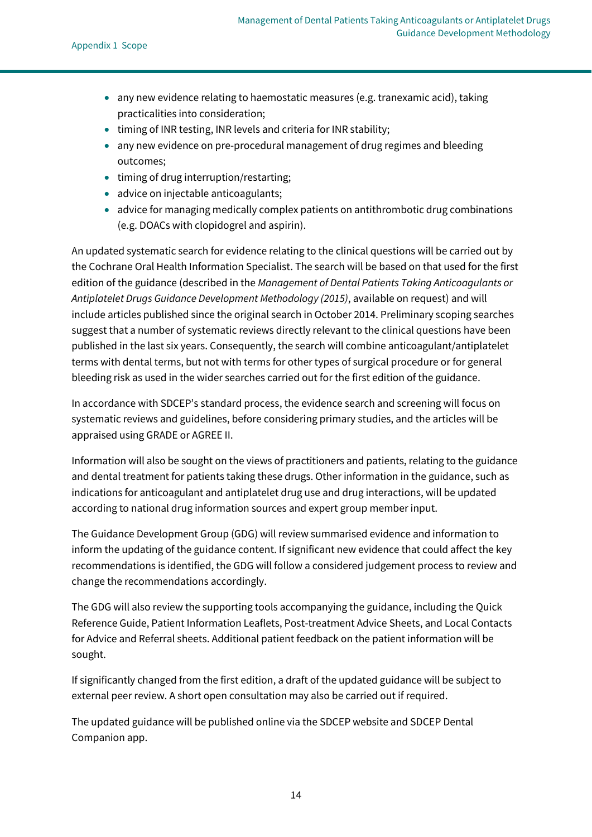- any new evidence relating to haemostatic measures (e.g. tranexamic acid), taking practicalities into consideration;
- timing of INR testing, INR levels and criteria for INR stability;
- any new evidence on pre-procedural management of drug regimes and bleeding outcomes;
- timing of drug interruption/restarting;
- advice on injectable anticoagulants;
- advice for managing medically complex patients on antithrombotic drug combinations (e.g. DOACs with clopidogrel and aspirin).

An updated systematic search for evidence relating to the clinical questions will be carried out by the Cochrane Oral Health Information Specialist. The search will be based on that used for the first edition of the guidance (described in the *Management of Dental Patients Taking Anticoagulants or Antiplatelet Drugs Guidance Development Methodology (2015)*, available on request) and will include articles published since the original search in October 2014. Preliminary scoping searches suggest that a number of systematic reviews directly relevant to the clinical questions have been published in the last six years. Consequently, the search will combine anticoagulant/antiplatelet terms with dental terms, but not with terms for other types of surgical procedure or for general bleeding risk as used in the wider searches carried out for the first edition of the guidance.

In accordance with SDCEP's standard process, the evidence search and screening will focus on systematic reviews and guidelines, before considering primary studies, and the articles will be appraised using GRADE or AGREE II.

Information will also be sought on the views of practitioners and patients, relating to the guidance and dental treatment for patients taking these drugs. Other information in the guidance, such as indications for anticoagulant and antiplatelet drug use and drug interactions, will be updated according to national drug information sources and expert group member input.

The Guidance Development Group (GDG) will review summarised evidence and information to inform the updating of the guidance content. If significant new evidence that could affect the key recommendations is identified, the GDG will follow a considered judgement process to review and change the recommendations accordingly.

The GDG will also review the supporting tools accompanying the guidance, including the Quick Reference Guide, Patient Information Leaflets, Post-treatment Advice Sheets, and Local Contacts for Advice and Referral sheets. Additional patient feedback on the patient information will be sought.

If significantly changed from the first edition, a draft of the updated guidance will be subject to external peer review. A short open consultation may also be carried out if required.

The updated guidance will be published online via the SDCEP website and SDCEP Dental Companion app.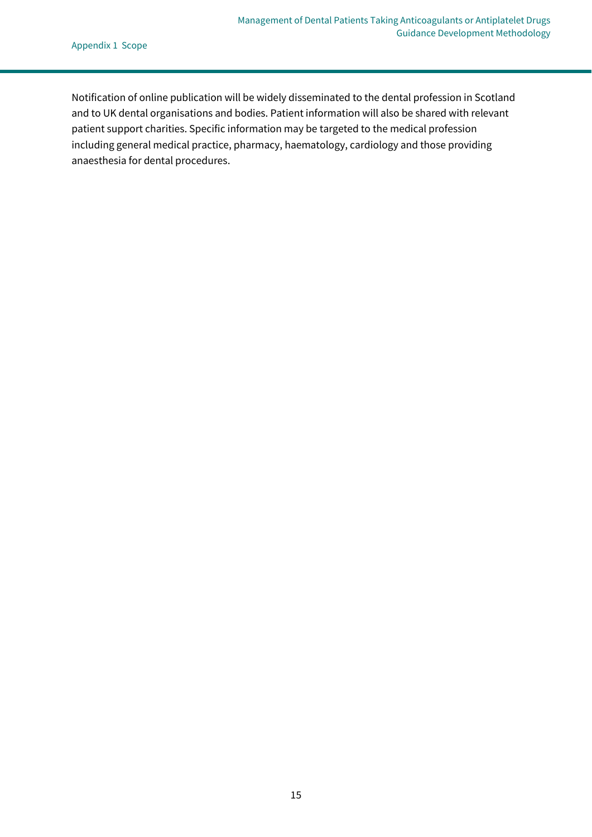Notification of online publication will be widely disseminated to the dental profession in Scotland and to UK dental organisations and bodies. Patient information will also be shared with relevant patient support charities. Specific information may be targeted to the medical profession including general medical practice, pharmacy, haematology, cardiology and those providing anaesthesia for dental procedures.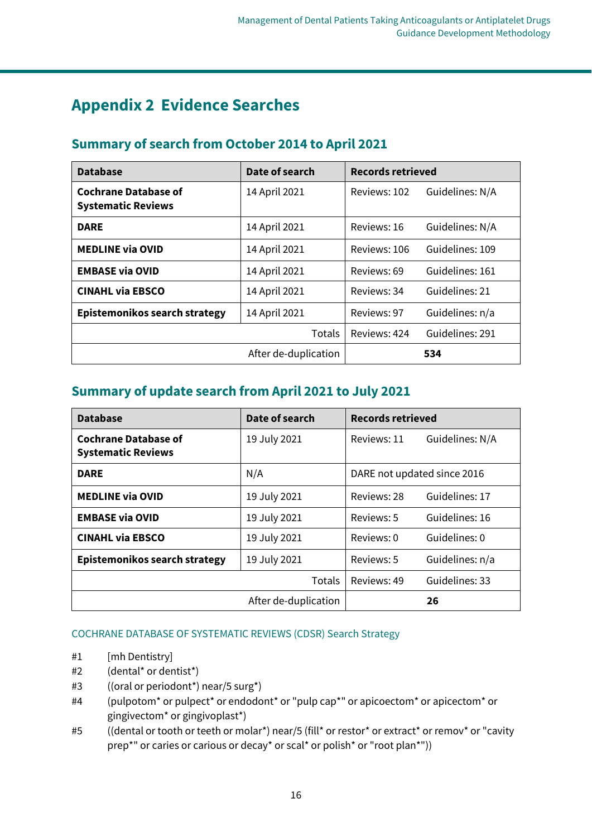# <span id="page-17-0"></span>**Appendix 2 Evidence Searches**

| <b>Database</b>                                          | Date of search       | <b>Records retrieved</b> |                 |  |
|----------------------------------------------------------|----------------------|--------------------------|-----------------|--|
| <b>Cochrane Database of</b><br><b>Systematic Reviews</b> | 14 April 2021        | Reviews: 102             | Guidelines: N/A |  |
| <b>DARE</b>                                              | 14 April 2021        | Reviews: 16              | Guidelines: N/A |  |
| <b>MEDLINE via OVID</b>                                  | 14 April 2021        | Reviews: 106             | Guidelines: 109 |  |
| <b>EMBASE via OVID</b>                                   | 14 April 2021        | Reviews: 69              | Guidelines: 161 |  |
| <b>CINAHL via EBSCO</b>                                  | 14 April 2021        | Reviews: 34              | Guidelines: 21  |  |
| Epistemonikos search strategy                            | 14 April 2021        | Reviews: 97              | Guidelines: n/a |  |
|                                                          | Totals               | Reviews: 424             | Guidelines: 291 |  |
|                                                          | After de-duplication | 534                      |                 |  |

# **Summary of search from October 2014 to April 2021**

# **Summary of update search from April 2021 to July 2021**

| <b>Database</b>                                          | Date of search       | <b>Records retrieved</b>    |                 |  |
|----------------------------------------------------------|----------------------|-----------------------------|-----------------|--|
| <b>Cochrane Database of</b><br><b>Systematic Reviews</b> | 19 July 2021         | Reviews: 11                 | Guidelines: N/A |  |
| <b>DARE</b>                                              | N/A                  | DARE not updated since 2016 |                 |  |
| <b>MEDLINE via OVID</b>                                  | 19 July 2021         | Reviews: 28                 | Guidelines: 17  |  |
| <b>EMBASE via OVID</b>                                   | 19 July 2021         | Reviews: 5                  | Guidelines: 16  |  |
| <b>CINAHL via EBSCO</b>                                  | 19 July 2021         | Reviews: 0                  | Guidelines: 0   |  |
| Epistemonikos search strategy                            | 19 July 2021         | Reviews: 5                  | Guidelines: n/a |  |
|                                                          | <b>Totals</b>        | Reviews: 49                 | Guidelines: 33  |  |
|                                                          | After de-duplication |                             | 26              |  |

### COCHRANE DATABASE OF SYSTEMATIC REVIEWS (CDSR) Search Strategy

- #1 [mh Dentistry]
- #2 (dental\* or dentist\*)
- #3 ((oral or periodont\*) near/5 surg\*)
- #4 (pulpotom\* or pulpect\* or endodont\* or "pulp cap\*" or apicoectom\* or apicectom\* or gingivectom\* or gingivoplast\*)
- #5 ((dental or tooth or teeth or molar\*) near/5 (fill\* or restor\* or extract\* or remov\* or "cavity prep\*" or caries or carious or decay\* or scal\* or polish\* or "root plan\*"))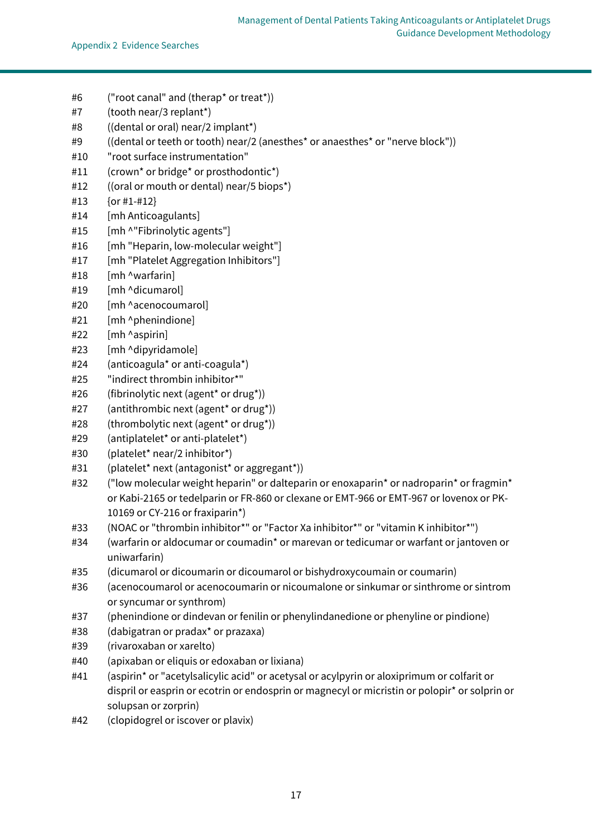- #6 ("root canal" and (therap\* or treat\*))
- #7 (tooth near/3 replant\*)
- #8 ((dental or oral) near/2 implant\*)
- #9 ((dental or teeth or tooth) near/2 (anesthes\* or anaesthes\* or "nerve block"))
- #10 "root surface instrumentation"
- #11 (crown\* or bridge\* or prosthodontic\*)
- #12 ((oral or mouth or dental) near/5 biops\*)
- #13 {or #1-#12}
- #14 [mh Anticoagulants]
- #15 [mh ^"Fibrinolytic agents"]
- #16 [mh "Heparin, low-molecular weight"]
- #17 [mh "Platelet Aggregation Inhibitors"]
- #18 [mh ^warfarin]
- #19 [mh ^dicumarol]
- #20 [mh ^acenocoumarol]
- #21 [mh ^phenindione]
- #22 [mh ^aspirin]
- #23 [mh ^dipyridamole]
- #24 (anticoagula\* or anti-coagula\*)
- #25 "indirect thrombin inhibitor\*"
- #26 (fibrinolytic next (agent\* or drug\*))
- #27 (antithrombic next (agent\* or drug\*))
- #28 (thrombolytic next (agent\* or drug\*))
- #29 (antiplatelet\* or anti-platelet\*)
- #30 (platelet\* near/2 inhibitor\*)
- #31 (platelet\* next (antagonist\* or aggregant\*))
- #32 ("low molecular weight heparin" or dalteparin or enoxaparin\* or nadroparin\* or fragmin\* or Kabi-2165 or tedelparin or FR-860 or clexane or EMT-966 or EMT-967 or lovenox or PK-10169 or CY-216 or fraxiparin\*)
- #33 (NOAC or "thrombin inhibitor\*" or "Factor Xa inhibitor\*" or "vitamin K inhibitor\*")
- #34 (warfarin or aldocumar or coumadin\* or marevan or tedicumar or warfant or jantoven or uniwarfarin)
- #35 (dicumarol or dicoumarin or dicoumarol or bishydroxycoumain or coumarin)
- #36 (acenocoumarol or acenocoumarin or nicoumalone or sinkumar or sinthrome or sintrom or syncumar or synthrom)
- #37 (phenindione or dindevan or fenilin or phenylindanedione or phenyline or pindione)
- #38 (dabigatran or pradax\* or prazaxa)
- #39 (rivaroxaban or xarelto)
- #40 (apixaban or eliquis or edoxaban or lixiana)
- #41 (aspirin\* or "acetylsalicylic acid" or acetysal or acylpyrin or aloxiprimum or colfarit or dispril or easprin or ecotrin or endosprin or magnecyl or micristin or polopir\* or solprin or solupsan or zorprin)
- #42 (clopidogrel or iscover or plavix)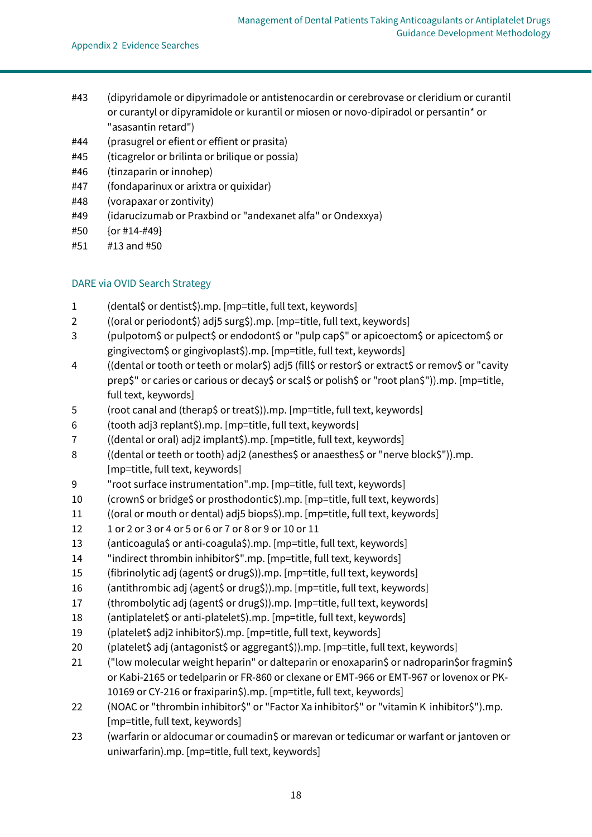- #43 (dipyridamole or dipyrimadole or antistenocardin or cerebrovase or cleridium or curantil or curantyl or dipyramidole or kurantil or miosen or novo-dipiradol or persantin\* or "asasantin retard")
- #44 (prasugrel or efient or effient or prasita)
- #45 (ticagrelor or brilinta or brilique or possia)
- #46 (tinzaparin or innohep)
- #47 (fondaparinux or arixtra or quixidar)
- #48 (vorapaxar or zontivity)
- #49 (idarucizumab or Praxbind or "andexanet alfa" or Ondexxya)
- #50 {or #14-#49}
- #51 #13 and #50

#### DARE via OVID Search Strategy

- 1 (dental\$ or dentist\$).mp. [mp=title, full text, keywords]
- 2 ((oral or periodont\$) adj5 surg\$).mp. [mp=title, full text, keywords]
- 3 (pulpotom\$ or pulpect\$ or endodont\$ or "pulp cap\$" or apicoectom\$ or apicectom\$ or gingivectom\$ or gingivoplast\$).mp. [mp=title, full text, keywords]
- 4 ((dental or tooth or teeth or molar\$) adj5 (fill\$ or restor\$ or extract\$ or remov\$ or "cavity prep\$" or caries or carious or decay\$ or scal\$ or polish\$ or "root plan\$")).mp. [mp=title, full text, keywords]
- 5 (root canal and (therap\$ or treat\$)).mp. [mp=title, full text, keywords]
- 6 (tooth adj3 replant\$).mp. [mp=title, full text, keywords]
- 7 ((dental or oral) adj2 implant\$).mp. [mp=title, full text, keywords]
- 8 ((dental or teeth or tooth) adj2 (anesthes\$ or anaesthes\$ or "nerve block\$")).mp. [mp=title, full text, keywords]
- 9 "root surface instrumentation".mp. [mp=title, full text, keywords]
- 10 (crown\$ or bridge\$ or prosthodontic\$).mp. [mp=title, full text, keywords]
- 11 ((oral or mouth or dental) adj5 biops\$).mp. [mp=title, full text, keywords]
- 12 1 or 2 or 3 or 4 or 5 or 6 or 7 or 8 or 9 or 10 or 11
- 13 (anticoagula\$ or anti-coagula\$).mp. [mp=title, full text, keywords]
- 14 "indirect thrombin inhibitor\$".mp. [mp=title, full text, keywords]
- 15 (fibrinolytic adj (agent\$ or drug\$)).mp. [mp=title, full text, keywords]
- 16 (antithrombic adj (agent\$ or drug\$)).mp. [mp=title, full text, keywords]
- 17 (thrombolytic adj (agent\$ or drug\$)).mp. [mp=title, full text, keywords]
- 18 (antiplatelet\$ or anti-platelet\$).mp. [mp=title, full text, keywords]
- 19 (platelet\$ adj2 inhibitor\$).mp. [mp=title, full text, keywords]
- 20 (platelet\$ adj (antagonist\$ or aggregant\$)).mp. [mp=title, full text, keywords]
- 21 ("low molecular weight heparin" or dalteparin or enoxaparin\$ or nadroparin\$or fragmin\$ or Kabi-2165 or tedelparin or FR-860 or clexane or EMT-966 or EMT-967 or lovenox or PK-10169 or CY-216 or fraxiparin\$).mp. [mp=title, full text, keywords]
- 22 (NOAC or "thrombin inhibitor\$" or "Factor Xa inhibitor\$" or "vitamin K inhibitor\$").mp. [mp=title, full text, keywords]
- 23 (warfarin or aldocumar or coumadin\$ or marevan or tedicumar or warfant or jantoven or uniwarfarin).mp. [mp=title, full text, keywords]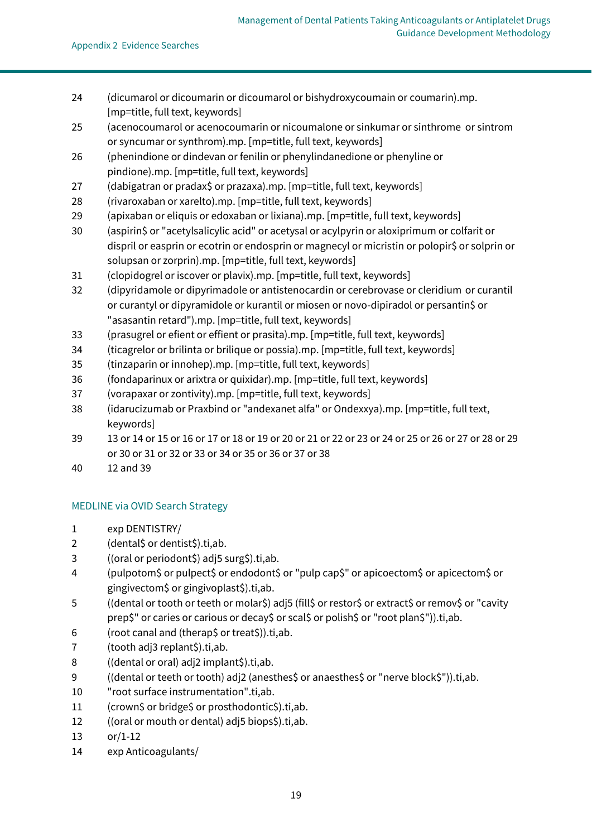- (dicumarol or dicoumarin or dicoumarol or bishydroxycoumain or coumarin).mp. [mp=title, full text, keywords]
- (acenocoumarol or acenocoumarin or nicoumalone or sinkumar or sinthrome or sintrom or syncumar or synthrom).mp. [mp=title, full text, keywords]
- (phenindione or dindevan or fenilin or phenylindanedione or phenyline or pindione).mp. [mp=title, full text, keywords]
- 27 (dabigatran or pradax\$ or prazaxa).mp. [mp=title, full text, keywords]
- (rivaroxaban or xarelto).mp. [mp=title, full text, keywords]
- (apixaban or eliquis or edoxaban or lixiana).mp. [mp=title, full text, keywords]
- (aspirin\$ or "acetylsalicylic acid" or acetysal or acylpyrin or aloxiprimum or colfarit or dispril or easprin or ecotrin or endosprin or magnecyl or micristin or polopir\$ or solprin or solupsan or zorprin).mp. [mp=title, full text, keywords]
- (clopidogrel or iscover or plavix).mp. [mp=title, full text, keywords]
- (dipyridamole or dipyrimadole or antistenocardin or cerebrovase or cleridium or curantil or curantyl or dipyramidole or kurantil or miosen or novo-dipiradol or persantin\$ or "asasantin retard").mp. [mp=title, full text, keywords]
- (prasugrel or efient or effient or prasita).mp. [mp=title, full text, keywords]
- (ticagrelor or brilinta or brilique or possia).mp. [mp=title, full text, keywords]
- (tinzaparin or innohep).mp. [mp=title, full text, keywords]
- (fondaparinux or arixtra or quixidar).mp. [mp=title, full text, keywords]
- (vorapaxar or zontivity).mp. [mp=title, full text, keywords]
- (idarucizumab or Praxbind or "andexanet alfa" or Ondexxya).mp. [mp=title, full text, keywords]
- 13 or 14 or 15 or 16 or 17 or 18 or 19 or 20 or 21 or 22 or 23 or 24 or 25 or 26 or 27 or 28 or 29 or 30 or 31 or 32 or 33 or 34 or 35 or 36 or 37 or 38
- 12 and 39

### MEDLINE via OVID Search Strategy

- exp DENTISTRY/
- (dental\$ or dentist\$).ti,ab.
- ((oral or periodont\$) adj5 surg\$).ti,ab.
- (pulpotom\$ or pulpect\$ or endodont\$ or "pulp cap\$" or apicoectom\$ or apicectom\$ or gingivectom\$ or gingivoplast\$).ti,ab.
- ((dental or tooth or teeth or molar\$) adj5 (fill\$ or restor\$ or extract\$ or remov\$ or "cavity prep\$" or caries or carious or decay\$ or scal\$ or polish\$ or "root plan\$")).ti,ab.
- (root canal and (therap\$ or treat\$)).ti,ab.
- (tooth adj3 replant\$).ti,ab.
- ((dental or oral) adj2 implant\$).ti,ab.
- ((dental or teeth or tooth) adj2 (anesthes\$ or anaesthes\$ or "nerve block\$")).ti,ab.
- "root surface instrumentation".ti,ab.
- (crown\$ or bridge\$ or prosthodontic\$).ti,ab.
- ((oral or mouth or dental) adj5 biops\$).ti,ab.
- or/1-12
- exp Anticoagulants/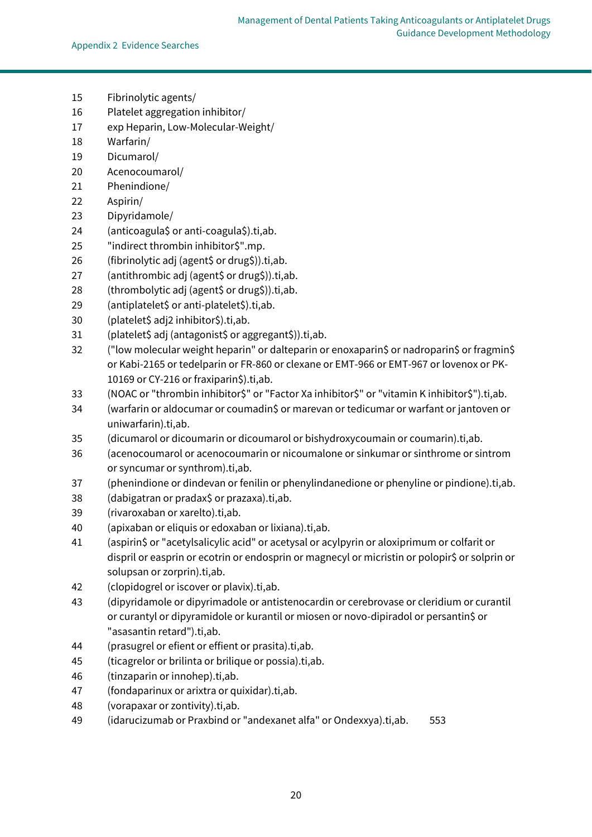- Fibrinolytic agents/
- Platelet aggregation inhibitor/
- exp Heparin, Low-Molecular-Weight/
- Warfarin/
- Dicumarol/
- Acenocoumarol/
- Phenindione/
- Aspirin/
- Dipyridamole/
- (anticoagula\$ or anti-coagula\$).ti,ab.
- "indirect thrombin inhibitor\$".mp.
- (fibrinolytic adj (agent\$ or drug\$)).ti,ab.
- (antithrombic adj (agent\$ or drug\$)).ti,ab.
- 28 (thrombolytic adj (agent\$ or drug\$)).ti,ab.
- (antiplatelet\$ or anti-platelet\$).ti,ab.
- (platelet\$ adj2 inhibitor\$).ti,ab.
- (platelet\$ adj (antagonist\$ or aggregant\$)).ti,ab.
- ("low molecular weight heparin" or dalteparin or enoxaparin\$ or nadroparin\$ or fragmin\$ or Kabi-2165 or tedelparin or FR-860 or clexane or EMT-966 or EMT-967 or lovenox or PK-10169 or CY-216 or fraxiparin\$).ti,ab.
- 33 (NOAC or "thrombin inhibitor\$" or "Factor Xa inhibitor\$" or "vitamin K inhibitor\$").ti,ab.
- (warfarin or aldocumar or coumadin\$ or marevan or tedicumar or warfant or jantoven or uniwarfarin).ti,ab.
- (dicumarol or dicoumarin or dicoumarol or bishydroxycoumain or coumarin).ti,ab.
- (acenocoumarol or acenocoumarin or nicoumalone or sinkumar or sinthrome or sintrom or syncumar or synthrom).ti,ab.
- (phenindione or dindevan or fenilin or phenylindanedione or phenyline or pindione).ti,ab.
- (dabigatran or pradax\$ or prazaxa).ti,ab.
- (rivaroxaban or xarelto).ti,ab.
- (apixaban or eliquis or edoxaban or lixiana).ti,ab.
- (aspirin\$ or "acetylsalicylic acid" or acetysal or acylpyrin or aloxiprimum or colfarit or dispril or easprin or ecotrin or endosprin or magnecyl or micristin or polopir\$ or solprin or solupsan or zorprin).ti,ab.
- (clopidogrel or iscover or plavix).ti,ab.
- (dipyridamole or dipyrimadole or antistenocardin or cerebrovase or cleridium or curantil or curantyl or dipyramidole or kurantil or miosen or novo-dipiradol or persantin\$ or "asasantin retard").ti,ab.
- (prasugrel or efient or effient or prasita).ti,ab.
- (ticagrelor or brilinta or brilique or possia).ti,ab.
- (tinzaparin or innohep).ti,ab.
- (fondaparinux or arixtra or quixidar).ti,ab.
- (vorapaxar or zontivity).ti,ab.
- (idarucizumab or Praxbind or "andexanet alfa" or Ondexxya).ti,ab. 553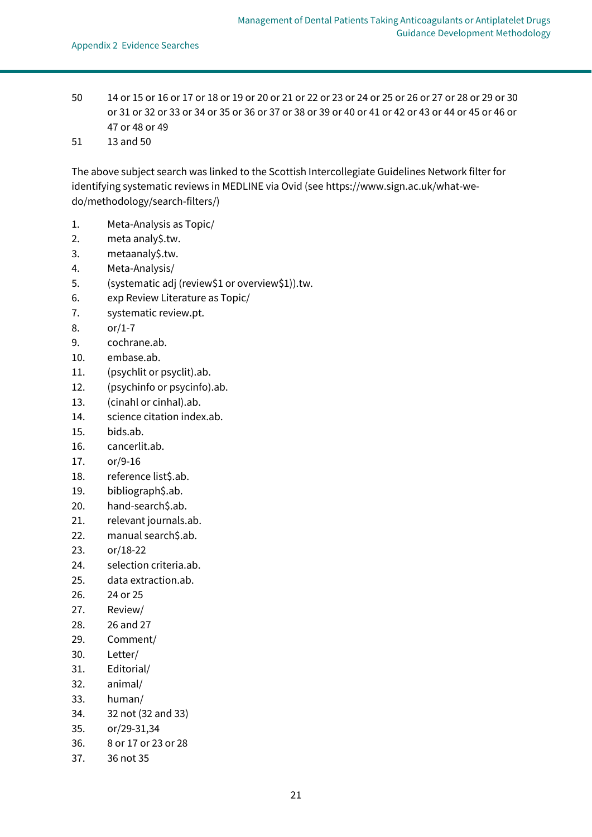- 50 14 or 15 or 16 or 17 or 18 or 19 or 20 or 21 or 22 or 23 or 24 or 25 or 26 or 27 or 28 or 29 or 30 or 31 or 32 or 33 or 34 or 35 or 36 or 37 or 38 or 39 or 40 or 41 or 42 or 43 or 44 or 45 or 46 or 47 or 48 or 49
- 51 13 and 50

The above subject search was linked to the Scottish Intercollegiate Guidelines Network filter for identifying systematic reviews in MEDLINE via Ovid (se[e https://www.sign.ac.uk/what-we](https://www.sign.ac.uk/what-we-do/methodology/search-filters/)[do/methodology/search-filters/\)](https://www.sign.ac.uk/what-we-do/methodology/search-filters/)

- 1. Meta-Analysis as Topic/
- 2. meta analy\$.tw.
- 3. metaanaly\$.tw.
- 4. Meta-Analysis/
- 5. (systematic adj (review\$1 or overview\$1)).tw.
- 6. exp Review Literature as Topic/
- 7. systematic review.pt.
- 8. or/1-7
- 9. cochrane.ab.
- 10. embase.ab.
- 11. (psychlit or psyclit).ab.
- 12. (psychinfo or psycinfo).ab.
- 13. (cinahl or cinhal).ab.
- 14. science citation index.ab.
- 15. bids.ab.
- 16. cancerlit.ab.
- 17. or/9-16
- 18. reference list\$.ab.
- 19. bibliograph\$.ab.
- 20. hand-search\$.ab.
- 21. relevant journals.ab.
- 22. manual search\$.ab.
- 23. or/18-22
- 24. selection criteria.ab.
- 25. data extraction.ab.
- 26. 24 or 25
- 27. Review/
- 28. 26 and 27
- 29. Comment/
- 30. Letter/
- 31. Editorial/
- 32. animal/
- 33. human/
- 34. 32 not (32 and 33)
- 35. or/29-31,34
- 36. 8 or 17 or 23 or 28
- 37. 36 not 35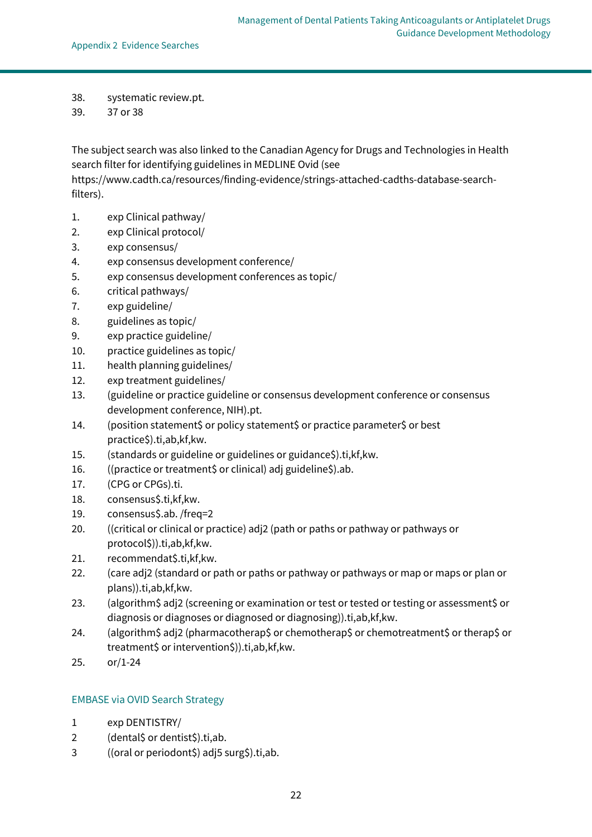- 38. systematic review.pt.
- 39. 37 or 38

The subject search was also linked to the Canadian Agency for Drugs and Technologies in Health search filter for identifying guidelines in MEDLINE Ovid (see

[https://www.cadth.ca/resources/finding-evidence/strings-attached-cadths-database-search](https://www.cadth.ca/resources/finding-evidence/strings-attached-cadths-database-search-filters)[filters\)](https://www.cadth.ca/resources/finding-evidence/strings-attached-cadths-database-search-filters).

- 1. exp Clinical pathway/
- 2. exp Clinical protocol/
- 3. exp consensus/
- 4. exp consensus development conference/
- 5. exp consensus development conferences as topic/
- 6. critical pathways/
- 7. exp guideline/
- 8. guidelines as topic/
- 9. exp practice guideline/
- 10. practice guidelines as topic/
- 11. health planning guidelines/
- 12. exp treatment guidelines/
- 13. (guideline or practice guideline or consensus development conference or consensus development conference, NIH).pt.
- 14. (position statement\$ or policy statement\$ or practice parameter\$ or best practice\$).ti,ab,kf,kw.
- 15. (standards or guideline or guidelines or guidance\$).ti,kf,kw.
- 16. ((practice or treatment\$ or clinical) adj guideline\$).ab.
- 17. (CPG or CPGs).ti.
- 18. consensus\$.ti,kf,kw.
- 19. consensus\$.ab. /freq=2
- 20. ((critical or clinical or practice) adj2 (path or paths or pathway or pathways or protocol\$)).ti,ab,kf,kw.
- 21. recommendat\$.ti,kf,kw.
- 22. (care adj2 (standard or path or paths or pathway or pathways or map or maps or plan or plans)).ti,ab,kf,kw.
- 23. (algorithm\$ adj2 (screening or examination or test or tested or testing or assessment\$ or diagnosis or diagnoses or diagnosed or diagnosing)).ti,ab,kf,kw.
- 24. (algorithm\$ adj2 (pharmacotherap\$ or chemotherap\$ or chemotreatment\$ or therap\$ or treatment\$ or intervention\$)).ti,ab,kf,kw.
- 25. or/1-24

#### EMBASE via OVID Search Strategy

- 1 exp DENTISTRY/
- 2 (dental\$ or dentist\$).ti,ab.
- 3 ((oral or periodont\$) adj5 surg\$).ti,ab.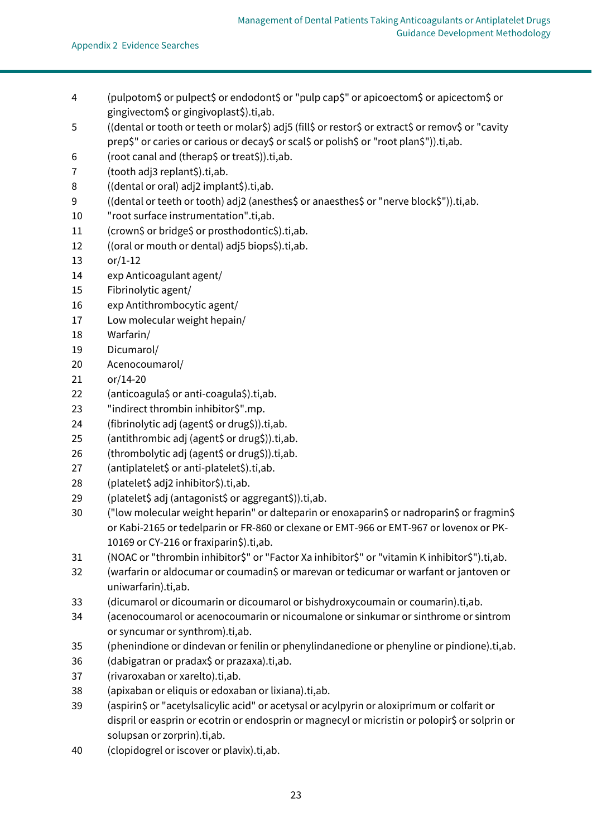- (pulpotom\$ or pulpect\$ or endodont\$ or "pulp cap\$" or apicoectom\$ or apicectom\$ or gingivectom\$ or gingivoplast\$).ti,ab.
- ((dental or tooth or teeth or molar\$) adj5 (fill\$ or restor\$ or extract\$ or remov\$ or "cavity prep\$" or caries or carious or decay\$ or scal\$ or polish\$ or "root plan\$")).ti,ab.
- (root canal and (therap\$ or treat\$)).ti,ab.
- 7 (tooth adj3 replant\$).ti,ab.
- ((dental or oral) adj2 implant\$).ti,ab.
- ((dental or teeth or tooth) adj2 (anesthes\$ or anaesthes\$ or "nerve block\$")).ti,ab.
- "root surface instrumentation".ti,ab.
- (crown\$ or bridge\$ or prosthodontic\$).ti,ab.
- ((oral or mouth or dental) adj5 biops\$).ti,ab.
- or/1-12
- exp Anticoagulant agent/
- Fibrinolytic agent/
- exp Antithrombocytic agent/
- Low molecular weight hepain/
- Warfarin/
- Dicumarol/
- Acenocoumarol/
- or/14-20
- (anticoagula\$ or anti-coagula\$).ti,ab.
- "indirect thrombin inhibitor\$".mp.
- (fibrinolytic adj (agent\$ or drug\$)).ti,ab.
- (antithrombic adj (agent\$ or drug\$)).ti,ab.
- 26 (thrombolytic adj (agent\$ or drug\$)).ti,ab.
- (antiplatelet\$ or anti-platelet\$).ti,ab.
- (platelet\$ adj2 inhibitor\$).ti,ab.
- (platelet\$ adj (antagonist\$ or aggregant\$)).ti,ab.
- ("low molecular weight heparin" or dalteparin or enoxaparin\$ or nadroparin\$ or fragmin\$ or Kabi-2165 or tedelparin or FR-860 or clexane or EMT-966 or EMT-967 or lovenox or PK-10169 or CY-216 or fraxiparin\$).ti,ab.
- (NOAC or "thrombin inhibitor\$" or "Factor Xa inhibitor\$" or "vitamin K inhibitor\$").ti,ab.
- (warfarin or aldocumar or coumadin\$ or marevan or tedicumar or warfant or jantoven or uniwarfarin).ti,ab.
- (dicumarol or dicoumarin or dicoumarol or bishydroxycoumain or coumarin).ti,ab.
- (acenocoumarol or acenocoumarin or nicoumalone or sinkumar or sinthrome or sintrom or syncumar or synthrom).ti,ab.
- (phenindione or dindevan or fenilin or phenylindanedione or phenyline or pindione).ti,ab.
- (dabigatran or pradax\$ or prazaxa).ti,ab.
- (rivaroxaban or xarelto).ti,ab.
- (apixaban or eliquis or edoxaban or lixiana).ti,ab.
- 39 (aspirin\$ or "acetylsalicylic acid" or acetysal or acylpyrin or aloxiprimum or colfarit or dispril or easprin or ecotrin or endosprin or magnecyl or micristin or polopir\$ or solprin or solupsan or zorprin).ti,ab.
- (clopidogrel or iscover or plavix).ti,ab.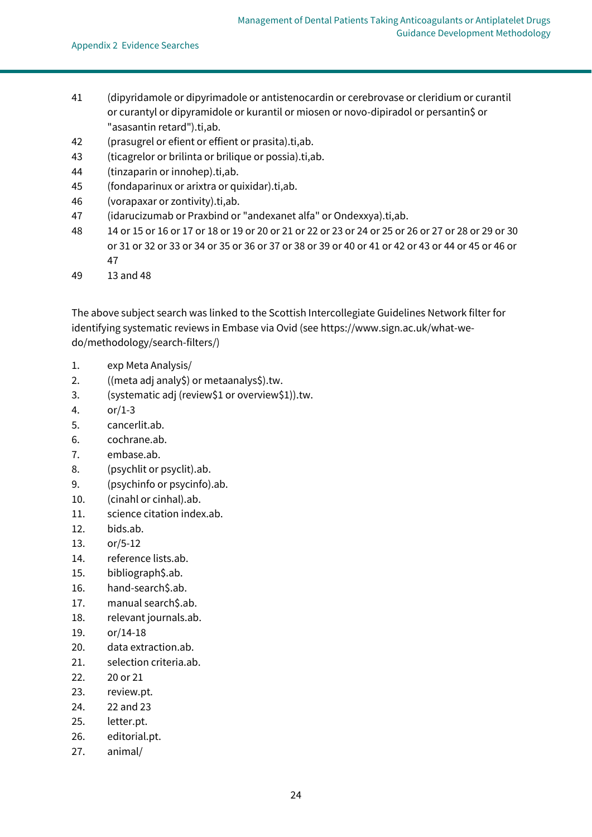- 41 (dipyridamole or dipyrimadole or antistenocardin or cerebrovase or cleridium or curantil or curantyl or dipyramidole or kurantil or miosen or novo-dipiradol or persantin\$ or "asasantin retard").ti,ab.
- 42 (prasugrel or efient or effient or prasita).ti,ab.
- 43 (ticagrelor or brilinta or brilique or possia).ti,ab.
- 44 (tinzaparin or innohep).ti,ab.
- 45 (fondaparinux or arixtra or quixidar).ti,ab.
- 46 (vorapaxar or zontivity).ti,ab.
- 47 (idarucizumab or Praxbind or "andexanet alfa" or Ondexxya).ti,ab.
- 48 14 or 15 or 16 or 17 or 18 or 19 or 20 or 21 or 22 or 23 or 24 or 25 or 26 or 27 or 28 or 29 or 30 or 31 or 32 or 33 or 34 or 35 or 36 or 37 or 38 or 39 or 40 or 41 or 42 or 43 or 44 or 45 or 46 or 47
- 49 13 and 48

The above subject search was linked to the Scottish Intercollegiate Guidelines Network filter for identifying systematic reviews in Embase via Ovid (se[e https://www.sign.ac.uk/what-we](https://www.sign.ac.uk/what-we-do/methodology/search-filters/)[do/methodology/search-filters/\)](https://www.sign.ac.uk/what-we-do/methodology/search-filters/)

- 1. exp Meta Analysis/
- 2. ((meta adj analy\$) or metaanalys\$).tw.
- 3. (systematic adj (review\$1 or overview\$1)).tw.
- 4. or/1-3
- 5. cancerlit.ab.
- 6. cochrane.ab.
- 7. embase.ab.
- 8. (psychlit or psyclit).ab.
- 9. (psychinfo or psycinfo).ab.
- 10. (cinahl or cinhal).ab.
- 11. science citation index.ab.
- 12. bids.ab.
- 13. or/5-12
- 14. reference lists.ab.
- 15. bibliograph\$.ab.
- 16. hand-search\$.ab.
- 17. manual search\$.ab.
- 18. relevant journals.ab.
- 19. or/14-18
- 20. data extraction.ab.
- 21. selection criteria.ab.
- 22. 20 or 21
- 23. review.pt.
- 24. 22 and 23
- 25. letter.pt.
- 26. editorial.pt.
- 27. animal/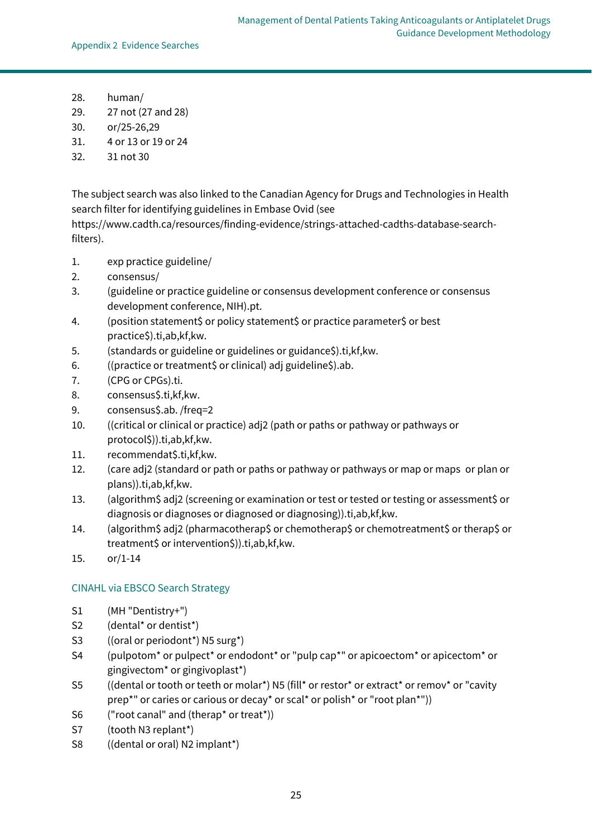- 28. human/
- 29. 27 not (27 and 28)
- 30. or/25-26,29
- 31. 4 or 13 or 19 or 24
- 32. 31 not 30

The subject search was also linked to the Canadian Agency for Drugs and Technologies in Health search filter for identifying guidelines in Embase Ovid (see

[https://www.cadth.ca/resources/finding-evidence/strings-attached-cadths-database-search](https://www.cadth.ca/resources/finding-evidence/strings-attached-cadths-database-search-filters)[filters\)](https://www.cadth.ca/resources/finding-evidence/strings-attached-cadths-database-search-filters).

- 1. exp practice guideline/
- 2. consensus/
- 3. (guideline or practice guideline or consensus development conference or consensus development conference, NIH).pt.
- 4. (position statement\$ or policy statement\$ or practice parameter\$ or best practice\$).ti,ab,kf,kw.
- 5. (standards or guideline or guidelines or guidance\$).ti,kf,kw.
- 6. ((practice or treatment\$ or clinical) adj guideline\$).ab.
- 7. (CPG or CPGs).ti.
- 8. consensus\$.ti,kf,kw.
- 9. consensus\$.ab. /freq=2
- 10. ((critical or clinical or practice) adj2 (path or paths or pathway or pathways or protocol\$)).ti,ab,kf,kw.
- 11. recommendat\$.ti,kf,kw.
- 12. (care adj2 (standard or path or paths or pathway or pathways or map or maps or plan or plans)).ti,ab,kf,kw.
- 13. (algorithm\$ adj2 (screening or examination or test or tested or testing or assessment\$ or diagnosis or diagnoses or diagnosed or diagnosing)).ti,ab,kf,kw.
- 14. (algorithm\$ adj2 (pharmacotherap\$ or chemotherap\$ or chemotreatment\$ or therap\$ or treatment\$ or intervention\$)).ti,ab,kf,kw.
- 15. or/1-14

#### CINAHL via EBSCO Search Strategy

- S1 (MH "Dentistry+")
- S2 (dental\* or dentist\*)
- S3 ((oral or periodont\*) N5 surg\*)
- S4 (pulpotom\* or pulpect\* or endodont\* or "pulp cap\*" or apicoectom\* or apicectom\* or gingivectom\* or gingivoplast\*)
- S5 ((dental or tooth or teeth or molar\*) N5 (fill\* or restor\* or extract\* or remov\* or "cavity prep\*" or caries or carious or decay\* or scal\* or polish\* or "root plan\*"))
- S6 ("root canal" and (therap\* or treat\*))
- S7 (tooth N3 replant\*)
- S8 ((dental or oral) N2 implant\*)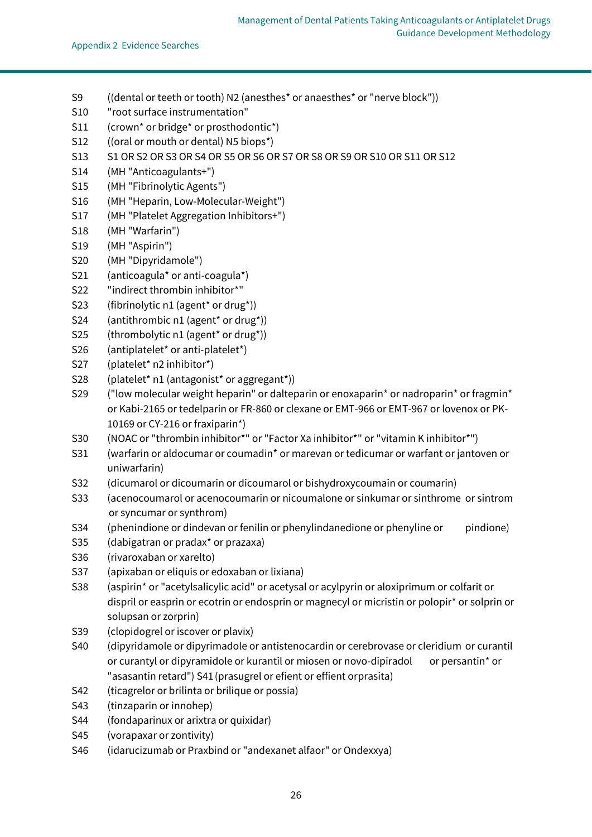- S9 ((dental or teeth or tooth) N2 (anesthes\* or anaesthes\* or "nerve block"))
- S10 "root surface instrumentation"
- S11 (crown<sup>\*</sup> or bridge<sup>\*</sup> or prosthodontic<sup>\*</sup>)
- S12 ((oral or mouth or dental) N5 biops\*)
- S13 S1 OR S2 OR S3 OR S4 OR S5 OR S6 OR S7 OR S8 OR S9 OR S10 OR S11 OR S12
- S14 (MH "Anticoagulants+")
- S15 (MH "Fibrinolytic Agents")
- S16 (MH "Heparin, Low-Molecular-Weight")
- S17 (MH "Platelet Aggregation Inhibitors+")
- S18 (MH "Warfarin")
- S19 (MH "Aspirin")
- S20 (MH "Dipyridamole")
- S21 (anticoagula\* or anti-coagula\*)
- S22 "indirect thrombin inhibitor\*"
- S23 (fibrinolytic n1 (agent\* or drug\*))
- S24 (antithrombic n1 (agent\* or drug\*))
- S25 (thrombolytic n1 (agent\* or drug\*))
- S26 (antiplatelet\* or anti-platelet\*)
- S27 (platelet\* n2 inhibitor\*)
- S28 (platelet\* n1 (antagonist\* or aggregant\*))
- S29 ("low molecular weight heparin" or dalteparin or enoxaparin\* or nadroparin\* or fragmin\* or Kabi-2165 or tedelparin or FR-860 or clexane or EMT-966 or EMT-967 or lovenox or PK-10169 or CY-216 or fraxiparin\*)
- S30 (NOAC or "thrombin inhibitor\*" or "Factor Xa inhibitor\*" or "vitamin K inhibitor\*")
- S31 (warfarin or aldocumar or coumadin\* or marevan or tedicumar or warfant or jantoven or uniwarfarin)
- S32 (dicumarol or dicoumarin or dicoumarol or bishydroxycoumain or coumarin)
- S33 (acenocoumarol or acenocoumarin or nicoumalone or sinkumar or sinthrome or sintrom or syncumar or synthrom)
- S34 (phenindione or dindevan or fenilin or phenylindanedione or phenyline or pindione)
- S35 (dabigatran or pradax\* or prazaxa)
- S36 (rivaroxaban or xarelto)
- S37 (apixaban or eliquis or edoxaban or lixiana)
- S38 (aspirin\* or "acetylsalicylic acid" or acetysal or acylpyrin or aloxiprimum or colfarit or dispril or easprin or ecotrin or endosprin or magnecyl or micristin or polopir\* or solprin or solupsan or zorprin)
- S39 (clopidogrel or iscover or plavix)
- S40 (dipyridamole or dipyrimadole or antistenocardin or cerebrovase or cleridium or curantil or curantyl or dipyramidole or kurantil or miosen or novo-dipiradol or persantin\* or "asasantin retard") S41(prasugrel or efient or effient orprasita)
- S42 (ticagrelor or brilinta or brilique or possia)
- S43 (tinzaparin or innohep)
- S44 (fondaparinux or arixtra or quixidar)
- S45 (vorapaxar or zontivity)
- S46 (idarucizumab or Praxbind or "andexanet alfaor" or Ondexxya)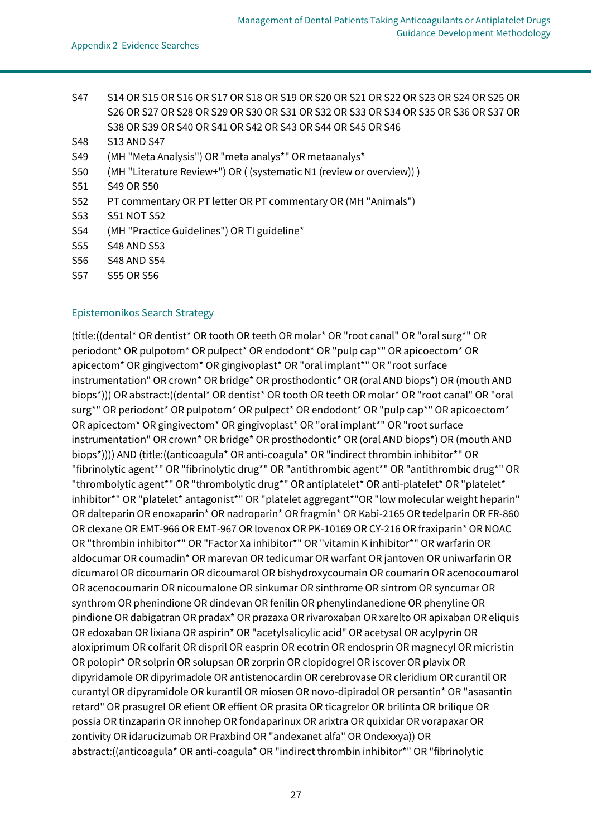- S47 S14 OR S15 OR S16 OR S17 OR S18 OR S19 OR S20 OR S21 OR S22 OR S23 OR S24 OR S25 OR S26 OR S27 OR S28 OR S29 OR S30 OR S31 OR S32 OR S33 OR S34 OR S35 OR S36 OR S37 OR S38 OR S39 OR S40 OR S41 OR S42 OR S43 OR S44 OR S45 OR S46
- S48 S13 AND S47
- S49 (MH "Meta Analysis") OR "meta analys\*" OR metaanalys\*
- S50 (MH "Literature Review+") OR ( (systematic N1 (review or overview)) )
- S51 S49 OR S50
- S52 PT commentary OR PT letter OR PT commentary OR (MH "Animals")
- S53 S51 NOT S52
- S54 (MH "Practice Guidelines") OR TI guideline\*
- S55 S48 AND S53
- S56 S48 AND S54
- S57 S55 OR S56

#### Epistemonikos Search Strategy

(title:((dental\* OR dentist\* OR tooth OR teeth OR molar\* OR "root canal" OR "oral surg\*" OR periodont\* OR pulpotom\* OR pulpect\* OR endodont\* OR "pulp cap\*" OR apicoectom\* OR apicectom\* OR gingivectom\* OR gingivoplast\* OR "oral implant\*" OR "root surface instrumentation" OR crown\* OR bridge\* OR prosthodontic\* OR (oral AND biops\*) OR (mouth AND biops\*))) OR abstract:((dental\* OR dentist\* OR tooth OR teeth OR molar\* OR "root canal" OR "oral surg\*" OR periodont\* OR pulpotom\* OR pulpect\* OR endodont\* OR "pulp cap\*" OR apicoectom\* OR apicectom\* OR gingivectom\* OR gingivoplast\* OR "oral implant\*" OR "root surface instrumentation" OR crown\* OR bridge\* OR prosthodontic\* OR (oral AND biops\*) OR (mouth AND biops\*)))) AND (title:((anticoagula\* OR anti-coagula\* OR "indirect thrombin inhibitor\*" OR "fibrinolytic agent\*" OR "fibrinolytic drug\*" OR "antithrombic agent\*" OR "antithrombic drug\*" OR "thrombolytic agent\*" OR "thrombolytic drug\*" OR antiplatelet\* OR anti-platelet\* OR "platelet\* inhibitor\*" OR "platelet\* antagonist\*" OR "platelet aggregant\*"OR "low molecular weight heparin" OR dalteparin OR enoxaparin\* OR nadroparin\* OR fragmin\* OR Kabi-2165 OR tedelparin OR FR-860 OR clexane OR EMT-966 OR EMT-967 OR lovenox OR PK-10169 OR CY-216 OR fraxiparin\* OR NOAC OR "thrombin inhibitor\*" OR "Factor Xa inhibitor\*" OR "vitamin K inhibitor\*" OR warfarin OR aldocumar OR coumadin\* OR marevan OR tedicumar OR warfant OR jantoven OR uniwarfarin OR dicumarol OR dicoumarin OR dicoumarol OR bishydroxycoumain OR coumarin OR acenocoumarol OR acenocoumarin OR nicoumalone OR sinkumar OR sinthrome OR sintrom OR syncumar OR synthrom OR phenindione OR dindevan OR fenilin OR phenylindanedione OR phenyline OR pindione OR dabigatran OR pradax\* OR prazaxa OR rivaroxaban OR xarelto OR apixaban OR eliquis OR edoxaban OR lixiana OR aspirin\* OR "acetylsalicylic acid" OR acetysal OR acylpyrin OR aloxiprimum OR colfarit OR dispril OR easprin OR ecotrin OR endosprin OR magnecyl OR micristin OR polopir\* OR solprin OR solupsan OR zorprin OR clopidogrel OR iscover OR plavix OR dipyridamole OR dipyrimadole OR antistenocardin OR cerebrovase OR cleridium OR curantil OR curantyl OR dipyramidole OR kurantil OR miosen OR novo-dipiradol OR persantin\* OR "asasantin retard" OR prasugrel OR efient OR effient OR prasita OR ticagrelor OR brilinta OR brilique OR possia OR tinzaparin OR innohep OR fondaparinux OR arixtra OR quixidar OR vorapaxar OR zontivity OR idarucizumab OR Praxbind OR "andexanet alfa" OR Ondexxya)) OR abstract:((anticoagula\* OR anti-coagula\* OR "indirect thrombin inhibitor\*" OR "fibrinolytic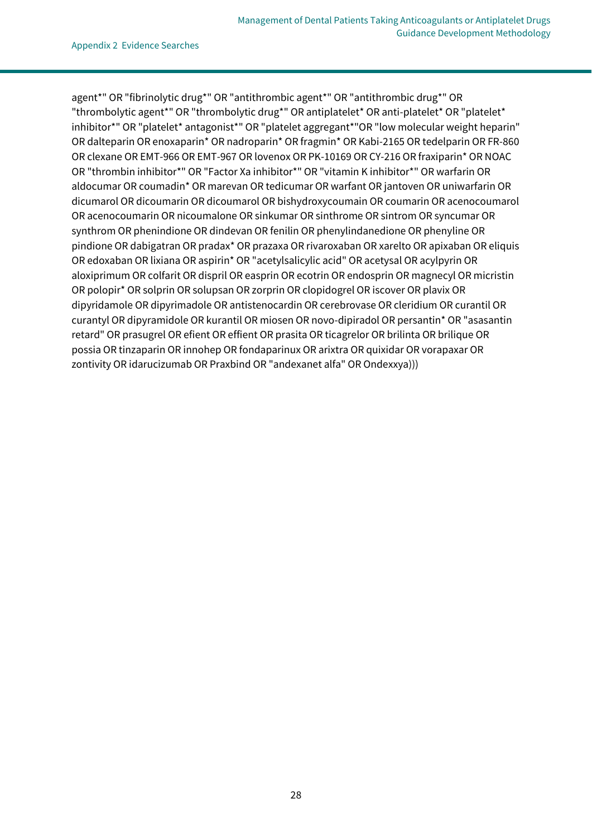agent\*" OR "fibrinolytic drug\*" OR "antithrombic agent\*" OR "antithrombic drug\*" OR "thrombolytic agent\*" OR "thrombolytic drug\*" OR antiplatelet\* OR anti-platelet\* OR "platelet\* inhibitor\*" OR "platelet\* antagonist\*" OR "platelet aggregant\*"OR "low molecular weight heparin" OR dalteparin OR enoxaparin\* OR nadroparin\* OR fragmin\* OR Kabi-2165 OR tedelparin OR FR-860 OR clexane OR EMT-966 OR EMT-967 OR lovenox OR PK-10169 OR CY-216 OR fraxiparin\* OR NOAC OR "thrombin inhibitor\*" OR "Factor Xa inhibitor\*" OR "vitamin K inhibitor\*" OR warfarin OR aldocumar OR coumadin\* OR marevan OR tedicumar OR warfant OR jantoven OR uniwarfarin OR dicumarol OR dicoumarin OR dicoumarol OR bishydroxycoumain OR coumarin OR acenocoumarol OR acenocoumarin OR nicoumalone OR sinkumar OR sinthrome OR sintrom OR syncumar OR synthrom OR phenindione OR dindevan OR fenilin OR phenylindanedione OR phenyline OR pindione OR dabigatran OR pradax\* OR prazaxa OR rivaroxaban OR xarelto OR apixaban OR eliquis OR edoxaban OR lixiana OR aspirin\* OR "acetylsalicylic acid" OR acetysal OR acylpyrin OR aloxiprimum OR colfarit OR dispril OR easprin OR ecotrin OR endosprin OR magnecyl OR micristin OR polopir\* OR solprin OR solupsan OR zorprin OR clopidogrel OR iscover OR plavix OR dipyridamole OR dipyrimadole OR antistenocardin OR cerebrovase OR cleridium OR curantil OR curantyl OR dipyramidole OR kurantil OR miosen OR novo-dipiradol OR persantin\* OR "asasantin retard" OR prasugrel OR efient OR effient OR prasita OR ticagrelor OR brilinta OR brilique OR possia OR tinzaparin OR innohep OR fondaparinux OR arixtra OR quixidar OR vorapaxar OR zontivity OR idarucizumab OR Praxbind OR "andexanet alfa" OR Ondexxya)))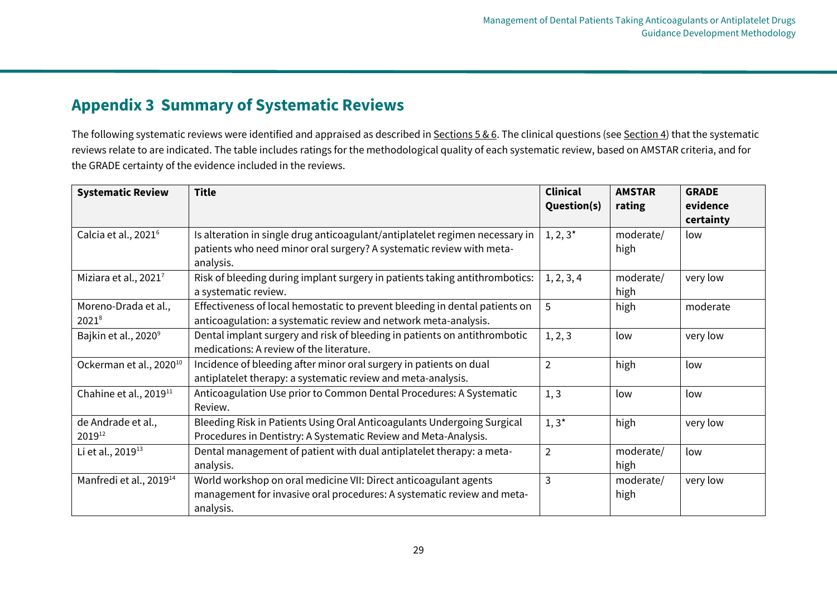# **Appendix 3 Summary of Systematic Reviews**

The following systematic reviews were identified and appraised as described in [Sections 5 & 6.](#page-5-1) The clinical questions (se[e Section](#page-4-2) 4) that the systematic reviews relate to are indicated. The table includes ratings for the methodological quality of each systematic review, based on AMSTAR criteria, and for the GRADE certainty of the evidence included in the reviews.

<span id="page-30-0"></span>

| <b>Systematic Review</b>            | <b>Title</b>                                                                 | <b>Clinical</b> | <b>AMSTAR</b> | <b>GRADE</b> |
|-------------------------------------|------------------------------------------------------------------------------|-----------------|---------------|--------------|
|                                     |                                                                              | Question(s)     | rating        | evidence     |
|                                     |                                                                              |                 |               | certainty    |
| Calcia et al., 2021 <sup>6</sup>    | Is alteration in single drug anticoagulant/antiplatelet regimen necessary in | $1, 2, 3^*$     | moderate/     | low          |
|                                     | patients who need minor oral surgery? A systematic review with meta-         |                 | high          |              |
|                                     | analysis.                                                                    |                 |               |              |
| Miziara et al., 2021 <sup>7</sup>   | Risk of bleeding during implant surgery in patients taking antithrombotics:  | 1, 2, 3, 4      | moderate/     | very low     |
|                                     | a systematic review.                                                         |                 | high          |              |
| Moreno-Drada et al.,                | Effectiveness of local hemostatic to prevent bleeding in dental patients on  | 5               | high          | moderate     |
| $2021^{8}$                          | anticoagulation: a systematic review and network meta-analysis.              |                 |               |              |
| Bajkin et al., 2020 <sup>9</sup>    | Dental implant surgery and risk of bleeding in patients on antithrombotic    | 1, 2, 3         | low           | very low     |
|                                     | medications: A review of the literature.                                     |                 |               |              |
| Ockerman et al., 2020 <sup>10</sup> | Incidence of bleeding after minor oral surgery in patients on dual           | $\overline{2}$  | high          | low          |
|                                     | antiplatelet therapy: a systematic review and meta-analysis.                 |                 |               |              |
| Chahine et al., 2019 <sup>11</sup>  | Anticoagulation Use prior to Common Dental Procedures: A Systematic          | 1, 3            | low           | low          |
|                                     | Review.                                                                      |                 |               |              |
| de Andrade et al.,                  | Bleeding Risk in Patients Using Oral Anticoagulants Undergoing Surgical      | $1,3^*$         | high          | very low     |
| 201912                              | Procedures in Dentistry: A Systematic Review and Meta-Analysis.              |                 |               |              |
| Li et al., 2019 <sup>13</sup>       | Dental management of patient with dual antiplatelet therapy: a meta-         | $\overline{2}$  | moderate/     | low          |
|                                     | analysis.                                                                    |                 | high          |              |
| Manfredi et al., 2019 <sup>14</sup> | World workshop on oral medicine VII: Direct anticoagulant agents             | 3               | moderate/     | very low     |
|                                     | management for invasive oral procedures: A systematic review and meta-       |                 | high          |              |
|                                     | analysis.                                                                    |                 |               |              |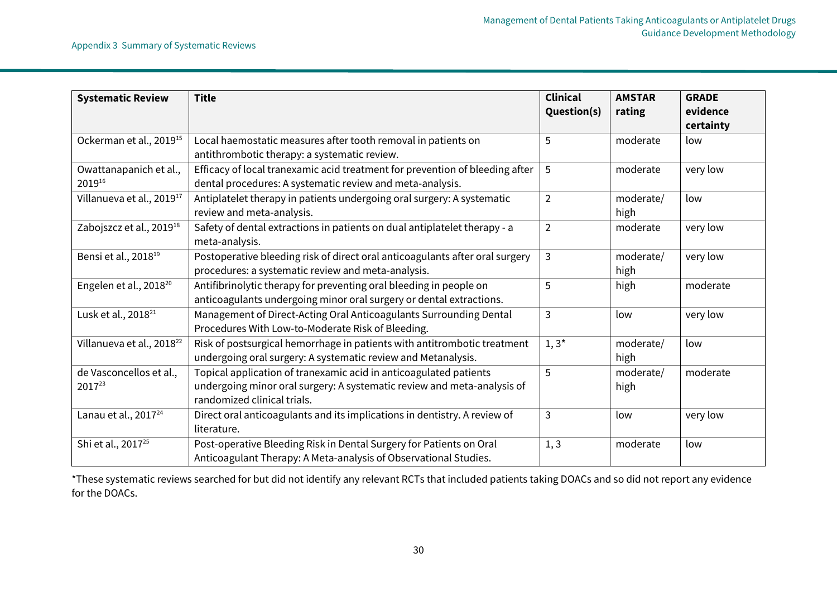| <b>Systematic Review</b>              | <b>Title</b>                                                                                                                                                                | <b>Clinical</b><br>Question(s) | <b>AMSTAR</b><br>rating | <b>GRADE</b><br>evidence<br>certainty |
|---------------------------------------|-----------------------------------------------------------------------------------------------------------------------------------------------------------------------------|--------------------------------|-------------------------|---------------------------------------|
| Ockerman et al., 2019 <sup>15</sup>   | Local haemostatic measures after tooth removal in patients on<br>antithrombotic therapy: a systematic review.                                                               | 5                              | moderate                | low                                   |
| Owattanapanich et al.,<br>201916      | Efficacy of local tranexamic acid treatment for prevention of bleeding after<br>dental procedures: A systematic review and meta-analysis.                                   | 5                              | moderate                | very low                              |
| Villanueva et al., 2019 <sup>17</sup> | Antiplatelet therapy in patients undergoing oral surgery: A systematic<br>review and meta-analysis.                                                                         | $\overline{2}$                 | moderate/<br>high       | low                                   |
| Zabojszcz et al., 2019 <sup>18</sup>  | Safety of dental extractions in patients on dual antiplatelet therapy - a<br>meta-analysis.                                                                                 | $\overline{2}$                 | moderate                | very low                              |
| Bensi et al., 2018 <sup>19</sup>      | Postoperative bleeding risk of direct oral anticoagulants after oral surgery<br>procedures: a systematic review and meta-analysis.                                          | 3                              | moderate/<br>high       | very low                              |
| Engelen et al., 2018 <sup>20</sup>    | Antifibrinolytic therapy for preventing oral bleeding in people on<br>anticoagulants undergoing minor oral surgery or dental extractions.                                   | 5                              | high                    | moderate                              |
| Lusk et al., 2018 <sup>21</sup>       | Management of Direct-Acting Oral Anticoagulants Surrounding Dental<br>Procedures With Low-to-Moderate Risk of Bleeding.                                                     | 3                              | low                     | very low                              |
| Villanueva et al., 2018 <sup>22</sup> | Risk of postsurgical hemorrhage in patients with antitrombotic treatment<br>undergoing oral surgery: A systematic review and Metanalysis.                                   | $1,3^*$                        | moderate/<br>high       | low                                   |
| de Vasconcellos et al.,<br>201723     | Topical application of tranexamic acid in anticoagulated patients<br>undergoing minor oral surgery: A systematic review and meta-analysis of<br>randomized clinical trials. | 5                              | moderate/<br>high       | moderate                              |
| Lanau et al., 2017 <sup>24</sup>      | Direct oral anticoagulants and its implications in dentistry. A review of<br>literature.                                                                                    | 3                              | low                     | very low                              |
| Shi et al., 2017 <sup>25</sup>        | Post-operative Bleeding Risk in Dental Surgery for Patients on Oral<br>Anticoagulant Therapy: A Meta-analysis of Observational Studies.                                     | 1, 3                           | moderate                | low                                   |

\*These systematic reviews searched for but did not identify any relevant RCTs that included patients taking DOACs and so did not report any evidence for the DOACs.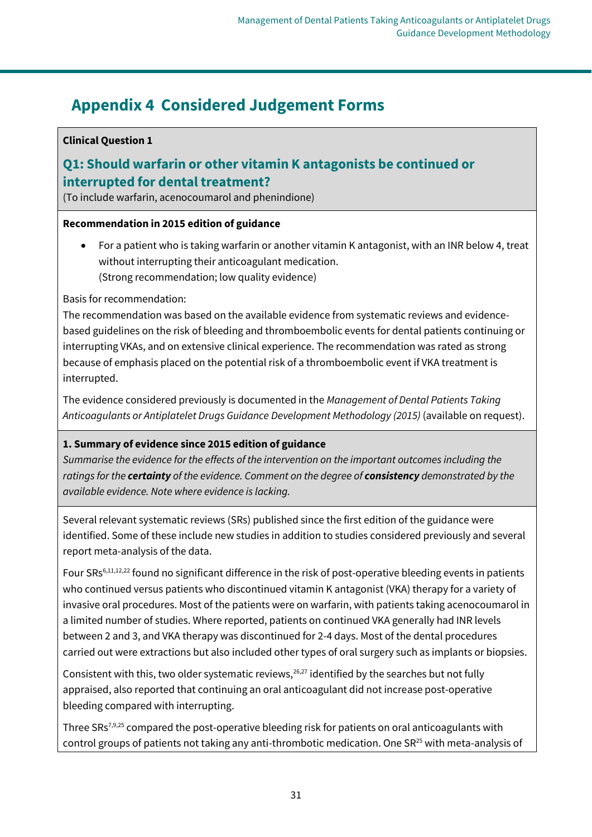# <span id="page-32-0"></span>**Appendix 4 Considered Judgement Forms**

### **Clinical Question 1**

# <span id="page-32-1"></span>**Q1: Should warfarin or other vitamin K antagonists be continued or interrupted for dental treatment?**

(To include warfarin, acenocoumarol and phenindione)

### **Recommendation in 2015 edition of guidance**

• For a patient who is taking warfarin or another vitamin K antagonist, with an INR below 4, treat without interrupting their anticoagulant medication. (Strong recommendation; low quality evidence)

Basis for recommendation:

The recommendation was based on the available evidence from systematic reviews and evidencebased guidelines on the risk of bleeding and thromboembolic events for dental patients continuing or interrupting VKAs, and on extensive clinical experience. The recommendation was rated as strong because of emphasis placed on the potential risk of a thromboembolic event if VKA treatment is interrupted.

The evidence considered previously is documented in the *Management of Dental Patients Taking Anticoagulants or Antiplatelet Drugs Guidance Development Methodology (2015)* (available on request).

### **1. Summary of evidence since 2015 edition of guidance**

*Summarise the evidence for the effects of the intervention on the important outcomes including the ratings for the certainty of the evidence. Comment on the degree of consistency demonstrated by the available evidence. Note where evidence is lacking.*

Several relevant systematic reviews (SRs) published since the first edition of the guidance were identified. Some of these include new studies in addition to studies considered previously and several report meta-analysis of the data.

Four SRs<sup>6,11,12,22</sup> found no significant difference in the risk of post-operative bleeding events in patients who continued versus patients who discontinued vitamin K antagonist (VKA) therapy for a variety of invasive oral procedures. Most of the patients were on warfarin, with patients taking acenocoumarol in a limited number of studies. Where reported, patients on continued VKA generally had INR levels between 2 and 3, and VKA therapy was discontinued for 2-4 days. Most of the dental procedures carried out were extractions but also included other types of oral surgery such as implants or biopsies.

Consistent with this, two older systematic reviews,  $26,27$  identified by the searches but not fully appraised, also reported that continuing an oral anticoagulant did not increase post-operative bleeding compared with interrupting.

Three SRs<sup>7,9,25</sup> compared the post-operative bleeding risk for patients on oral anticoagulants with control groups of patients not taking any anti-thrombotic medication. One  $SR^{25}$  with meta-analysis of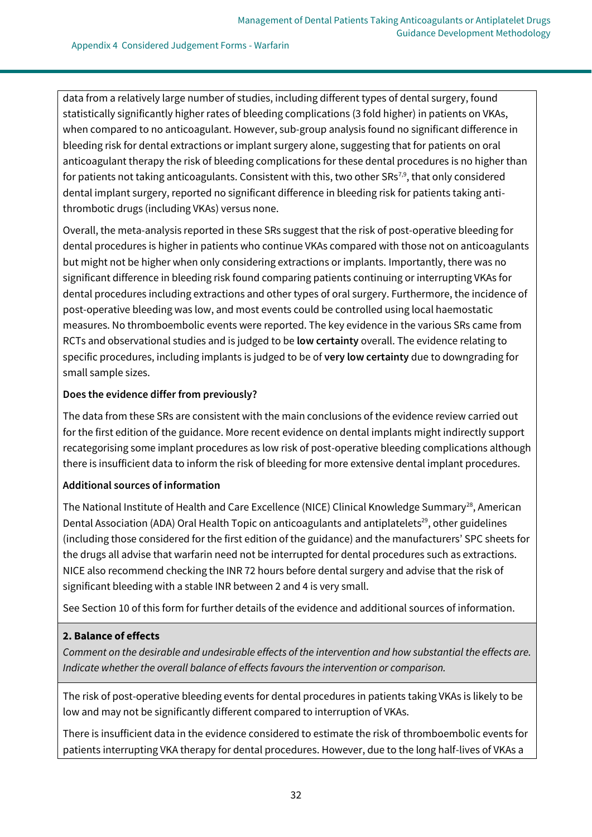data from a relatively large number of studies, including different types of dental surgery, found statistically significantly higher rates of bleeding complications (3 fold higher) in patients on VKAs, when compared to no anticoagulant. However, sub-group analysis found no significant difference in bleeding risk for dental extractions or implant surgery alone, suggesting that for patients on oral anticoagulant therapy the risk of bleeding complications for these dental procedures is no higher than for patients not taking anticoagulants. Consistent with this, two other  $SRS^{7,9}$ , that only considered dental implant surgery, reported no significant difference in bleeding risk for patients taking antithrombotic drugs (including VKAs) versus none.

Overall, the meta-analysis reported in these SRs suggest that the risk of post-operative bleeding for dental procedures is higher in patients who continue VKAs compared with those not on anticoagulants but might not be higher when only considering extractions or implants. Importantly, there was no significant difference in bleeding risk found comparing patients continuing or interrupting VKAs for dental procedures including extractions and other types of oral surgery. Furthermore, the incidence of post-operative bleeding was low, and most events could be controlled using local haemostatic measures. No thromboembolic events were reported. The key evidence in the various SRs came from RCTs and observational studies and is judged to be **low certainty** overall. The evidence relating to specific procedures, including implants is judged to be of **very low certainty** due to downgrading for small sample sizes.

#### **Does the evidence differ from previously?**

The data from these SRs are consistent with the main conclusions of the evidence review carried out for the first edition of the guidance. More recent evidence on dental implants might indirectly support recategorising some implant procedures as low risk of post-operative bleeding complications although there is insufficient data to inform the risk of bleeding for more extensive dental implant procedures.

### **Additional sources of information**

The National Institute of Health and Care Excellence (NICE) Clinical Knowledge Summary<sup>28</sup>, American Dental Association (ADA) Oral Health Topic on anticoagulants and antiplatelets<sup>29</sup>, other guidelines (including those considered for the first edition of the guidance) and the manufacturers' SPC sheets for the drugs all advise that warfarin need not be interrupted for dental procedures such as extractions. NICE also recommend checking the INR 72 hours before dental surgery and advise that the risk of significant bleeding with a stable INR between 2 and 4 is very small.

See Section 10 of this form for further details of the evidence and additional sources of information.

### **2. Balance of effects**

*Comment on the desirable and undesirable effects of the intervention and how substantial the effects are. Indicate whether the overall balance of effects favours the intervention or comparison.*

The risk of post-operative bleeding events for dental procedures in patients taking VKAs is likely to be low and may not be significantly different compared to interruption of VKAs.

There is insufficient data in the evidence considered to estimate the risk of thromboembolic events for patients interrupting VKA therapy for dental procedures. However, due to the long half-lives of VKAs a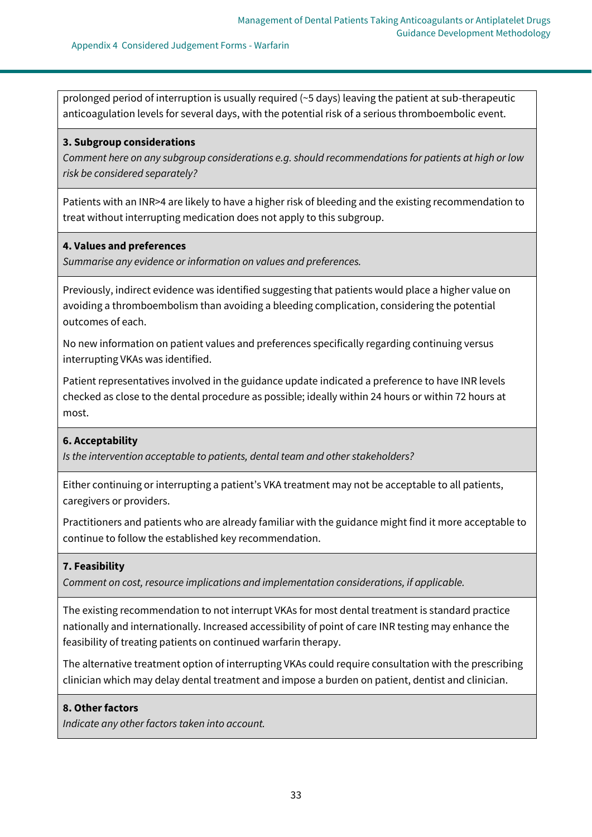prolonged period of interruption is usually required (~5 days) leaving the patient at sub-therapeutic anticoagulation levels for several days, with the potential risk of a serious thromboembolic event.

#### **3. Subgroup considerations**

*Comment here on any subgroup considerations e.g. should recommendations for patients at high or low risk be considered separately?*

Patients with an INR>4 are likely to have a higher risk of bleeding and the existing recommendation to treat without interrupting medication does not apply to this subgroup.

#### **4. Values and preferences**

*Summarise any evidence or information on values and preferences.*

Previously, indirect evidence was identified suggesting that patients would place a higher value on avoiding a thromboembolism than avoiding a bleeding complication, considering the potential outcomes of each.

No new information on patient values and preferences specifically regarding continuing versus interrupting VKAs was identified.

Patient representatives involved in the guidance update indicated a preference to have INR levels checked as close to the dental procedure as possible; ideally within 24 hours or within 72 hours at most.

#### **6. Acceptability**

*Is the intervention acceptable to patients, dental team and other stakeholders?*

Either continuing or interrupting a patient's VKA treatment may not be acceptable to all patients, caregivers or providers.

Practitioners and patients who are already familiar with the guidance might find it more acceptable to continue to follow the established key recommendation.

#### **7. Feasibility**

*Comment on cost, resource implications and implementation considerations, if applicable.*

The existing recommendation to not interrupt VKAs for most dental treatment is standard practice nationally and internationally. Increased accessibility of point of care INR testing may enhance the feasibility of treating patients on continued warfarin therapy.

The alternative treatment option of interrupting VKAs could require consultation with the prescribing clinician which may delay dental treatment and impose a burden on patient, dentist and clinician.

#### **8. Other factors**

*Indicate any other factors taken into account.*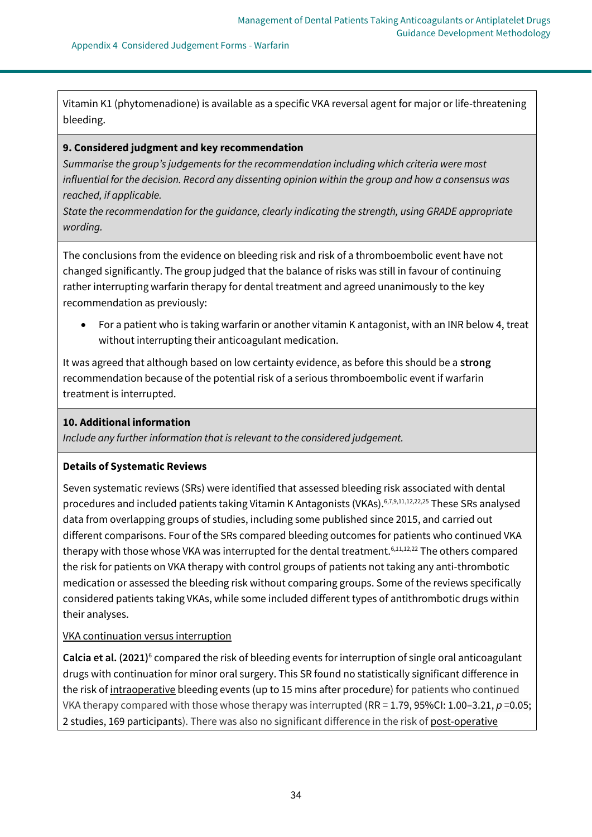Vitamin K1 (phytomenadione) is available as a specific VKA reversal agent for major or life-threatening bleeding.

#### **9. Considered judgment and key recommendation**

*Summarise the group's judgements for the recommendation including which criteria were most influential for the decision. Record any dissenting opinion within the group and how a consensus was reached, if applicable.*

*State the recommendation for the guidance, clearly indicating the strength, using GRADE appropriate wording.*

The conclusions from the evidence on bleeding risk and risk of a thromboembolic event have not changed significantly. The group judged that the balance of risks was still in favour of continuing rather interrupting warfarin therapy for dental treatment and agreed unanimously to the key recommendation as previously:

• For a patient who is taking warfarin or another vitamin K antagonist, with an INR below 4, treat without interrupting their anticoagulant medication.

It was agreed that although based on low certainty evidence, as before this should be a **strong** recommendation because of the potential risk of a serious thromboembolic event if warfarin treatment is interrupted.

### **10. Additional information**

*Include any further information that is relevant to the considered judgement.*

### **Details of Systematic Reviews**

Seven systematic reviews (SRs) were identified that assessed bleeding risk associated with dental procedures and included patients taking Vitamin K Antagonists (VKAs).<sup>6,7,9,11,12,22,25</sup> These SRs analysed data from overlapping groups of studies, including some published since 2015, and carried out different comparisons. Four of the SRs compared bleeding outcomes for patients who continued VKA therapy with those whose VKA was interrupted for the dental treatment.<sup>6,11,12,22</sup> The others compared the risk for patients on VKA therapy with control groups of patients not taking any anti-thrombotic medication or assessed the bleeding risk without comparing groups. Some of the reviews specifically considered patients taking VKAs, while some included different types of antithrombotic drugs within their analyses.

### VKA continuation versus interruption

Calcia et al. (2021)<sup>6</sup> compared the risk of bleeding events for interruption of single oral anticoagulant drugs with continuation for minor oral surgery. This SR found no statistically significant difference in the risk of intraoperative bleeding events (up to 15 mins after procedure) for patients who continued VKA therapy compared with those whose therapy was interrupted  $(RR = 1.79, 95\% CI: 1.00-3.21, p = 0.05;$ 2 studies, 169 participants). There was also no significant difference in the risk of post-operative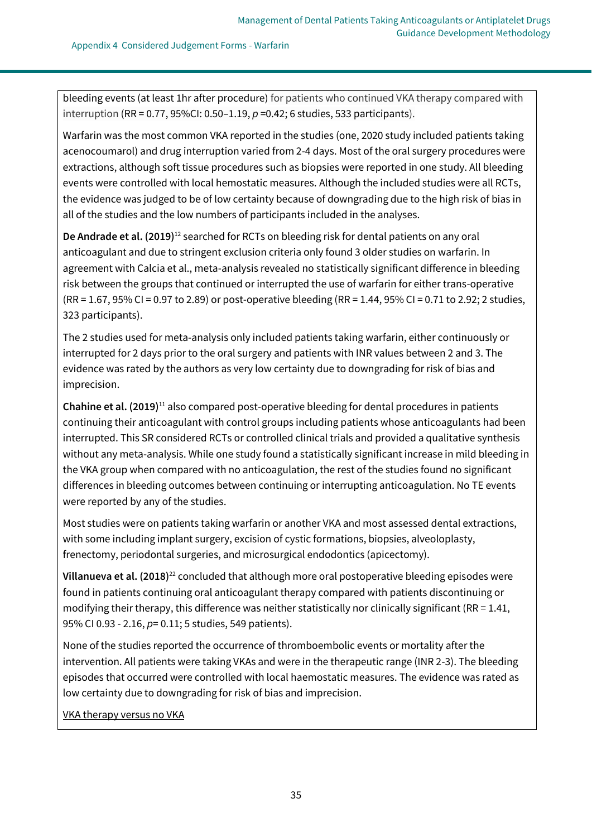Appendix 4 Considered Judgement Forms - Warfarin

bleeding events (at least 1hr after procedure) for patients who continued VKA therapy compared with interruption (RR = 0.77, 95%CI: 0.50–1.19, *p* =0.42; 6 studies, 533 participants).

Warfarin was the most common VKA reported in the studies (one, 2020 study included patients taking acenocoumarol) and drug interruption varied from 2-4 days. Most of the oral surgery procedures were extractions, although soft tissue procedures such as biopsies were reported in one study. All bleeding events were controlled with local hemostatic measures. Although the included studies were all RCTs, the evidence was judged to be of low certainty because of downgrading due to the high risk of bias in all of the studies and the low numbers of participants included in the analyses.

**De Andrade et al. (2019)**<sup>12</sup> searched for RCTs on bleeding risk for dental patients on any oral anticoagulant and due to stringent exclusion criteria only found 3 older studies on warfarin. In agreement with Calcia et al., meta-analysis revealed no statistically significant difference in bleeding risk between the groups that continued or interrupted the use of warfarin for either trans-operative (RR = 1.67, 95% CI = 0.97 to 2.89) or post-operative bleeding (RR = 1.44, 95% CI = 0.71 to 2.92; 2 studies, 323 participants).

The 2 studies used for meta-analysis only included patients taking warfarin, either continuously or interrupted for 2 days prior to the oral surgery and patients with INR values between 2 and 3. The evidence was rated by the authors as very low certainty due to downgrading for risk of bias and imprecision.

**Chahine et al. (2019)**<sup>11</sup> also compared post-operative bleeding for dental procedures in patients continuing their anticoagulant with control groups including patients whose anticoagulants had been interrupted. This SR considered RCTs or controlled clinical trials and provided a qualitative synthesis without any meta-analysis. While one study found a statistically significant increase in mild bleeding in the VKA group when compared with no anticoagulation, the rest of the studies found no significant differences in bleeding outcomes between continuing or interrupting anticoagulation. No TE events were reported by any of the studies.

Most studies were on patients taking warfarin or another VKA and most assessed dental extractions, with some including implant surgery, excision of cystic formations, biopsies, alveoloplasty, frenectomy, periodontal surgeries, and microsurgical endodontics (apicectomy).

**Villanueva et al. (2018)**<sup>22</sup> concluded that although more oral postoperative bleeding episodes were found in patients continuing oral anticoagulant therapy compared with patients discontinuing or modifying their therapy, this difference was neither statistically nor clinically significant (RR = 1.41, 95% CI 0.93 - 2.16, *p*= 0.11; 5 studies, 549 patients).

None of the studies reported the occurrence of thromboembolic events or mortality after the intervention. All patients were taking VKAs and were in the therapeutic range (INR 2-3). The bleeding episodes that occurred were controlled with local haemostatic measures. The evidence was rated as low certainty due to downgrading for risk of bias and imprecision.

VKA therapy versus no VKA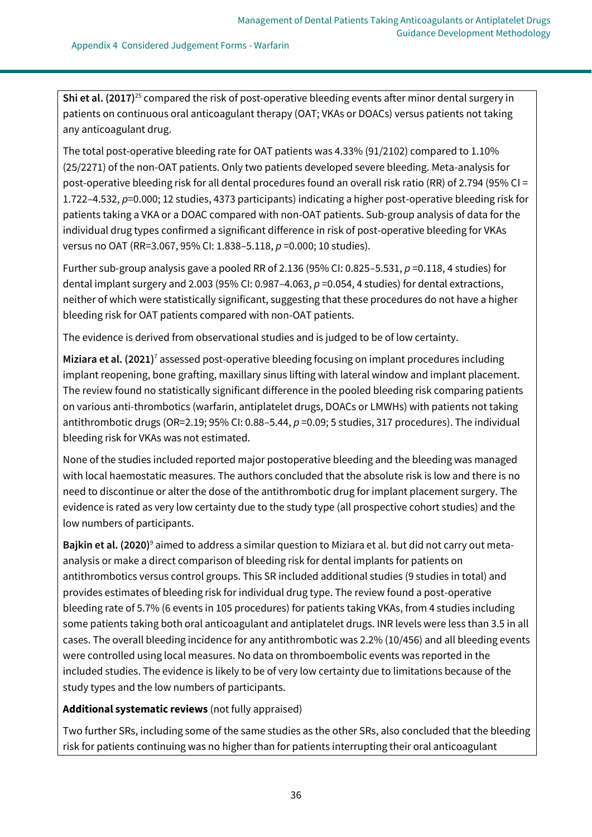**Shi et al. (2017)**<sup>25</sup> compared the risk of post-operative bleeding events after minor dental surgery in patients on continuous oral anticoagulant therapy (OAT; VKAs or DOACs) versus patients not taking any anticoagulant drug.

The total post-operative bleeding rate for OAT patients was 4.33% (91/2102) compared to 1.10% (25/2271) of the non-OAT patients. Only two patients developed severe bleeding. Meta-analysis for post-operative bleeding risk for all dental procedures found an overall risk ratio (RR) of 2.794 (95% CI = 1.722–4.532, *p*=0.000; 12 studies, 4373 participants) indicating a higher post-operative bleeding risk for patients taking a VKA or a DOAC compared with non-OAT patients. Sub-group analysis of data for the individual drug types confirmed a significant difference in risk of post-operative bleeding for VKAs versus no OAT (RR=3.067, 95% CI: 1.838–5.118, *p* =0.000; 10 studies).

Further sub-group analysis gave a pooled RR of 2.136 (95% CI: 0.825–5.531, *p* =0.118, 4 studies) for dental implant surgery and 2.003 (95% CI: 0.987–4.063, *p* =0.054, 4 studies) for dental extractions, neither of which were statistically significant, suggesting that these procedures do not have a higher bleeding risk for OAT patients compared with non-OAT patients.

The evidence is derived from observational studies and is judged to be of low certainty.

**Miziara et al. (2021)**<sup>7</sup> assessed post-operative bleeding focusing on implant procedures including implant reopening, bone grafting, maxillary sinus lifting with lateral window and implant placement. The review found no statistically significant difference in the pooled bleeding risk comparing patients on various anti-thrombotics (warfarin, antiplatelet drugs, DOACs or LMWHs) with patients not taking antithrombotic drugs (OR=2.19; 95% CI: 0.88–5.44, *p* =0.09; 5 studies, 317 procedures). The individual bleeding risk for VKAs was not estimated.

None of the studies included reported major postoperative bleeding and the bleeding was managed with local haemostatic measures. The authors concluded that the absolute risk is low and there is no need to discontinue or alter the dose of the antithrombotic drug for implant placement surgery. The evidence is rated as very low certainty due to the study type (all prospective cohort studies) and the low numbers of participants.

**Bajkin et al. (2020)**<sup>9</sup> aimed to address a similar question to Miziara et al. but did not carry out metaanalysis or make a direct comparison of bleeding risk for dental implants for patients on antithrombotics versus control groups. This SR included additional studies (9 studies in total) and provides estimates of bleeding risk for individual drug type. The review found a post-operative bleeding rate of 5.7% (6 events in 105 procedures) for patients taking VKAs, from 4 studies including some patients taking both oral anticoagulant and antiplatelet drugs. INR levels were less than 3.5 in all cases. The overall bleeding incidence for any antithrombotic was 2.2% (10/456) and all bleeding events were controlled using local measures. No data on thromboembolic events was reported in the included studies. The evidence is likely to be of very low certainty due to limitations because of the study types and the low numbers of participants.

# **Additional systematic reviews** (not fully appraised)

Two further SRs, including some of the same studies as the other SRs, also concluded that the bleeding risk for patients continuing was no higher than for patients interrupting their oral anticoagulant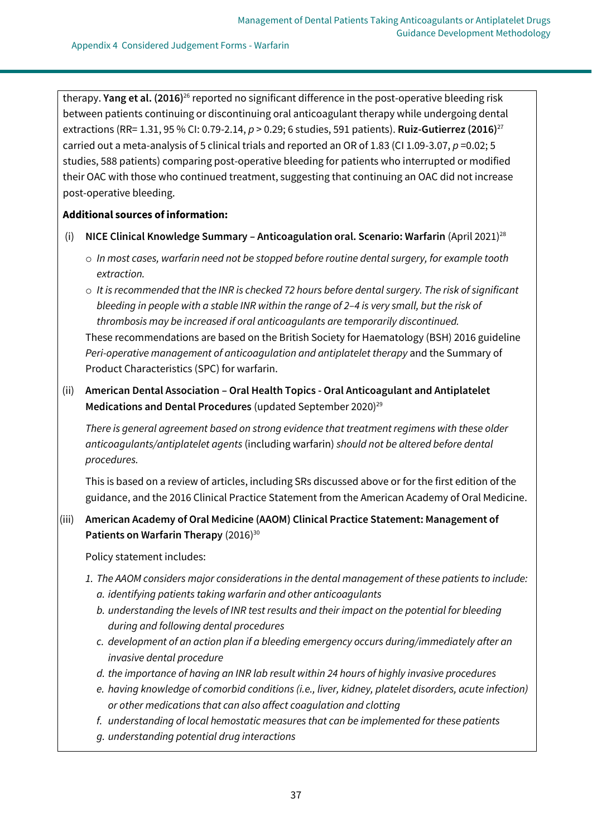therapy. **Yang et al. (2016)**<sup>26</sup> reported no significant difference in the post-operative bleeding risk between patients continuing or discontinuing oral anticoagulant therapy while undergoing dental extractions (RR= 1.31, 95 % CI: 0.79-2.14, *p* > 0.29; 6 studies, 591 patients). **Ruiz-Gutierrez (2016)**<sup>27</sup> carried out a meta-analysis of 5 clinical trials and reported an OR of 1.83 (CI 1.09-3.07, *p* =0.02; 5 studies, 588 patients) comparing post-operative bleeding for patients who interrupted or modified their OAC with those who continued treatment, suggesting that continuing an OAC did not increase post-operative bleeding.

# **Additional sources of information:**

- (i) **NICE Clinical Knowledge Summary – Anticoagulation oral. Scenario: Warfarin** (April 2021)<sup>28</sup>
	- o *In most cases, warfarin need not be stopped before routine dental surgery, for example tooth extraction.*
	- o *It is recommended that the INR is checked 72 hours before dental surgery. The risk of significant bleeding in people with a stable INR within the range of 2–4 is very small, but the risk of thrombosis may be increased if oral anticoagulants are temporarily discontinued.* These recommendations are based on the British Society for Haematology (BSH) 2016 guideline *Peri-operative management of anticoagulation and antiplatelet therapy* and the Summary of Product Characteristics (SPC) for warfarin.
- (ii) **American Dental Association – Oral Health Topics - Oral Anticoagulant and Antiplatelet**  Medications and Dental Procedures (updated September 2020)<sup>29</sup>

*There is general agreement based on strong evidence that treatment regimens with these older anticoagulants/antiplatelet agents* (including warfarin) *should not be altered before dental procedures.*

This is based on a review of articles, including SRs discussed above or for the first edition of the guidance, and the 2016 Clinical Practice Statement from the American Academy of Oral Medicine.

# (iii) **American Academy of Oral Medicine (AAOM) Clinical Practice Statement: Management of Patients on Warfarin Therapy** (2016)<sup>30</sup>

Policy statement includes:

- *1. The AAOM considers major considerations in the dental management of these patients to include: a. identifying patients taking warfarin and other anticoagulants*
	- *b. understanding the levels of INR test results and their impact on the potential for bleeding during and following dental procedures*
	- *c. development of an action plan if a bleeding emergency occurs during/immediately after an invasive dental procedure*
	- *d. the importance of having an INR lab result within 24 hours of highly invasive procedures*
	- *e. having knowledge of comorbid conditions (i.e., liver, kidney, platelet disorders, acute infection) or other medications that can also affect coagulation and clotting*
	- *f. understanding of local hemostatic measures that can be implemented for these patients*
	- *g. understanding potential drug interactions*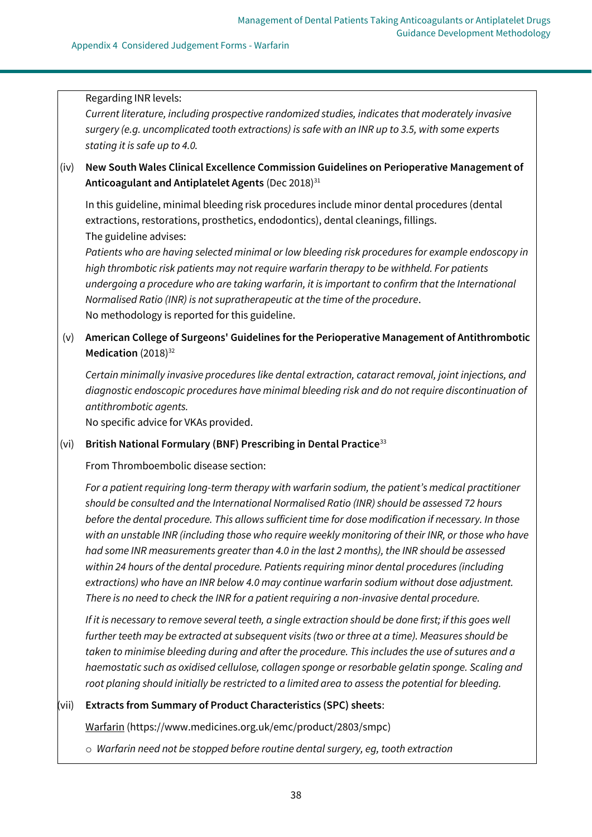#### Regarding INR levels:

*Current literature, including prospective randomized studies, indicates that moderately invasive surgery (e.g. uncomplicated tooth extractions) is safe with an INR up to 3.5, with some experts stating it is safe up to 4.0.*

(iv) **New South Wales Clinical Excellence Commission Guidelines on Perioperative Management of**  Anticoagulant and Antiplatelet Agents (Dec 2018)<sup>31</sup>

In this guideline, minimal bleeding risk procedures include minor dental procedures (dental extractions, restorations, prosthetics, endodontics), dental cleanings, fillings. The guideline advises:

*Patients who are having selected minimal or low bleeding risk procedures for example endoscopy in high thrombotic risk patients may not require warfarin therapy to be withheld. For patients undergoing a procedure who are taking warfarin, it is important to confirm that the International Normalised Ratio (INR) is not supratherapeutic at the time of the procedure*. No methodology is reported for this guideline.

# (v) **American College of Surgeons' Guidelines for the Perioperative Management of Antithrombotic**  Medication (2018)<sup>32</sup>

*Certain minimally invasive procedures like dental extraction, cataract removal, joint injections, and diagnostic endoscopic procedures have minimal bleeding risk and do not require discontinuation of antithrombotic agents.*

No specific advice for VKAs provided.

### (vi) **British National Formulary (BNF) Prescribing in Dental Practice**<sup>33</sup>

From Thromboembolic disease section:

*For a patient requiring long-term therapy with warfarin sodium, the patient's medical practitioner should be consulted and the International Normalised Ratio (INR) should be assessed 72 hours before the dental procedure. This allows sufficient time for dose modification if necessary. In those with an unstable INR (including those who require weekly monitoring of their INR, or those who have had some INR measurements greater than 4.0 in the last 2 months), the INR should be assessed within 24 hours of the dental procedure. Patients requiring minor dental procedures (including extractions) who have an INR below 4.0 may continue warfarin sodium without dose adjustment. There is no need to check the INR for a patient requiring a non-invasive dental procedure.*

*If it is necessary to remove several teeth, a single extraction should be done first; if this goes well further teeth may be extracted at subsequent visits (two or three at a time). Measures should be taken to minimise bleeding during and after the procedure. This includes the use of sutures and a haemostatic such as oxidised cellulose, collagen sponge or resorbable gelatin sponge. Scaling and root planing should initially be restricted to a limited area to assess the potential for bleeding.*

### (vii) **Extracts from Summary of Product Characteristics (SPC) sheets**:

Warfarin [\(https://www.medicines.org.uk/emc/product/2803/smpc\)](https://www.medicines.org.uk/emc/product/2803/smpc)

o *Warfarin need not be stopped before routine dental surgery, eg, tooth extraction*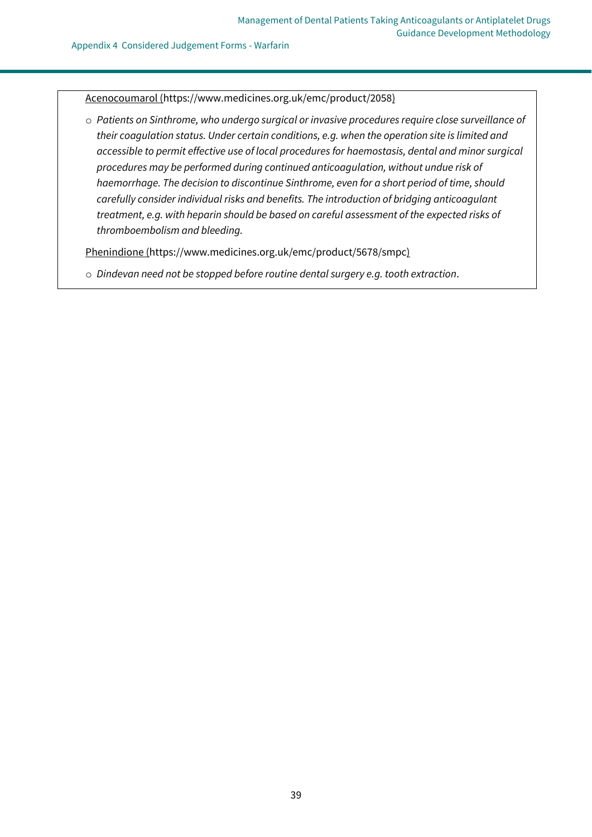#### Appendix 4 Considered Judgement Forms - Warfarin

Acenocoumarol [\(https://www.medicines.org.uk/emc/product/2058\)](https://www.medicines.org.uk/emc/product/2058)

o *Patients on Sinthrome, who undergo surgical or invasive procedures require close surveillance of their coagulation status. Under certain conditions, e.g. when the operation site is limited and accessible to permit effective use of local procedures for haemostasis, dental and minor surgical procedures may be performed during continued anticoagulation, without undue risk of haemorrhage. The decision to discontinue Sinthrome, even for a short period of time, should carefully consider individual risks and benefits. The introduction of bridging anticoagulant treatment, e.g. with heparin should be based on careful assessment of the expected risks of thromboembolism and bleeding.*

Phenindione [\(https://www.medicines.org.uk/emc/product/5678/smpc\)](https://www.medicines.org.uk/emc/product/5678/smpc)

o *Dindevan need not be stopped before routine dental surgery e.g. tooth extraction*.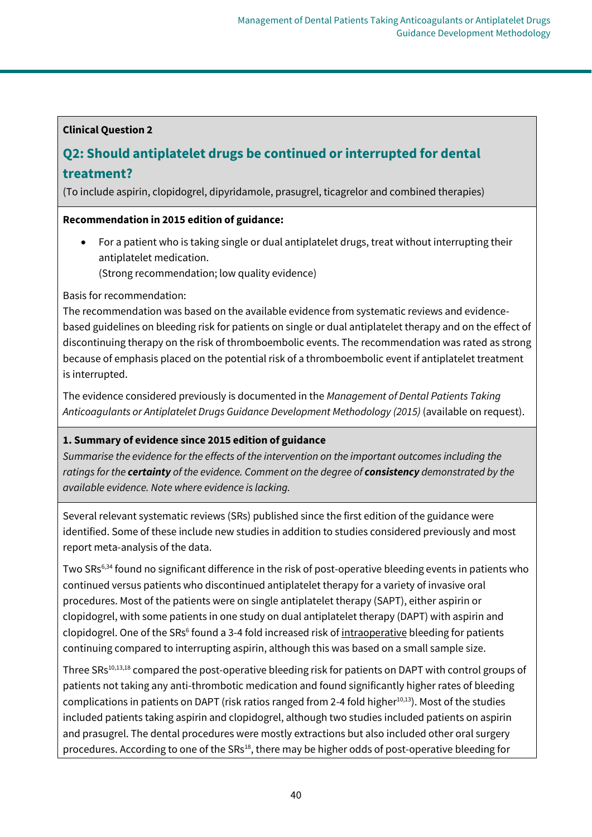# **Clinical Question 2**

# **Q2: Should antiplatelet drugs be continued or interrupted for dental treatment?**

(To include aspirin, clopidogrel, dipyridamole, prasugrel, ticagrelor and combined therapies)

# **Recommendation in 2015 edition of guidance:**

• For a patient who is taking single or dual antiplatelet drugs, treat without interrupting their antiplatelet medication.

(Strong recommendation; low quality evidence)

Basis for recommendation:

The recommendation was based on the available evidence from systematic reviews and evidencebased guidelines on bleeding risk for patients on single or dual antiplatelet therapy and on the effect of discontinuing therapy on the risk of thromboembolic events. The recommendation was rated as strong because of emphasis placed on the potential risk of a thromboembolic event if antiplatelet treatment is interrupted.

The evidence considered previously is documented in the *Management of Dental Patients Taking Anticoagulants or Antiplatelet Drugs Guidance Development Methodology (2015)* (available on request).

# **1. Summary of evidence since 2015 edition of guidance**

*Summarise the evidence for the effects of the intervention on the important outcomes including the ratings for the certainty of the evidence. Comment on the degree of consistency demonstrated by the available evidence. Note where evidence is lacking.*

Several relevant systematic reviews (SRs) published since the first edition of the guidance were identified. Some of these include new studies in addition to studies considered previously and most report meta-analysis of the data.

Two SRs<sup>6,34</sup> found no significant difference in the risk of post-operative bleeding events in patients who continued versus patients who discontinued antiplatelet therapy for a variety of invasive oral procedures. Most of the patients were on single antiplatelet therapy (SAPT), either aspirin or clopidogrel, with some patients in one study on dual antiplatelet therapy (DAPT) with aspirin and clopidogrel. One of the SRs<sup>6</sup> found a 3-4 fold increased risk of intraoperative bleeding for patients continuing compared to interrupting aspirin, although this was based on a small sample size.

Three SRs<sup>10,13,18</sup> compared the post-operative bleeding risk for patients on DAPT with control groups of patients not taking any anti-thrombotic medication and found significantly higher rates of bleeding complications in patients on DAPT (risk ratios ranged from 2-4 fold higher<sup>10,13</sup>). Most of the studies included patients taking aspirin and clopidogrel, although two studies included patients on aspirin and prasugrel. The dental procedures were mostly extractions but also included other oral surgery procedures. According to one of the SRs<sup>18</sup>, there may be higher odds of post-operative bleeding for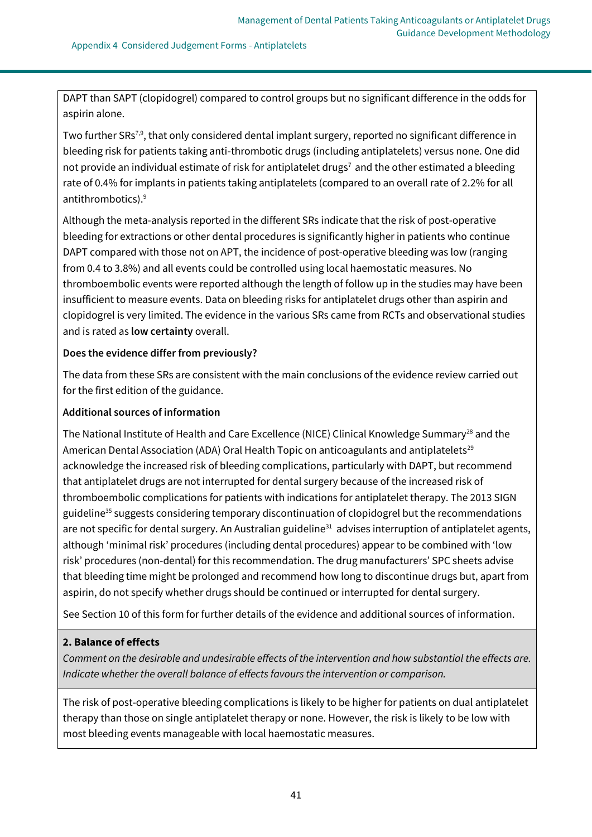DAPT than SAPT (clopidogrel) compared to control groups but no significant difference in the odds for aspirin alone.

Two further SRs<sup>7,9</sup>, that only considered dental implant surgery, reported no significant difference in bleeding risk for patients taking anti-thrombotic drugs (including antiplatelets) versus none. One did not provide an individual estimate of risk for antiplatelet drugs<sup>7</sup> and the other estimated a bleeding rate of 0.4% for implants in patients taking antiplatelets (compared to an overall rate of 2.2% for all antithrombotics).<sup>9</sup>

Although the meta-analysis reported in the different SRs indicate that the risk of post-operative bleeding for extractions or other dental procedures is significantly higher in patients who continue DAPT compared with those not on APT, the incidence of post-operative bleeding was low (ranging from 0.4 to 3.8%) and all events could be controlled using local haemostatic measures. No thromboembolic events were reported although the length of follow up in the studies may have been insufficient to measure events. Data on bleeding risks for antiplatelet drugs other than aspirin and clopidogrel is very limited. The evidence in the various SRs came from RCTs and observational studies and is rated as **low certainty** overall.

# **Does the evidence differ from previously?**

The data from these SRs are consistent with the main conclusions of the evidence review carried out for the first edition of the guidance.

# **Additional sources of information**

The National Institute of Health and Care Excellence (NICE) Clinical Knowledge Summary<sup>28</sup> and the American Dental Association (ADA) Oral Health Topic on anticoagulants and antiplatelets<sup>29</sup> acknowledge the increased risk of bleeding complications, particularly with DAPT, but recommend that antiplatelet drugs are not interrupted for dental surgery because of the increased risk of thromboembolic complications for patients with indications for antiplatelet therapy. The 2013 SIGN guideline<sup>35</sup> suggests considering temporary discontinuation of clopidogrel but the recommendations are not specific for dental surgery. An Australian guideline<sup>31</sup> advises interruption of antiplatelet agents, although 'minimal risk' procedures (including dental procedures) appear to be combined with 'low risk' procedures (non-dental) for this recommendation. The drug manufacturers' SPC sheets advise that bleeding time might be prolonged and recommend how long to discontinue drugs but, apart from aspirin, do not specify whether drugs should be continued or interrupted for dental surgery.

See Section 10 of this form for further details of the evidence and additional sources of information.

# **2. Balance of effects**

*Comment on the desirable and undesirable effects of the intervention and how substantial the effects are. Indicate whether the overall balance of effects favours the intervention or comparison.*

The risk of post-operative bleeding complications is likely to be higher for patients on dual antiplatelet therapy than those on single antiplatelet therapy or none. However, the risk is likely to be low with most bleeding events manageable with local haemostatic measures.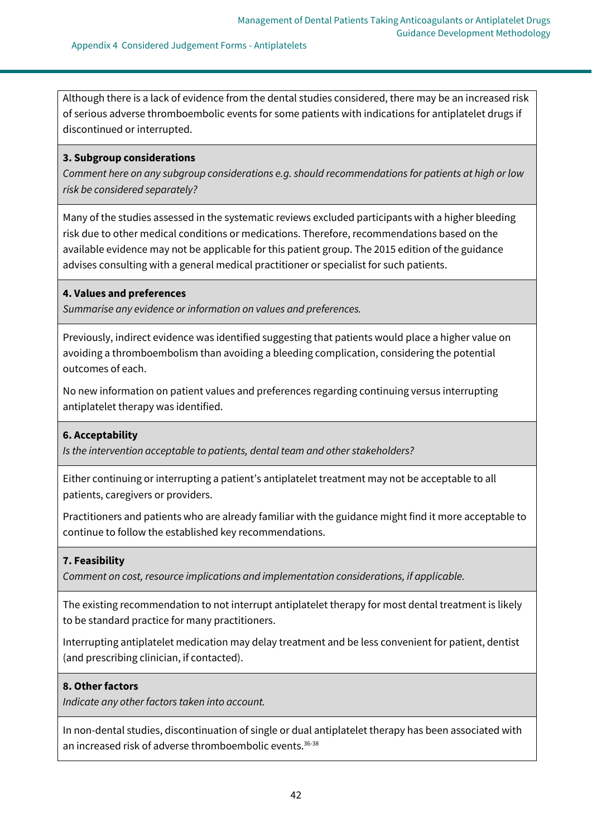Although there is a lack of evidence from the dental studies considered, there may be an increased risk of serious adverse thromboembolic events for some patients with indications for antiplatelet drugs if discontinued or interrupted.

#### **3. Subgroup considerations**

*Comment here on any subgroup considerations e.g. should recommendations for patients at high or low risk be considered separately?*

Many of the studies assessed in the systematic reviews excluded participants with a higher bleeding risk due to other medical conditions or medications. Therefore, recommendations based on the available evidence may not be applicable for this patient group. The 2015 edition of the guidance advises consulting with a general medical practitioner or specialist for such patients.

### **4. Values and preferences**

*Summarise any evidence or information on values and preferences.*

Previously, indirect evidence was identified suggesting that patients would place a higher value on avoiding a thromboembolism than avoiding a bleeding complication, considering the potential outcomes of each.

No new information on patient values and preferences regarding continuing versus interrupting antiplatelet therapy was identified.

### **6. Acceptability**

*Is the intervention acceptable to patients, dental team and other stakeholders?*

Either continuing or interrupting a patient's antiplatelet treatment may not be acceptable to all patients, caregivers or providers.

Practitioners and patients who are already familiar with the guidance might find it more acceptable to continue to follow the established key recommendations.

### **7. Feasibility**

*Comment on cost, resource implications and implementation considerations, if applicable.*

The existing recommendation to not interrupt antiplatelet therapy for most dental treatment is likely to be standard practice for many practitioners.

Interrupting antiplatelet medication may delay treatment and be less convenient for patient, dentist (and prescribing clinician, if contacted).

#### **8. Other factors**

*Indicate any other factors taken into account.*

In non-dental studies, discontinuation of single or dual antiplatelet therapy has been associated with an increased risk of adverse thromboembolic events.<sup>36-38</sup>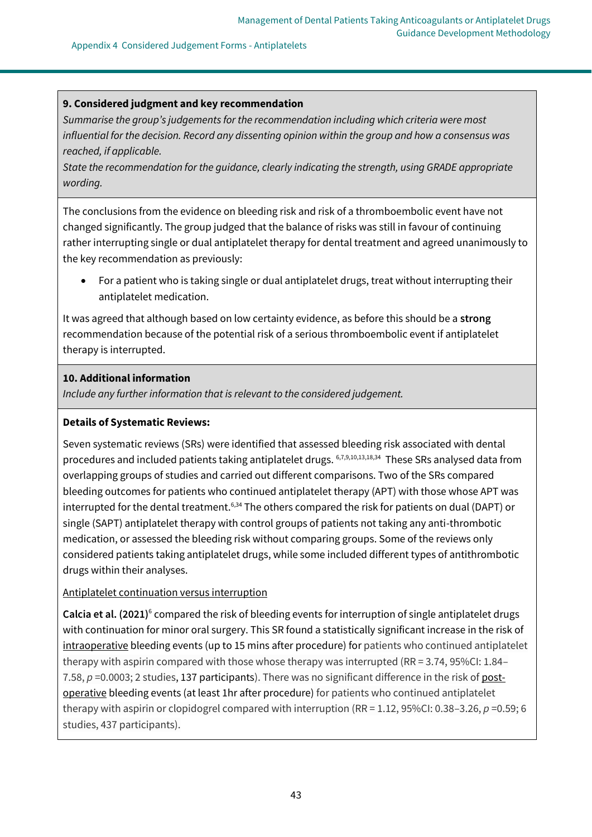#### Appendix 4 Considered Judgement Forms - Antiplatelets

## **9. Considered judgment and key recommendation**

*Summarise the group's judgements for the recommendation including which criteria were most influential for the decision. Record any dissenting opinion within the group and how a consensus was reached, if applicable.*

*State the recommendation for the guidance, clearly indicating the strength, using GRADE appropriate wording.*

The conclusions from the evidence on bleeding risk and risk of a thromboembolic event have not changed significantly. The group judged that the balance of risks was still in favour of continuing rather interrupting single or dual antiplatelet therapy for dental treatment and agreed unanimously to the key recommendation as previously:

• For a patient who is taking single or dual antiplatelet drugs, treat without interrupting their antiplatelet medication.

It was agreed that although based on low certainty evidence, as before this should be a **strong** recommendation because of the potential risk of a serious thromboembolic event if antiplatelet therapy is interrupted.

# **10. Additional information**

*Include any further information that is relevant to the considered judgement.*

### **Details of Systematic Reviews:**

Seven systematic reviews (SRs) were identified that assessed bleeding risk associated with dental procedures and included patients taking antiplatelet drugs. 6,7,9,10,13,18,34 These SRs analysed data from overlapping groups of studies and carried out different comparisons. Two of the SRs compared bleeding outcomes for patients who continued antiplatelet therapy (APT) with those whose APT was interrupted for the dental treatment.<sup>6,34</sup> The others compared the risk for patients on dual (DAPT) or single (SAPT) antiplatelet therapy with control groups of patients not taking any anti-thrombotic medication, or assessed the bleeding risk without comparing groups. Some of the reviews only considered patients taking antiplatelet drugs, while some included different types of antithrombotic drugs within their analyses.

### Antiplatelet continuation versus interruption

Calcia et al. (2021)<sup>6</sup> compared the risk of bleeding events for interruption of single antiplatelet drugs with continuation for minor oral surgery. This SR found a statistically significant increase in the risk of intraoperative bleeding events (up to 15 mins after procedure) for patients who continued antiplatelet therapy with aspirin compared with those whose therapy was interrupted (RR = 3.74, 95%CI: 1.84– 7.58,  $p = 0.0003$ ; 2 studies, 137 participants). There was no significant difference in the risk of postoperative bleeding events (at least 1hr after procedure) for patients who continued antiplatelet therapy with aspirin or clopidogrel compared with interruption (RR = 1.12, 95%CI: 0.38–3.26, *p* =0.59; 6 studies, 437 participants).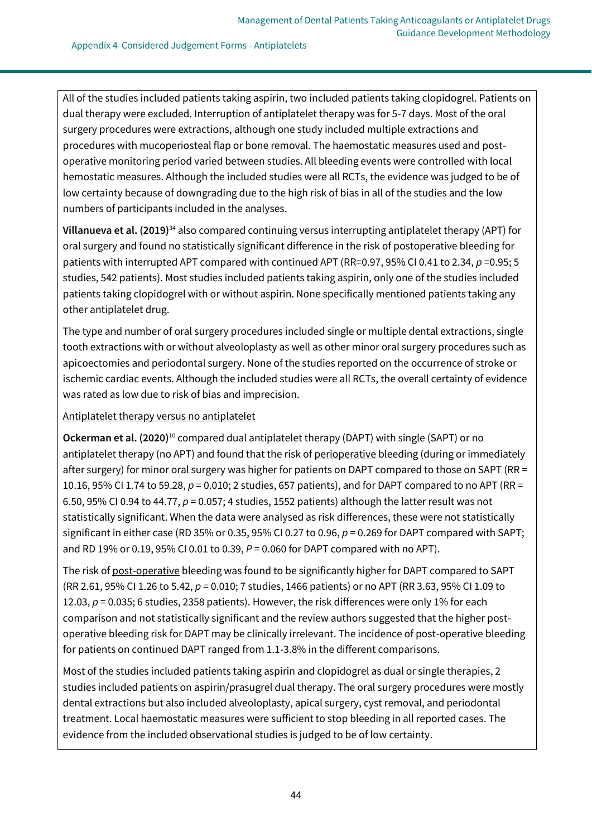All of the studies included patients taking aspirin, two included patients taking clopidogrel. Patients on dual therapy were excluded. Interruption of antiplatelet therapy was for 5-7 days. Most of the oral surgery procedures were extractions, although one study included multiple extractions and procedures with mucoperiosteal flap or bone removal. The haemostatic measures used and postoperative monitoring period varied between studies. All bleeding events were controlled with local hemostatic measures. Although the included studies were all RCTs, the evidence was judged to be of low certainty because of downgrading due to the high risk of bias in all of the studies and the low numbers of participants included in the analyses.

**Villanueva et al. (2019)**<sup>34</sup> also compared continuing versus interrupting antiplatelet therapy (APT) for oral surgery and found no statistically significant difference in the risk of postoperative bleeding for patients with interrupted APT compared with continued APT (RR=0.97, 95% CI 0.41 to 2.34, *p* =0.95; 5 studies, 542 patients). Most studies included patients taking aspirin, only one of the studies included patients taking clopidogrel with or without aspirin. None specifically mentioned patients taking any other antiplatelet drug.

The type and number of oral surgery procedures included single or multiple dental extractions, single tooth extractions with or without alveoloplasty as well as other minor oral surgery procedures such as apicoectomies and periodontal surgery. None of the studies reported on the occurrence of stroke or ischemic cardiac events. Although the included studies were all RCTs, the overall certainty of evidence was rated as low due to risk of bias and imprecision.

Antiplatelet therapy versus no antiplatelet

**Ockerman et al. (2020)**<sup>10</sup> compared dual antiplatelet therapy (DAPT) with single (SAPT) or no antiplatelet therapy (no APT) and found that the risk of perioperative bleeding (during or immediately after surgery) for minor oral surgery was higher for patients on DAPT compared to those on SAPT (RR = 10.16, 95% CI 1.74 to 59.28, *p* = 0.010; 2 studies, 657 patients), and for DAPT compared to no APT (RR = 6.50, 95% CI 0.94 to 44.77, *p* = 0.057; 4 studies, 1552 patients) although the latter result was not statistically significant. When the data were analysed as risk differences, these were not statistically significant in either case (RD 35% or 0.35, 95% CI 0.27 to 0.96,  $p = 0.269$  for DAPT compared with SAPT; and RD 19% or 0.19, 95% CI 0.01 to 0.39, *P* = 0.060 for DAPT compared with no APT).

The risk of post-operative bleeding was found to be significantly higher for DAPT compared to SAPT (RR 2.61, 95% CI 1.26 to 5.42, *p* = 0.010; 7 studies, 1466 patients) or no APT (RR 3.63, 95% CI 1.09 to 12.03,  $p = 0.035$ ; 6 studies, 2358 patients). However, the risk differences were only 1% for each comparison and not statistically significant and the review authors suggested that the higher postoperative bleeding risk for DAPT may be clinically irrelevant. The incidence of post-operative bleeding for patients on continued DAPT ranged from 1.1-3.8% in the different comparisons.

Most of the studies included patients taking aspirin and clopidogrel as dual or single therapies, 2 studies included patients on aspirin/prasugrel dual therapy. The oral surgery procedures were mostly dental extractions but also included alveoloplasty, apical surgery, cyst removal, and periodontal treatment. Local haemostatic measures were sufficient to stop bleeding in all reported cases. The evidence from the included observational studies is judged to be of low certainty.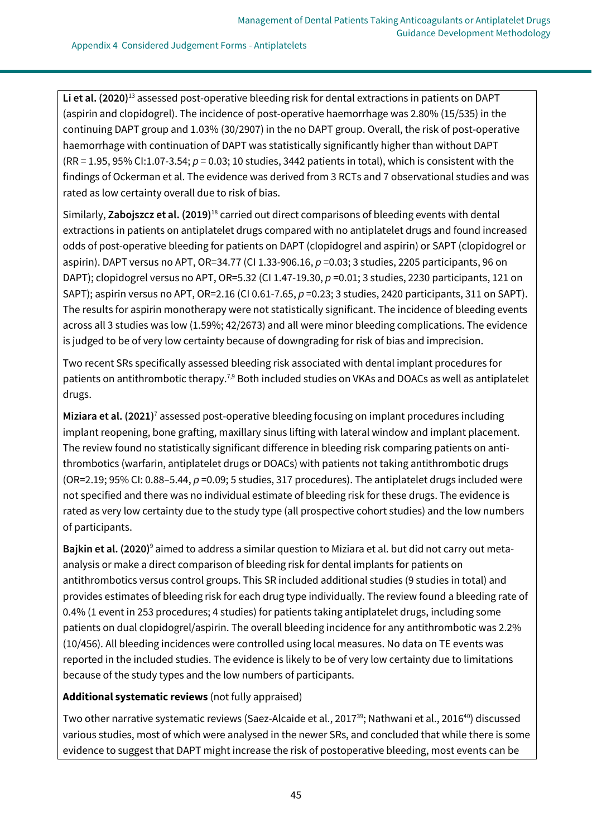**Li et al. (2020)**<sup>13</sup> assessed post-operative bleeding risk for dental extractions in patients on DAPT (aspirin and clopidogrel). The incidence of post-operative haemorrhage was 2.80% (15/535) in the continuing DAPT group and 1.03% (30/2907) in the no DAPT group. Overall, the risk of post-operative haemorrhage with continuation of DAPT was statistically significantly higher than without DAPT (RR = 1.95, 95% CI:1.07-3.54; *p* = 0.03; 10 studies, 3442 patients in total), which is consistent with the findings of Ockerman et al. The evidence was derived from 3 RCTs and 7 observational studies and was rated as low certainty overall due to risk of bias.

Similarly, **Zabojszcz et al. (2019)**<sup>18</sup> carried out direct comparisons of bleeding events with dental extractions in patients on antiplatelet drugs compared with no antiplatelet drugs and found increased odds of post-operative bleeding for patients on DAPT (clopidogrel and aspirin) or SAPT (clopidogrel or aspirin). DAPT versus no APT, OR=34.77 (CI 1.33-906.16, *p* =0.03; 3 studies, 2205 participants, 96 on DAPT); clopidogrel versus no APT, OR=5.32 (CI 1.47-19.30, *p* =0.01; 3 studies, 2230 participants, 121 on SAPT); aspirin versus no APT, OR=2.16 (CI 0.61-7.65, *p* =0.23; 3 studies, 2420 participants, 311 on SAPT). The results for aspirin monotherapy were not statistically significant. The incidence of bleeding events across all 3 studies was low (1.59%; 42/2673) and all were minor bleeding complications. The evidence is judged to be of very low certainty because of downgrading for risk of bias and imprecision.

Two recent SRs specifically assessed bleeding risk associated with dental implant procedures for patients on antithrombotic therapy.<sup>7,9</sup> Both included studies on VKAs and DOACs as well as antiplatelet drugs.

**Miziara et al. (2021)**<sup>7</sup> assessed post-operative bleeding focusing on implant procedures including implant reopening, bone grafting, maxillary sinus lifting with lateral window and implant placement. The review found no statistically significant difference in bleeding risk comparing patients on antithrombotics (warfarin, antiplatelet drugs or DOACs) with patients not taking antithrombotic drugs (OR=2.19; 95% CI: 0.88–5.44, *p* =0.09; 5 studies, 317 procedures). The antiplatelet drugs included were not specified and there was no individual estimate of bleeding risk for these drugs. The evidence is rated as very low certainty due to the study type (all prospective cohort studies) and the low numbers of participants.

**Bajkin et al. (2020)**<sup>9</sup> aimed to address a similar question to Miziara et al. but did not carry out metaanalysis or make a direct comparison of bleeding risk for dental implants for patients on antithrombotics versus control groups. This SR included additional studies (9 studies in total) and provides estimates of bleeding risk for each drug type individually. The review found a bleeding rate of 0.4% (1 event in 253 procedures; 4 studies) for patients taking antiplatelet drugs, including some patients on dual clopidogrel/aspirin. The overall bleeding incidence for any antithrombotic was 2.2% (10/456). All bleeding incidences were controlled using local measures. No data on TE events was reported in the included studies. The evidence is likely to be of very low certainty due to limitations because of the study types and the low numbers of participants.

# **Additional systematic reviews** (not fully appraised)

Two other narrative systematic reviews (Saez-Alcaide et al., 2017<sup>39</sup>; Nathwani et al., 2016<sup>40</sup>) discussed various studies, most of which were analysed in the newer SRs, and concluded that while there is some evidence to suggest that DAPT might increase the risk of postoperative bleeding, most events can be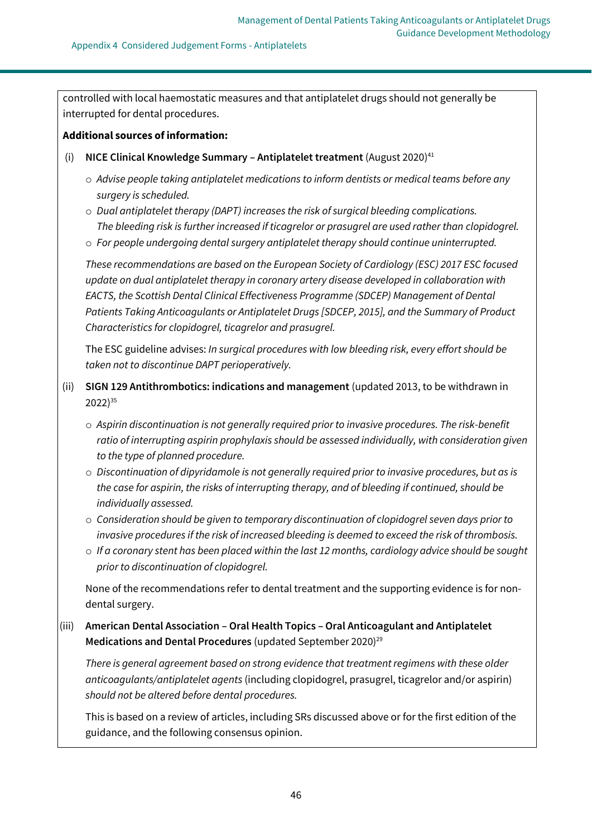controlled with local haemostatic measures and that antiplatelet drugs should not generally be interrupted for dental procedures.

### **Additional sources of information:**

- (i) **NICE Clinical Knowledge Summary – Antiplatelet treatment** (August 2020)<sup>41</sup>
	- o *Advise people taking antiplatelet medications to inform dentists or medical teams before any surgery is scheduled.*
	- o *Dual antiplatelet therapy (DAPT) increases the risk of surgical bleeding complications. The bleeding risk is further increased if ticagrelor or prasugrel are used rather than clopidogrel.*
	- o *For people undergoing dental surgery antiplatelet therapy should continue uninterrupted.*

*These recommendations are based on the European Society of Cardiology (ESC) 2017 ESC focused update on dual antiplatelet therapy in coronary artery disease developed in collaboration with EACTS, the Scottish Dental Clinical Effectiveness Programme (SDCEP) Management of Dental Patients Taking Anticoagulants or Antiplatelet Drugs [\[SDCEP, 2015\]](https://cks.nice.org.uk/topics/antiplatelet-treatment/references/), and the Summary of Product Characteristics for clopidogrel, ticagrelor and prasugrel.* 

The ESC guideline advises: *In surgical procedures with low bleeding risk, every effort should be taken not to discontinue DAPT perioperatively.*

- (ii) **SIGN 129 Antithrombotics: indications and management** (updated 2013, to be withdrawn in 2022)<sup>35</sup>
	- o *Aspirin discontinuation is not generally required prior to invasive procedures. The risk-benefit ratio of interrupting aspirin prophylaxis should be assessed individually, with consideration given to the type of planned procedure.*
	- o *Discontinuation of dipyridamole is not generally required prior to invasive procedures, but as is the case for aspirin, the risks of interrupting therapy, and of bleeding if continued, should be individually assessed.*
	- o *Consideration should be given to temporary discontinuation of clopidogrel seven days prior to invasive procedures if the risk of increased bleeding is deemed to exceed the risk of thrombosis.*
	- o *If a coronary stent has been placed within the last 12 months, cardiology advice should be sought prior to discontinuation of clopidogrel.*

None of the recommendations refer to dental treatment and the supporting evidence is for nondental surgery.

(iii) **American Dental Association – Oral Health Topics – Oral Anticoagulant and Antiplatelet**  Medications and Dental Procedures (updated September 2020)<sup>29</sup>

*There is general agreement based on strong evidence that treatment regimens with these older anticoagulants/antiplatelet agents* (including clopidogrel, prasugrel, ticagrelor and/or aspirin) *should not be altered before dental procedures.*

This is based on a review of articles, including SRs discussed above or for the first edition of the guidance, and the following consensus opinion.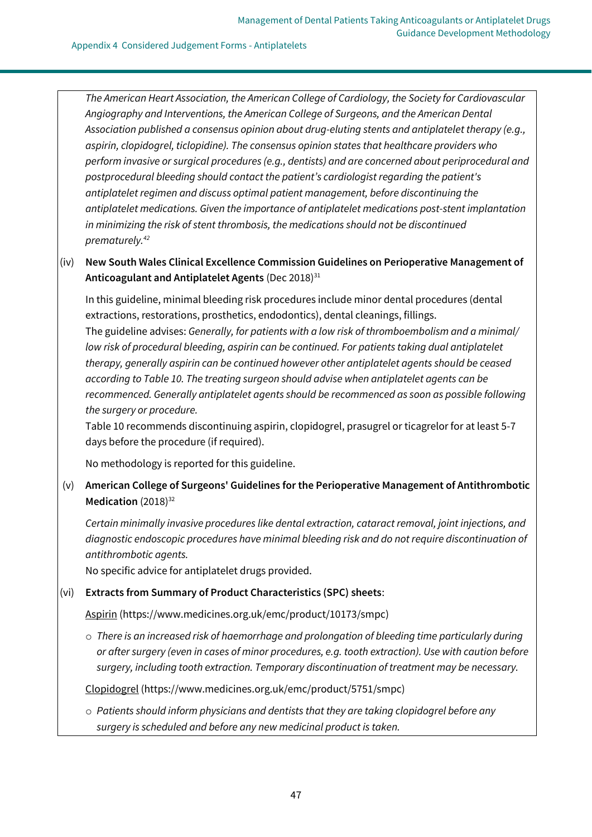#### Appendix 4 Considered Judgement Forms - Antiplatelets

*The American Heart Association, the American College of Cardiology, the Society for Cardiovascular Angiography and Interventions, the American College of Surgeons, and the American Dental Association published a consensus opinion about drug-eluting stents and antiplatelet therapy (e.g., aspirin, clopidogrel, ticlopidine). The consensus opinion states that healthcare providers who perform invasive or surgical procedures (e.g., dentists) and are concerned about periprocedural and postprocedural bleeding should contact the patient's cardiologist regarding the patient's antiplatelet regimen and discuss optimal patient management, before discontinuing the antiplatelet medications. Given the importance of antiplatelet medications post-stent implantation in minimizing the risk of stent thrombosis, the medications should not be discontinued prematurely.<sup>42</sup>*

(iv) **New South Wales Clinical Excellence Commission Guidelines on Perioperative Management of**  Anticoagulant and Antiplatelet Agents (Dec 2018)<sup>31</sup>

In this guideline, minimal bleeding risk procedures include minor dental procedures (dental extractions, restorations, prosthetics, endodontics), dental cleanings, fillings. The guideline advises: *Generally, for patients with a low risk of thromboembolism and a minimal/ low risk of procedural bleeding, aspirin can be continued. For patients taking dual antiplatelet therapy, generally aspirin can be continued however other antiplatelet agents should be ceased according to Table 10. The treating surgeon should advise when antiplatelet agents can be recommenced. Generally antiplatelet agents should be recommenced as soon as possible following the surgery or procedure.*

Table 10 recommends discontinuing aspirin, clopidogrel, prasugrel or ticagrelor for at least 5-7 days before the procedure (if required).

No methodology is reported for this guideline.

(v) **American College of Surgeons' Guidelines for the Perioperative Management of Antithrombotic**  Medication (2018)<sup>32</sup>

*Certain minimally invasive procedures like dental extraction, cataract removal, joint injections, and diagnostic endoscopic procedures have minimal bleeding risk and do not require discontinuation of antithrombotic agents.*

No specific advice for antiplatelet drugs provided.

### (vi) **Extracts from Summary of Product Characteristics (SPC) sheets**:

Aspirin [\(https://www.medicines.org.uk/emc/product/10173/smpc\)](https://www.medicines.org.uk/emc/product/10173/smpc)

o *There is an increased risk of haemorrhage and prolongation of bleeding time particularly during or after surgery (even in cases of minor procedures, e.g. tooth extraction). Use with caution before surgery, including tooth extraction. Temporary discontinuation of treatment may be necessary.*

Clopidogrel [\(https://www.medicines.org.uk/emc/product/5751/smpc\)](https://www.medicines.org.uk/emc/product/5751/smpc)

o *Patients should inform physicians and dentists that they are taking clopidogrel before any surgery is scheduled and before any new medicinal product is taken.*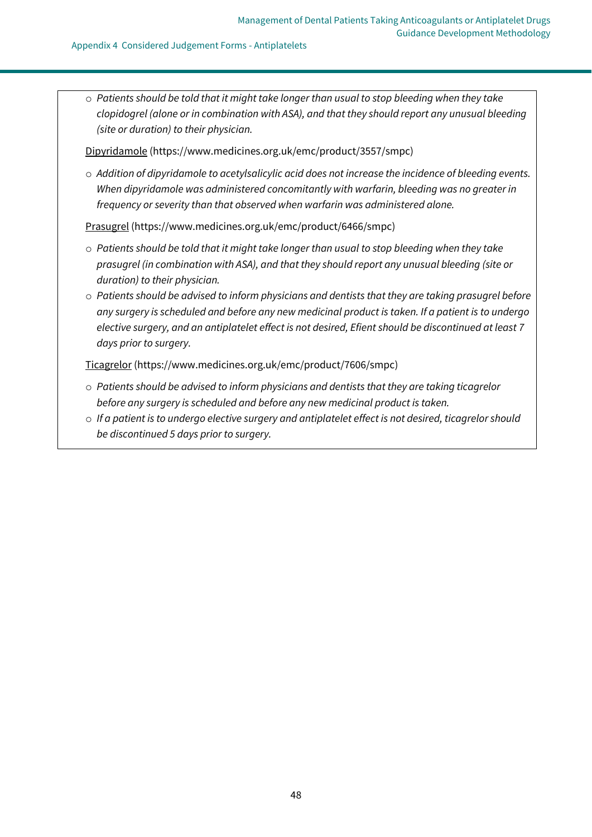#### Appendix 4 Considered Judgement Forms - Antiplatelets

o *Patients should be told that it might take longer than usual to stop bleeding when they take clopidogrel (alone or in combination with ASA), and that they should report any unusual bleeding (site or duration) to their physician.*

Dipyridamole [\(https://www.medicines.org.uk/emc/product/3557/smpc\)](https://www.medicines.org.uk/emc/product/3557/smpc)

o *Addition of dipyridamole to acetylsalicylic acid does not increase the incidence of bleeding events. When dipyridamole was administered concomitantly with warfarin, bleeding was no greater in frequency or severity than that observed when warfarin was administered alone.*

Prasugrel [\(https://www.medicines.org.uk/emc/product/6466/smpc\)](https://www.medicines.org.uk/emc/product/6466/smpc)

- o *Patients should be told that it might take longer than usual to stop bleeding when they take prasugrel (in combination with ASA), and that they should report any unusual bleeding (site or duration) to their physician.*
- o *Patients should be advised to inform physicians and dentists that they are taking prasugrel before any surgery is scheduled and before any new medicinal product is taken. If a patient is to undergo elective surgery, and an antiplatelet effect is not desired, Efient should be discontinued at least 7 days prior to surgery.*

Ticagrelor [\(https://www.medicines.org.uk/emc/product/7606/smpc\)](https://www.medicines.org.uk/emc/product/7606/smpc)

- o *Patients should be advised to inform physicians and dentists that they are taking ticagrelor before any surgery is scheduled and before any new medicinal product is taken.*
- o *If a patient is to undergo elective surgery and antiplatelet effect is not desired, ticagrelor should be discontinued 5 days prior to surgery.*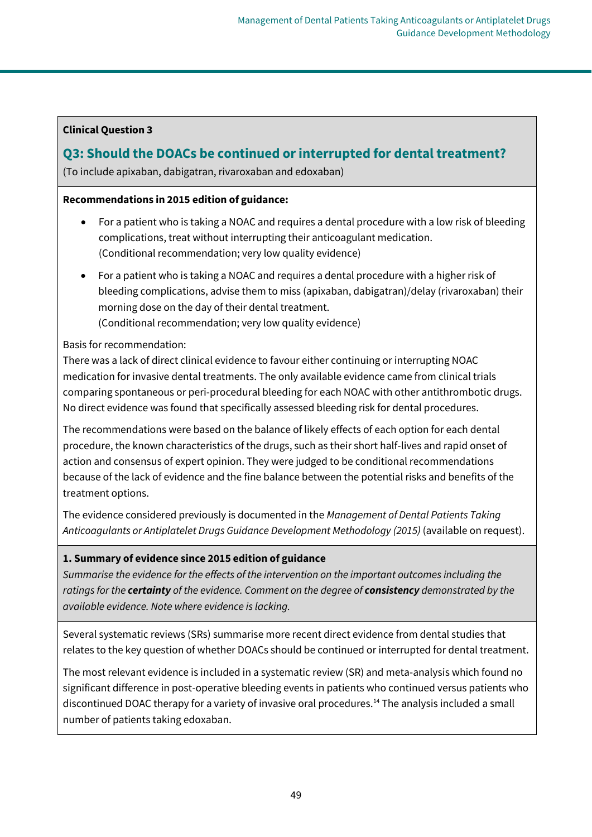# **Clinical Question 3**

# **Q3: Should the DOACs be continued or interrupted for dental treatment?**

(To include apixaban, dabigatran, rivaroxaban and edoxaban)

# **Recommendations in 2015 edition of guidance:**

- For a patient who is taking a NOAC and requires a dental procedure with a low risk of bleeding complications, treat without interrupting their anticoagulant medication. (Conditional recommendation; very low quality evidence)
- For a patient who is taking a NOAC and requires a dental procedure with a higher risk of bleeding complications, advise them to miss (apixaban, dabigatran)/delay (rivaroxaban) their morning dose on the day of their dental treatment. (Conditional recommendation; very low quality evidence)

# Basis for recommendation:

There was a lack of direct clinical evidence to favour either continuing or interrupting NOAC medication for invasive dental treatments. The only available evidence came from clinical trials comparing spontaneous or peri-procedural bleeding for each NOAC with other antithrombotic drugs. No direct evidence was found that specifically assessed bleeding risk for dental procedures.

The recommendations were based on the balance of likely effects of each option for each dental procedure, the known characteristics of the drugs, such as their short half-lives and rapid onset of action and consensus of expert opinion. They were judged to be conditional recommendations because of the lack of evidence and the fine balance between the potential risks and benefits of the treatment options.

The evidence considered previously is documented in the *Management of Dental Patients Taking Anticoagulants or Antiplatelet Drugs Guidance Development Methodology (2015)* (available on request).

# **1. Summary of evidence since 2015 edition of guidance**

*Summarise the evidence for the effects of the intervention on the important outcomes including the ratings for the certainty of the evidence. Comment on the degree of consistency demonstrated by the available evidence. Note where evidence is lacking.*

Several systematic reviews (SRs) summarise more recent direct evidence from dental studies that relates to the key question of whether DOACs should be continued or interrupted for dental treatment.

The most relevant evidence is included in a systematic review (SR) and meta-analysis which found no significant difference in post-operative bleeding events in patients who continued versus patients who discontinued DOAC therapy for a variety of invasive oral procedures.<sup>14</sup> The analysis included a small number of patients taking edoxaban.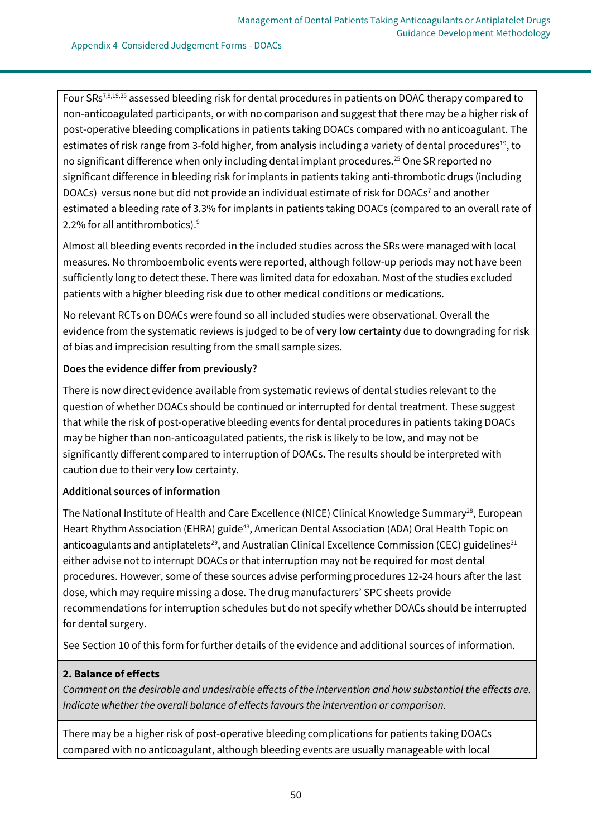Four SRs7,9,19,25 assessed bleeding risk for dental procedures in patients on DOAC therapy compared to non-anticoagulated participants, or with no comparison and suggest that there may be a higher risk of post-operative bleeding complications in patients taking DOACs compared with no anticoagulant. The estimates of risk range from 3-fold higher, from analysis including a variety of dental procedures<sup>19</sup>, to no significant difference when only including dental implant procedures.<sup>25</sup> One SR reported no significant difference in bleeding risk for implants in patients taking anti-thrombotic drugs (including DOACs) versus none but did not provide an individual estimate of risk for DOACs<sup>7</sup> and another estimated a bleeding rate of 3.3% for implants in patients taking DOACs (compared to an overall rate of 2.2% for all antithrombotics).<sup>9</sup>

Almost all bleeding events recorded in the included studies across the SRs were managed with local measures. No thromboembolic events were reported, although follow-up periods may not have been sufficiently long to detect these. There was limited data for edoxaban. Most of the studies excluded patients with a higher bleeding risk due to other medical conditions or medications.

No relevant RCTs on DOACs were found so all included studies were observational. Overall the evidence from the systematic reviews is judged to be of **very low certainty** due to downgrading for risk of bias and imprecision resulting from the small sample sizes.

# **Does the evidence differ from previously?**

There is now direct evidence available from systematic reviews of dental studies relevant to the question of whether DOACs should be continued or interrupted for dental treatment. These suggest that while the risk of post-operative bleeding events for dental procedures in patients taking DOACs may be higher than non-anticoagulated patients, the risk is likely to be low, and may not be significantly different compared to interruption of DOACs. The results should be interpreted with caution due to their very low certainty.

### **Additional sources of information**

The National Institute of Health and Care Excellence (NICE) Clinical Knowledge Summary<sup>28</sup>, European Heart Rhythm Association (EHRA) guide<sup>43</sup>, American Dental Association (ADA) Oral Health Topic on anticoagulants and antiplatelets<sup>29</sup>, and Australian Clinical Excellence Commission (CEC) guidelines<sup>31</sup> either advise not to interrupt DOACs or that interruption may not be required for most dental procedures. However, some of these sources advise performing procedures 12-24 hours after the last dose, which may require missing a dose. The drug manufacturers' SPC sheets provide recommendations for interruption schedules but do not specify whether DOACs should be interrupted for dental surgery.

See Section 10 of this form for further details of the evidence and additional sources of information.

# **2. Balance of effects**

*Comment on the desirable and undesirable effects of the intervention and how substantial the effects are. Indicate whether the overall balance of effects favours the intervention or comparison.*

There may be a higher risk of post-operative bleeding complications for patients taking DOACs compared with no anticoagulant, although bleeding events are usually manageable with local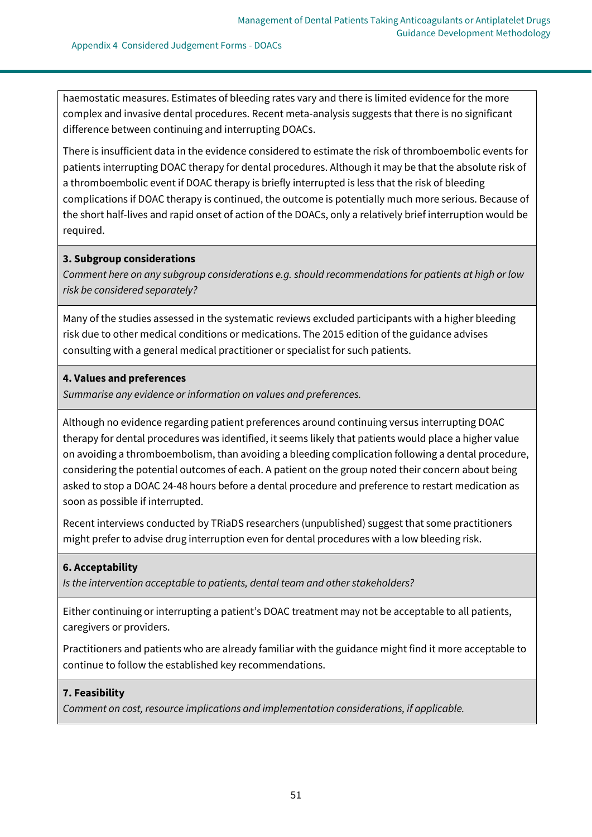haemostatic measures. Estimates of bleeding rates vary and there is limited evidence for the more complex and invasive dental procedures. Recent meta-analysis suggests that there is no significant difference between continuing and interrupting DOACs.

There is insufficient data in the evidence considered to estimate the risk of thromboembolic events for patients interrupting DOAC therapy for dental procedures. Although it may be that the absolute risk of a thromboembolic event if DOAC therapy is briefly interrupted is less that the risk of bleeding complications if DOAC therapy is continued, the outcome is potentially much more serious. Because of the short half-lives and rapid onset of action of the DOACs, only a relatively brief interruption would be required.

### **3. Subgroup considerations**

*Comment here on any subgroup considerations e.g. should recommendations for patients at high or low risk be considered separately?*

Many of the studies assessed in the systematic reviews excluded participants with a higher bleeding risk due to other medical conditions or medications. The 2015 edition of the guidance advises consulting with a general medical practitioner or specialist for such patients.

# **4. Values and preferences**

*Summarise any evidence or information on values and preferences.*

Although no evidence regarding patient preferences around continuing versus interrupting DOAC therapy for dental procedures was identified, it seems likely that patients would place a higher value on avoiding a thromboembolism, than avoiding a bleeding complication following a dental procedure, considering the potential outcomes of each. A patient on the group noted their concern about being asked to stop a DOAC 24-48 hours before a dental procedure and preference to restart medication as soon as possible if interrupted.

Recent interviews conducted by TRiaDS researchers (unpublished) suggest that some practitioners might prefer to advise drug interruption even for dental procedures with a low bleeding risk.

# **6. Acceptability**

*Is the intervention acceptable to patients, dental team and other stakeholders?*

Either continuing or interrupting a patient's DOAC treatment may not be acceptable to all patients, caregivers or providers.

Practitioners and patients who are already familiar with the guidance might find it more acceptable to continue to follow the established key recommendations.

# **7. Feasibility**

*Comment on cost, resource implications and implementation considerations, if applicable.*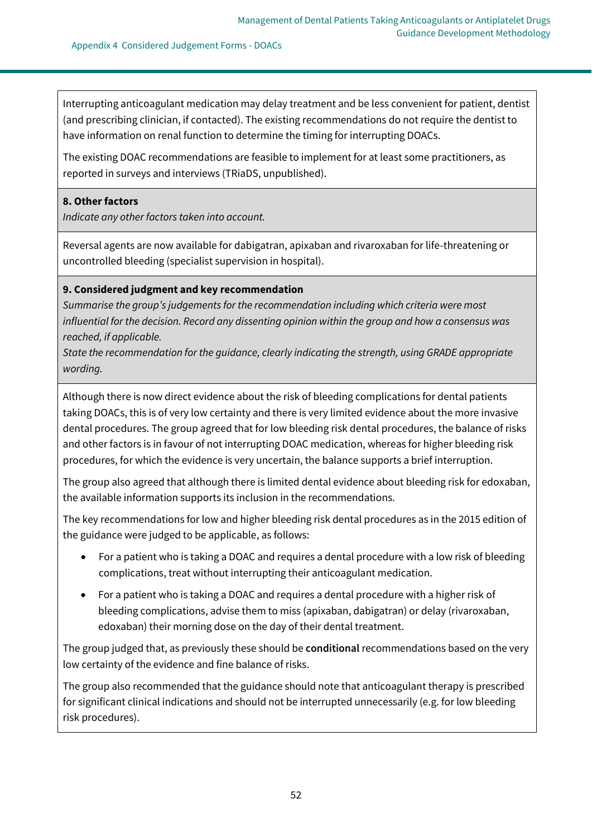Interrupting anticoagulant medication may delay treatment and be less convenient for patient, dentist (and prescribing clinician, if contacted). The existing recommendations do not require the dentist to have information on renal function to determine the timing for interrupting DOACs.

The existing DOAC recommendations are feasible to implement for at least some practitioners, as reported in surveys and interviews (TRiaDS, unpublished).

#### **8. Other factors**

*Indicate any other factors taken into account.*

Reversal agents are now available for dabigatran, apixaban and rivaroxaban for life-threatening or uncontrolled bleeding (specialist supervision in hospital).

### **9. Considered judgment and key recommendation**

*Summarise the group's judgements for the recommendation including which criteria were most influential for the decision. Record any dissenting opinion within the group and how a consensus was reached, if applicable.*

*State the recommendation for the guidance, clearly indicating the strength, using GRADE appropriate wording.*

Although there is now direct evidence about the risk of bleeding complications for dental patients taking DOACs, this is of very low certainty and there is very limited evidence about the more invasive dental procedures. The group agreed that for low bleeding risk dental procedures, the balance of risks and other factors is in favour of not interrupting DOAC medication, whereas for higher bleeding risk procedures, for which the evidence is very uncertain, the balance supports a brief interruption.

The group also agreed that although there is limited dental evidence about bleeding risk for edoxaban, the available information supports its inclusion in the recommendations.

The key recommendations for low and higher bleeding risk dental procedures as in the 2015 edition of the guidance were judged to be applicable, as follows:

- For a patient who is taking a DOAC and requires a dental procedure with a low risk of bleeding complications, treat without interrupting their anticoagulant medication.
- For a patient who is taking a DOAC and requires a dental procedure with a higher risk of bleeding complications, advise them to miss (apixaban, dabigatran) or delay (rivaroxaban, edoxaban) their morning dose on the day of their dental treatment.

The group judged that, as previously these should be **conditional** recommendations based on the very low certainty of the evidence and fine balance of risks.

The group also recommended that the guidance should note that anticoagulant therapy is prescribed for significant clinical indications and should not be interrupted unnecessarily (e.g. for low bleeding risk procedures).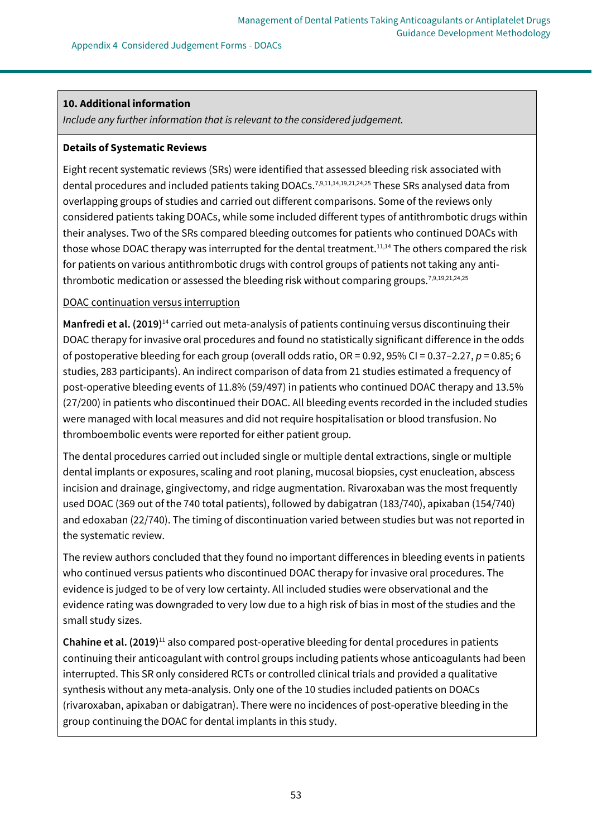#### Appendix 4 Considered Judgement Forms - DOACs

# **10. Additional information**

*Include any further information that is relevant to the considered judgement.*

# **Details of Systematic Reviews**

Eight recent systematic reviews (SRs) were identified that assessed bleeding risk associated with dental procedures and included patients taking DOACs.<sup>7,9,11,14,19,21,24,25</sup> These SRs analysed data from overlapping groups of studies and carried out different comparisons. Some of the reviews only considered patients taking DOACs, while some included different types of antithrombotic drugs within their analyses. Two of the SRs compared bleeding outcomes for patients who continued DOACs with those whose DOAC therapy was interrupted for the dental treatment.<sup>11,14</sup> The others compared the risk for patients on various antithrombotic drugs with control groups of patients not taking any antithrombotic medication or assessed the bleeding risk without comparing groups.<sup>7,9,19,21,24,25</sup>

# DOAC continuation versus interruption

**Manfredi et al. (2019)**<sup>14</sup> carried out meta-analysis of patients continuing versus discontinuing their DOAC therapy for invasive oral procedures and found no statistically significant difference in the odds of postoperative bleeding for each group (overall odds ratio, OR = 0.92, 95% CI = 0.37–2.27, *p* = 0.85; 6 studies, 283 participants). An indirect comparison of data from 21 studies estimated a frequency of post-operative bleeding events of 11.8% (59/497) in patients who continued DOAC therapy and 13.5% (27/200) in patients who discontinued their DOAC. All bleeding events recorded in the included studies were managed with local measures and did not require hospitalisation or blood transfusion. No thromboembolic events were reported for either patient group.

The dental procedures carried out included single or multiple dental extractions, single or multiple dental implants or exposures, scaling and root planing, mucosal biopsies, cyst enucleation, abscess incision and drainage, gingivectomy, and ridge augmentation. Rivaroxaban was the most frequently used DOAC (369 out of the 740 total patients), followed by dabigatran (183/740), apixaban (154/740) and edoxaban (22/740). The timing of discontinuation varied between studies but was not reported in the systematic review.

The review authors concluded that they found no important differences in bleeding events in patients who continued versus patients who discontinued DOAC therapy for invasive oral procedures. The evidence is judged to be of very low certainty. All included studies were observational and the evidence rating was downgraded to very low due to a high risk of bias in most of the studies and the small study sizes.

**Chahine et al. (2019)**<sup>11</sup> also compared post-operative bleeding for dental procedures in patients continuing their anticoagulant with control groups including patients whose anticoagulants had been interrupted. This SR only considered RCTs or controlled clinical trials and provided a qualitative synthesis without any meta-analysis. Only one of the 10 studies included patients on DOACs (rivaroxaban, apixaban or dabigatran). There were no incidences of post-operative bleeding in the group continuing the DOAC for dental implants in this study.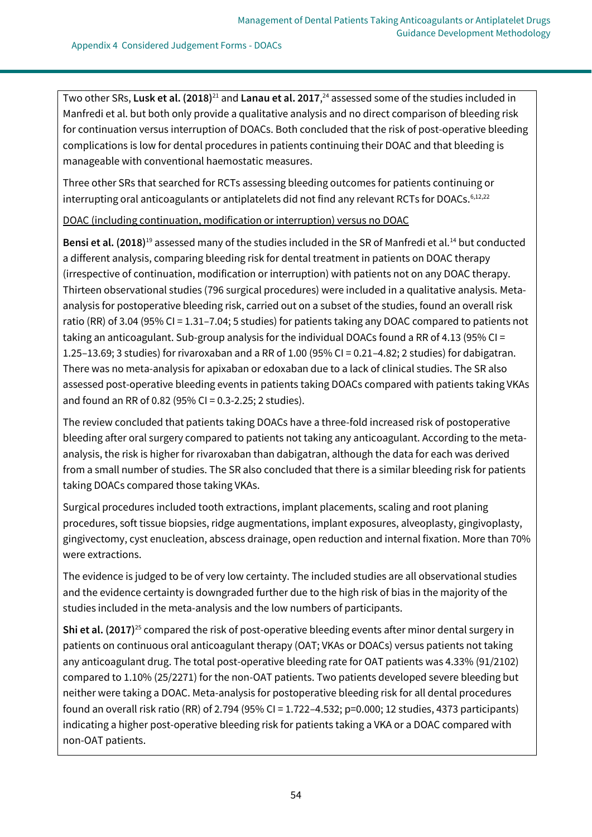Two other SRs, **Lusk et al. (2018)**<sup>21</sup> and **Lanau et al. 2017**, <sup>24</sup> assessed some of the studies included in Manfredi et al. but both only provide a qualitative analysis and no direct comparison of bleeding risk for continuation versus interruption of DOACs. Both concluded that the risk of post-operative bleeding complications is low for dental procedures in patients continuing their DOAC and that bleeding is manageable with conventional haemostatic measures.

Three other SRs that searched for RCTs assessing bleeding outcomes for patients continuing or interrupting oral anticoagulants or antiplatelets did not find any relevant RCTs for DOACs.<sup>6,12,22</sup>

DOAC (including continuation, modification or interruption) versus no DOAC

**Bensi et al. (2018)**<sup>19</sup> assessed many of the studies included in the SR of Manfredi et al.<sup>14</sup> but conducted a different analysis, comparing bleeding risk for dental treatment in patients on DOAC therapy (irrespective of continuation, modification or interruption) with patients not on any DOAC therapy. Thirteen observational studies (796 surgical procedures) were included in a qualitative analysis. Metaanalysis for postoperative bleeding risk, carried out on a subset of the studies, found an overall risk ratio (RR) of 3.04 (95% CI = 1.31–7.04; 5 studies) for patients taking any DOAC compared to patients not taking an anticoagulant. Sub-group analysis for the individual DOACs found a RR of 4.13 (95% CI = 1.25–13.69; 3 studies) for rivaroxaban and a RR of 1.00 (95% CI = 0.21–4.82; 2 studies) for dabigatran. There was no meta-analysis for apixaban or edoxaban due to a lack of clinical studies. The SR also assessed post-operative bleeding events in patients taking DOACs compared with patients taking VKAs and found an RR of 0.82 (95% CI = 0.3-2.25; 2 studies).

The review concluded that patients taking DOACs have a three-fold increased risk of postoperative bleeding after oral surgery compared to patients not taking any anticoagulant. According to the metaanalysis, the risk is higher for rivaroxaban than dabigatran, although the data for each was derived from a small number of studies. The SR also concluded that there is a similar bleeding risk for patients taking DOACs compared those taking VKAs.

Surgical procedures included tooth extractions, implant placements, scaling and root planing procedures, soft tissue biopsies, ridge augmentations, implant exposures, alveoplasty, gingivoplasty, gingivectomy, cyst enucleation, abscess drainage, open reduction and internal fixation. More than 70% were extractions.

The evidence is judged to be of very low certainty. The included studies are all observational studies and the evidence certainty is downgraded further due to the high risk of bias in the majority of the studies included in the meta-analysis and the low numbers of participants.

**Shi et al. (2017)**<sup>25</sup> compared the risk of post-operative bleeding events after minor dental surgery in patients on continuous oral anticoagulant therapy (OAT; VKAs or DOACs) versus patients not taking any anticoagulant drug. The total post-operative bleeding rate for OAT patients was 4.33% (91/2102) compared to 1.10% (25/2271) for the non-OAT patients. Two patients developed severe bleeding but neither were taking a DOAC. Meta-analysis for postoperative bleeding risk for all dental procedures found an overall risk ratio (RR) of 2.794 (95% CI = 1.722–4.532; p=0.000; 12 studies, 4373 participants) indicating a higher post-operative bleeding risk for patients taking a VKA or a DOAC compared with non-OAT patients.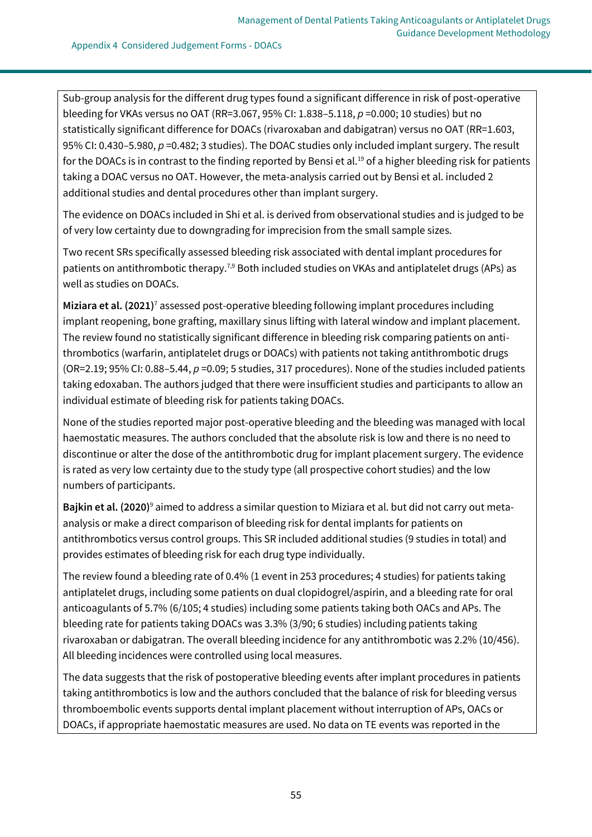Sub-group analysis for the different drug types found a significant difference in risk of post-operative bleeding for VKAs versus no OAT (RR=3.067, 95% CI: 1.838–5.118, *p* =0.000; 10 studies) but no statistically significant difference for DOACs (rivaroxaban and dabigatran) versus no OAT (RR=1.603, 95% CI: 0.430–5.980, *p* =0.482; 3 studies). The DOAC studies only included implant surgery. The result for the DOACs is in contrast to the finding reported by Bensi et al.<sup>19</sup> of a higher bleeding risk for patients taking a DOAC versus no OAT. However, the meta-analysis carried out by Bensi et al. included 2 additional studies and dental procedures other than implant surgery.

The evidence on DOACs included in Shi et al. is derived from observational studies and is judged to be of very low certainty due to downgrading for imprecision from the small sample sizes.

Two recent SRs specifically assessed bleeding risk associated with dental implant procedures for patients on antithrombotic therapy.<sup>7,9</sup> Both included studies on VKAs and antiplatelet drugs (APs) as well as studies on DOACs.

**Miziara et al. (2021)**<sup>7</sup> assessed post-operative bleeding following implant procedures including implant reopening, bone grafting, maxillary sinus lifting with lateral window and implant placement. The review found no statistically significant difference in bleeding risk comparing patients on antithrombotics (warfarin, antiplatelet drugs or DOACs) with patients not taking antithrombotic drugs (OR=2.19; 95% CI: 0.88–5.44, *p* =0.09; 5 studies, 317 procedures). None of the studies included patients taking edoxaban. The authors judged that there were insufficient studies and participants to allow an individual estimate of bleeding risk for patients taking DOACs.

None of the studies reported major post-operative bleeding and the bleeding was managed with local haemostatic measures. The authors concluded that the absolute risk is low and there is no need to discontinue or alter the dose of the antithrombotic drug for implant placement surgery. The evidence is rated as very low certainty due to the study type (all prospective cohort studies) and the low numbers of participants.

**Bajkin et al. (2020)**<sup>9</sup> aimed to address a similar question to Miziara et al. but did not carry out metaanalysis or make a direct comparison of bleeding risk for dental implants for patients on antithrombotics versus control groups. This SR included additional studies (9 studies in total) and provides estimates of bleeding risk for each drug type individually.

The review found a bleeding rate of 0.4% (1 event in 253 procedures; 4 studies) for patients taking antiplatelet drugs, including some patients on dual clopidogrel/aspirin, and a bleeding rate for oral anticoagulants of 5.7% (6/105; 4 studies) including some patients taking both OACs and APs. The bleeding rate for patients taking DOACs was 3.3% (3/90; 6 studies) including patients taking rivaroxaban or dabigatran. The overall bleeding incidence for any antithrombotic was 2.2% (10/456). All bleeding incidences were controlled using local measures.

The data suggests that the risk of postoperative bleeding events after implant procedures in patients taking antithrombotics is low and the authors concluded that the balance of risk for bleeding versus thromboembolic events supports dental implant placement without interruption of APs, OACs or DOACs, if appropriate haemostatic measures are used. No data on TE events was reported in the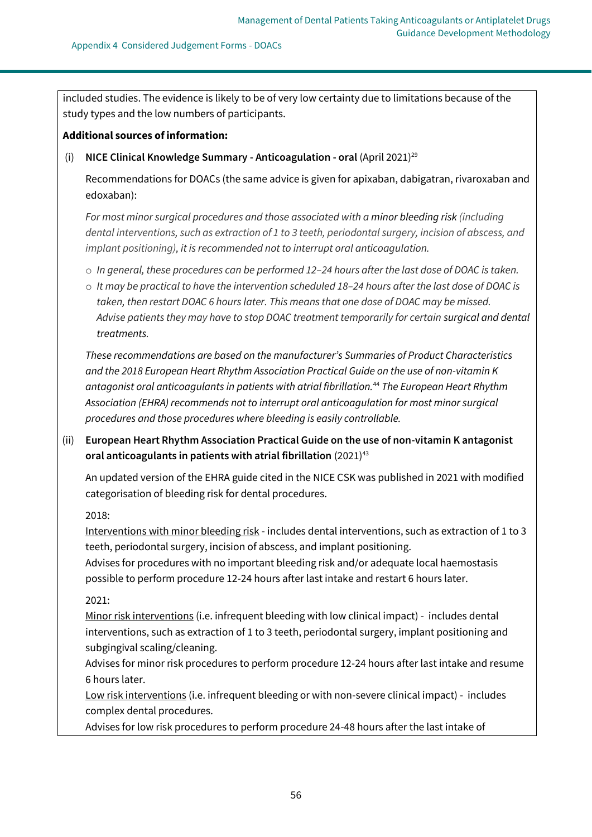included studies. The evidence is likely to be of very low certainty due to limitations because of the study types and the low numbers of participants.

## **Additional sources of information:**

# (i) **NICE Clinical Knowledge Summary - Anticoagulation - oral** (April 2021)<sup>29</sup>

Recommendations for DOACs (the same advice is given for apixaban, dabigatran, rivaroxaban and edoxaban):

*For most minor surgical procedures and those associated with a minor bleeding risk (including dental interventions, such as extraction of 1 to 3 teeth, periodontal surgery, incision of abscess, and implant positioning), it is recommended not to interrupt oral anticoagulation.*

- o *In general, these procedures can be performed 12–24 hours after the last dose of DOAC is taken.*
- o *It may be practical to have the intervention scheduled 18–24 hours after the last dose of DOAC is taken, then restart DOAC 6 hours later. This means that one dose of DOAC may be missed. Advise patients they may have to stop DOAC treatment temporarily for certain surgical and dental treatments.*

*These recommendations are based on the manufacturer's Summaries of Product Characteristics and the 2018 European Heart Rhythm Association Practical Guide on the use of non-vitamin K antagonist oral anticoagulants in patients with atrial fibrillation.*<sup>44</sup> *The European Heart Rhythm Association (EHRA) recommends not to interrupt oral anticoagulation for most minor surgical procedures and those procedures where bleeding is easily controllable.*

(ii) **European Heart Rhythm Association Practical Guide on the use of non-vitamin K antagonist oral anticoagulants in patients with atrial fibrillation** (2021)<sup>43</sup>

An updated version of the EHRA guide cited in the NICE CSK was published in 2021 with modified categorisation of bleeding risk for dental procedures.

2018:

Interventions with minor bleeding risk - includes dental interventions, such as extraction of 1 to 3 teeth, periodontal surgery, incision of abscess, and implant positioning.

Advises for procedures with no important bleeding risk and/or adequate local haemostasis possible to perform procedure 12-24 hours after last intake and restart 6 hours later.

# 2021:

Minor risk interventions (i.e. infrequent bleeding with low clinical impact) - includes dental interventions, such as extraction of 1 to 3 teeth, periodontal surgery, implant positioning and subgingival scaling/cleaning.

Advises for minor risk procedures to perform procedure 12-24 hours after last intake and resume 6 hours later.

Low risk interventions (i.e. infrequent bleeding or with non-severe clinical impact) - includes complex dental procedures.

Advises for low risk procedures to perform procedure 24-48 hours after the last intake of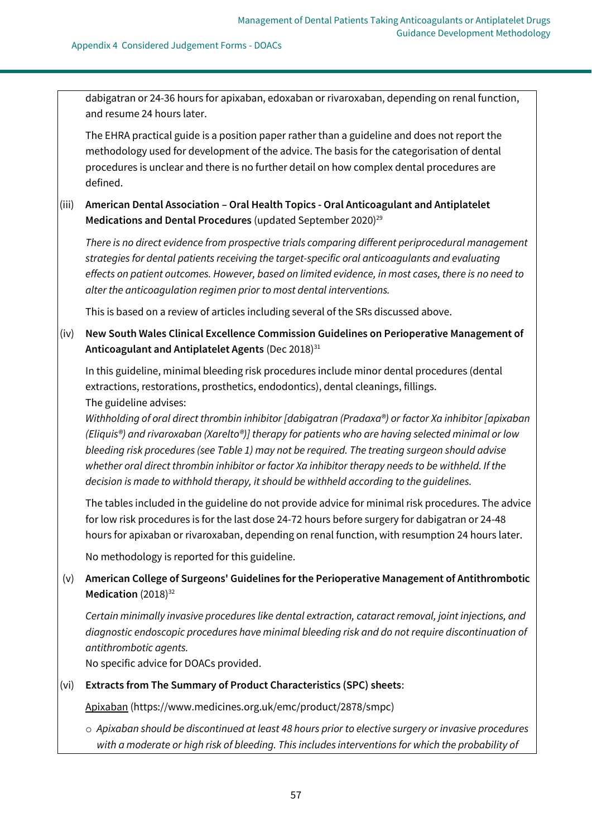dabigatran or 24-36 hours for apixaban, edoxaban or rivaroxaban, depending on renal function, and resume 24 hours later.

The EHRA practical guide is a position paper rather than a guideline and does not report the methodology used for development of the advice. The basis for the categorisation of dental procedures is unclear and there is no further detail on how complex dental procedures are defined.

# (iii) **American Dental Association – Oral Health Topics - Oral Anticoagulant and Antiplatelet**  Medications and Dental Procedures (updated September 2020)<sup>29</sup>

*There is no direct evidence from prospective trials comparing different periprocedural management strategies for dental patients receiving the target-specific oral anticoagulants and evaluating effects on patient outcomes. However, based on limited evidence, in most cases, there is no need to alter the anticoagulation regimen prior to most dental interventions.*

This is based on a review of articles including several of the SRs discussed above.

# (iv) **New South Wales Clinical Excellence Commission Guidelines on Perioperative Management of**  Anticoagulant and Antiplatelet Agents (Dec 2018)<sup>31</sup>

In this guideline, minimal bleeding risk procedures include minor dental procedures (dental extractions, restorations, prosthetics, endodontics), dental cleanings, fillings. The guideline advises:

*Withholding of oral direct thrombin inhibitor [dabigatran (Pradaxa®) or factor Xa inhibitor [apixaban (Eliquis®) and rivaroxaban (Xarelto®)] therapy for patients who are having selected minimal or low bleeding risk procedures (see Table 1) may not be required. The treating surgeon should advise whether oral direct thrombin inhibitor or factor Xa inhibitor therapy needs to be withheld. If the decision is made to withhold therapy, it should be withheld according to the guidelines.*

The tables included in the guideline do not provide advice for minimal risk procedures. The advice for low risk procedures is for the last dose 24-72 hours before surgery for dabigatran or 24-48 hours for apixaban or rivaroxaban, depending on renal function, with resumption 24 hours later.

No methodology is reported for this guideline.

# (v) **American College of Surgeons' Guidelines for the Perioperative Management of Antithrombotic**  Medication (2018)<sup>32</sup>

*Certain minimally invasive procedures like dental extraction, cataract removal, joint injections, and diagnostic endoscopic procedures have minimal bleeding risk and do not require discontinuation of antithrombotic agents.*

No specific advice for DOACs provided.

### (vi) **Extracts from The Summary of Product Characteristics (SPC) sheets**:

Apixaban [\(https://www.medicines.org.uk/emc/product/2878/smpc\)](https://www.medicines.org.uk/emc/product/2878/smpc)

o *Apixaban should be discontinued at least 48 hours prior to elective surgery or invasive procedures with a moderate or high risk of bleeding. This includes interventions for which the probability of*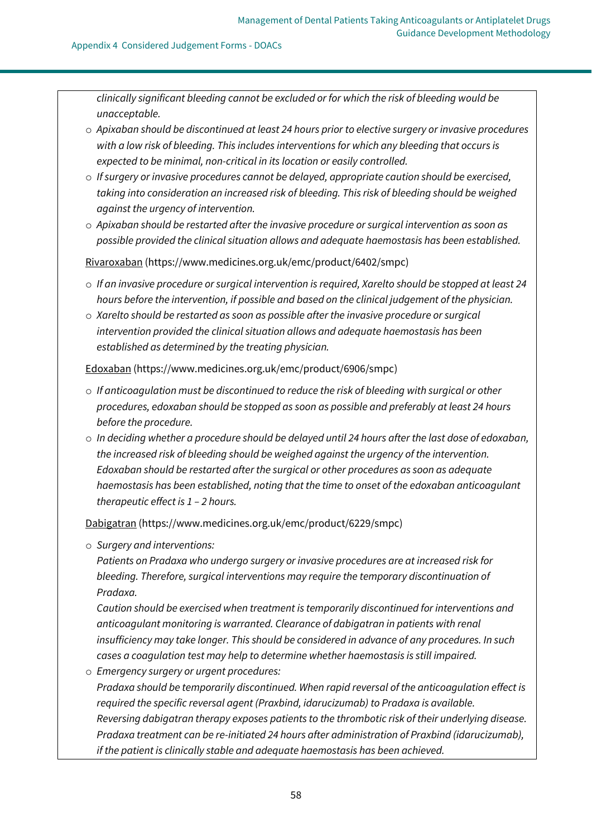*clinically significant bleeding cannot be excluded or for which the risk of bleeding would be unacceptable.*

- o *Apixaban should be discontinued at least 24 hours prior to elective surgery or invasive procedures with a low risk of bleeding. This includes interventions for which any bleeding that occurs is expected to be minimal, non-critical in its location or easily controlled.*
- o *If surgery or invasive procedures cannot be delayed, appropriate caution should be exercised, taking into consideration an increased risk of bleeding. This risk of bleeding should be weighed against the urgency of intervention.*
- o *Apixaban should be restarted after the invasive procedure or surgical intervention as soon as possible provided the clinical situation allows and adequate haemostasis has been established.*

Rivaroxaban [\(https://www.medicines.org.uk/emc/product/6402/smpc\)](https://www.medicines.org.uk/emc/product/6402/smpc)

- o *If an invasive procedure or surgical intervention is required, Xarelto should be stopped at least 24 hours before the intervention, if possible and based on the clinical judgement of the physician.*
- o *Xarelto should be restarted as soon as possible after the invasive procedure or surgical intervention provided the clinical situation allows and adequate haemostasis has been established as determined by the treating physician.*

Edoxaban [\(https://www.medicines.org.uk/emc/product/6906/smpc\)](https://www.medicines.org.uk/emc/product/6906/smpc)

- o *If anticoagulation must be discontinued to reduce the risk of bleeding with surgical or other procedures, edoxaban should be stopped as soon as possible and preferably at least 24 hours before the procedure.*
- o *In deciding whether a procedure should be delayed until 24 hours after the last dose of edoxaban, the increased risk of bleeding should be weighed against the urgency of the intervention. Edoxaban should be restarted after the surgical or other procedures as soon as adequate haemostasis has been established, noting that the time to onset of the edoxaban anticoagulant therapeutic effect is 1 – 2 hours.*

Dabigatran [\(https://www.medicines.org.uk/emc/product/6229/smpc\)](https://www.medicines.org.uk/emc/product/6229/smpc)

o *Surgery and interventions:*

*Patients on Pradaxa who undergo surgery or invasive procedures are at increased risk for bleeding. Therefore, surgical interventions may require the temporary discontinuation of Pradaxa.*

*Caution should be exercised when treatment is temporarily discontinued for interventions and anticoagulant monitoring is warranted. Clearance of dabigatran in patients with renal insufficiency may take longer. This should be considered in advance of any procedures. In such cases a coagulation test may help to determine whether haemostasis is still impaired.*

- o *Emergency surgery or urgent procedures:*
	- *Pradaxa should be temporarily discontinued. When rapid reversal of the anticoagulation effect is required the specific reversal agent (Praxbind, idarucizumab) to Pradaxa is available. Reversing dabigatran therapy exposes patients to the thrombotic risk of their underlying disease. Pradaxa treatment can be re-initiated 24 hours after administration of Praxbind (idarucizumab), if the patient is clinically stable and adequate haemostasis has been achieved.*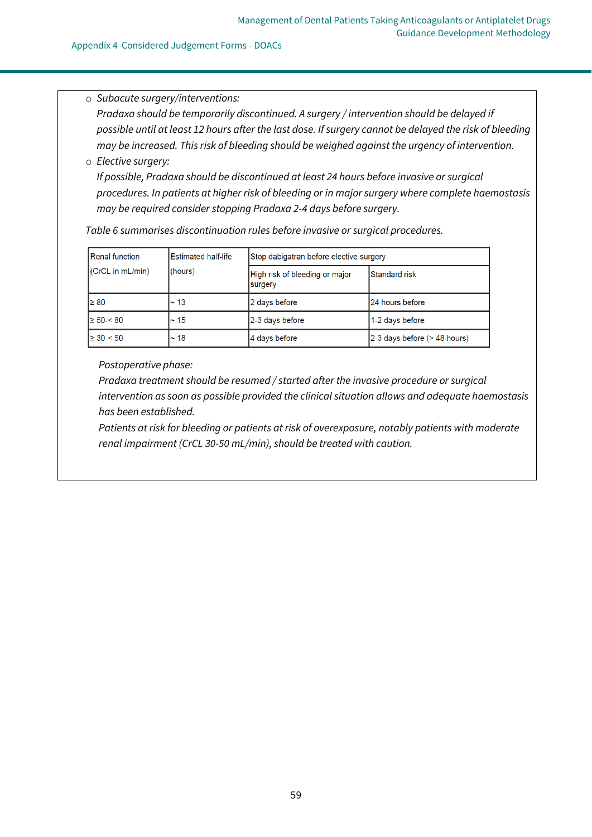#### Appendix 4 Considered Judgement Forms - DOACs

# o *Subacute surgery/interventions:*

*Pradaxa should be temporarily discontinued. A surgery / intervention should be delayed if possible until at least 12 hours after the last dose. If surgery cannot be delayed the risk of bleeding may be increased. This risk of bleeding should be weighed against the urgency of intervention.*

#### o *Elective surgery:*

*If possible, Pradaxa should be discontinued at least 24 hours before invasive or surgical procedures. In patients at higher risk of bleeding or in major surgery where complete haemostasis may be required consider stopping Pradaxa 2-4 days before surgery.*

*Table 6 summarises discontinuation rules before invasive or surgical procedures.*

| Renal function       | Estimated half-life<br>(hours) | Stop dabigatran before elective surgery   |                              |
|----------------------|--------------------------------|-------------------------------------------|------------------------------|
| $ $ (CrCL in mL/min) |                                | High risk of bleeding or major<br>surgery | <b>Standard risk</b>         |
| l≥ 80                | l∼ 13                          | 2 days before                             | 24 hours before              |
| l≥ 50-< 80           | $\sim$ 15                      | 2-3 days before                           | 1-2 days before              |
| $\geq 30 - 50$       | $~\sim$ 18                     | 4 days before                             | 2-3 days before (> 48 hours) |

*Postoperative phase:*

*Pradaxa treatment should be resumed / started after the invasive procedure or surgical intervention as soon as possible provided the clinical situation allows and adequate haemostasis has been established.*

*Patients at risk for bleeding or patients at risk of overexposure, notably patients with moderate renal impairment (CrCL 30-50 mL/min), should be treated with caution.*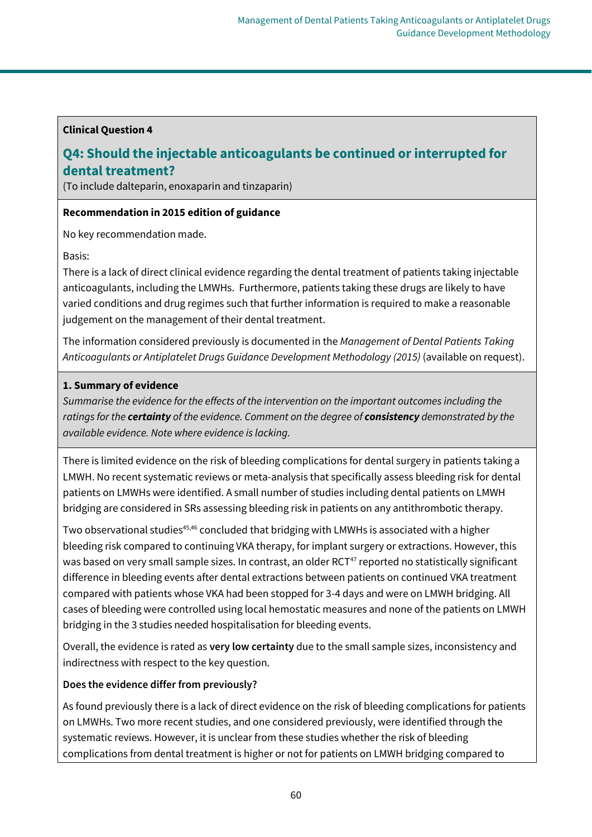# **Clinical Question 4**

# **Q4: Should the injectable anticoagulants be continued or interrupted for dental treatment?**

(To include dalteparin, enoxaparin and tinzaparin)

# **Recommendation in 2015 edition of guidance**

No key recommendation made.

Basis:

There is a lack of direct clinical evidence regarding the dental treatment of patients taking injectable anticoagulants, including the LMWHs. Furthermore, patients taking these drugs are likely to have varied conditions and drug regimes such that further information is required to make a reasonable judgement on the management of their dental treatment.

The information considered previously is documented in the *Management of Dental Patients Taking Anticoagulants or Antiplatelet Drugs Guidance Development Methodology (2015)* (available on request).

# **1. Summary of evidence**

*Summarise the evidence for the effects of the intervention on the important outcomes including the ratings for the certainty of the evidence. Comment on the degree of consistency demonstrated by the available evidence. Note where evidence is lacking.*

There is limited evidence on the risk of bleeding complications for dental surgery in patients taking a LMWH. No recent systematic reviews or meta-analysis that specifically assess bleeding risk for dental patients on LMWHs were identified. A small number of studies including dental patients on LMWH bridging are considered in SRs assessing bleeding risk in patients on any antithrombotic therapy.

Two observational studies<sup>45,46</sup> concluded that bridging with LMWHs is associated with a higher bleeding risk compared to continuing VKA therapy, for implant surgery or extractions. However, this was based on very small sample sizes. In contrast, an older RCT<sup>47</sup> reported no statistically significant difference in bleeding events after dental extractions between patients on continued VKA treatment compared with patients whose VKA had been stopped for 3-4 days and were on LMWH bridging. All cases of bleeding were controlled using local hemostatic measures and none of the patients on LMWH bridging in the 3 studies needed hospitalisation for bleeding events.

Overall, the evidence is rated as **very low certainty** due to the small sample sizes, inconsistency and indirectness with respect to the key question.

# **Does the evidence differ from previously?**

As found previously there is a lack of direct evidence on the risk of bleeding complications for patients on LMWHs. Two more recent studies, and one considered previously, were identified through the systematic reviews. However, it is unclear from these studies whether the risk of bleeding complications from dental treatment is higher or not for patients on LMWH bridging compared to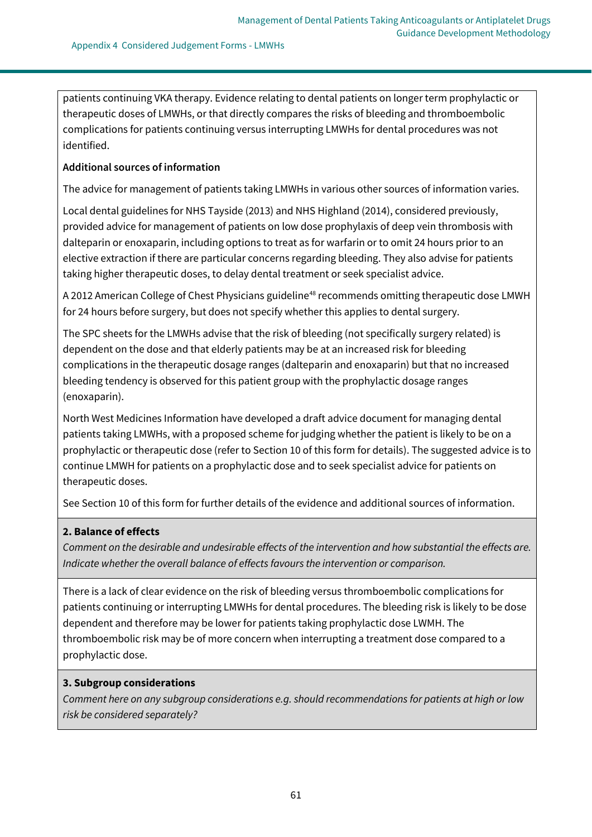patients continuing VKA therapy. Evidence relating to dental patients on longer term prophylactic or therapeutic doses of LMWHs, or that directly compares the risks of bleeding and thromboembolic complications for patients continuing versus interrupting LMWHs for dental procedures was not identified.

## **Additional sources of information**

The advice for management of patients taking LMWHs in various other sources of information varies.

Local dental guidelines for NHS Tayside (2013) and NHS Highland (2014), considered previously, provided advice for management of patients on low dose prophylaxis of deep vein thrombosis with dalteparin or enoxaparin, including options to treat as for warfarin or to omit 24 hours prior to an elective extraction if there are particular concerns regarding bleeding. They also advise for patients taking higher therapeutic doses, to delay dental treatment or seek specialist advice.

A 2012 American College of Chest Physicians guideline<sup>48</sup> recommends omitting therapeutic dose LMWH for 24 hours before surgery, but does not specify whether this applies to dental surgery.

The SPC sheets for the LMWHs advise that the risk of bleeding (not specifically surgery related) is dependent on the dose and that elderly patients may be at an increased risk for bleeding complications in the therapeutic dosage ranges (dalteparin and enoxaparin) but that no increased bleeding tendency is observed for this patient group with the prophylactic dosage ranges (enoxaparin).

North West Medicines Information have developed a draft advice document for managing dental patients taking LMWHs, with a proposed scheme for judging whether the patient is likely to be on a prophylactic or therapeutic dose (refer to Section 10 of this form for details). The suggested advice is to continue LMWH for patients on a prophylactic dose and to seek specialist advice for patients on therapeutic doses.

See Section 10 of this form for further details of the evidence and additional sources of information.

### **2. Balance of effects**

*Comment on the desirable and undesirable effects of the intervention and how substantial the effects are. Indicate whether the overall balance of effects favours the intervention or comparison.*

There is a lack of clear evidence on the risk of bleeding versus thromboembolic complications for patients continuing or interrupting LMWHs for dental procedures. The bleeding risk is likely to be dose dependent and therefore may be lower for patients taking prophylactic dose LWMH. The thromboembolic risk may be of more concern when interrupting a treatment dose compared to a prophylactic dose.

### **3. Subgroup considerations**

*Comment here on any subgroup considerations e.g. should recommendations for patients at high or low risk be considered separately?*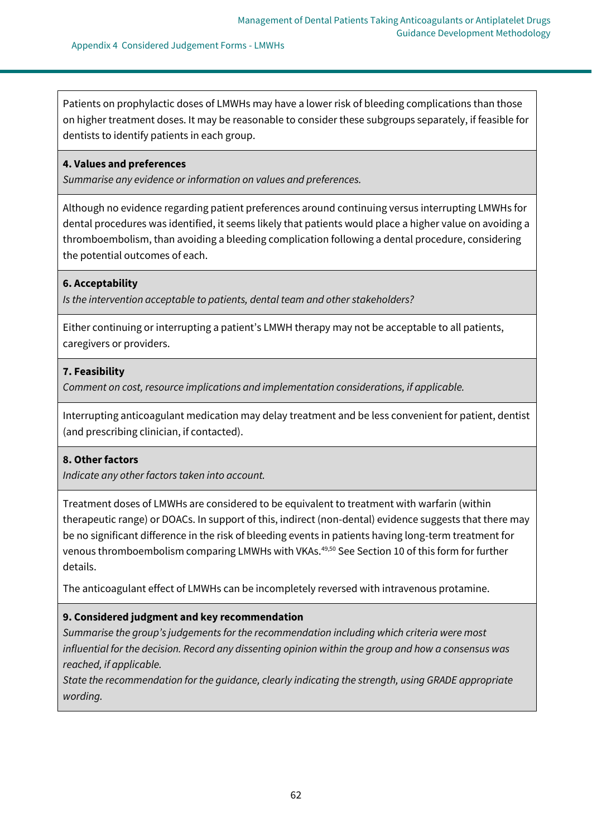Patients on prophylactic doses of LMWHs may have a lower risk of bleeding complications than those on higher treatment doses. It may be reasonable to consider these subgroups separately, if feasible for dentists to identify patients in each group.

#### **4. Values and preferences**

*Summarise any evidence or information on values and preferences.*

Although no evidence regarding patient preferences around continuing versus interrupting LMWHs for dental procedures was identified, it seems likely that patients would place a higher value on avoiding a thromboembolism, than avoiding a bleeding complication following a dental procedure, considering the potential outcomes of each.

### **6. Acceptability**

*Is the intervention acceptable to patients, dental team and other stakeholders?*

Either continuing or interrupting a patient's LMWH therapy may not be acceptable to all patients, caregivers or providers.

### **7. Feasibility**

*Comment on cost, resource implications and implementation considerations, if applicable.*

Interrupting anticoagulant medication may delay treatment and be less convenient for patient, dentist (and prescribing clinician, if contacted).

### **8. Other factors**

*Indicate any other factors taken into account.*

Treatment doses of LMWHs are considered to be equivalent to treatment with warfarin (within therapeutic range) or DOACs. In support of this, indirect (non-dental) evidence suggests that there may be no significant difference in the risk of bleeding events in patients having long-term treatment for venous thromboembolism comparing LMWHs with VKAs.<sup>49,50</sup> See Section 10 of this form for further details.

The anticoagulant effect of LMWHs can be incompletely reversed with intravenous protamine.

### **9. Considered judgment and key recommendation**

*Summarise the group's judgements for the recommendation including which criteria were most influential for the decision. Record any dissenting opinion within the group and how a consensus was reached, if applicable.*

*State the recommendation for the guidance, clearly indicating the strength, using GRADE appropriate wording.*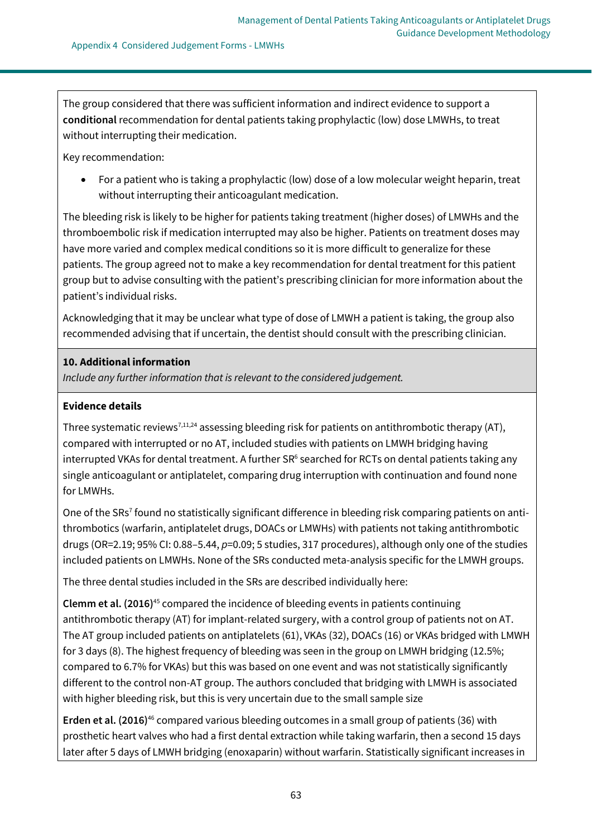The group considered that there was sufficient information and indirect evidence to support a **conditional** recommendation for dental patients taking prophylactic (low) dose LMWHs, to treat without interrupting their medication.

Key recommendation:

• For a patient who is taking a prophylactic (low) dose of a low molecular weight heparin, treat without interrupting their anticoagulant medication.

The bleeding risk is likely to be higher for patients taking treatment (higher doses) of LMWHs and the thromboembolic risk if medication interrupted may also be higher. Patients on treatment doses may have more varied and complex medical conditions so it is more difficult to generalize for these patients. The group agreed not to make a key recommendation for dental treatment for this patient group but to advise consulting with the patient's prescribing clinician for more information about the patient's individual risks.

Acknowledging that it may be unclear what type of dose of LMWH a patient is taking, the group also recommended advising that if uncertain, the dentist should consult with the prescribing clinician.

# **10. Additional information**

*Include any further information that is relevant to the considered judgement.*

# **Evidence details**

Three systematic reviews<sup>7,11,24</sup> assessing bleeding risk for patients on antithrombotic therapy (AT), compared with interrupted or no AT, included studies with patients on LMWH bridging having interrupted VKAs for dental treatment. A further SR<sup>6</sup> searched for RCTs on dental patients taking any single anticoagulant or antiplatelet, comparing drug interruption with continuation and found none for LMWHs.

One of the SRs<sup>7</sup> found no statistically significant difference in bleeding risk comparing patients on antithrombotics (warfarin, antiplatelet drugs, DOACs or LMWHs) with patients not taking antithrombotic drugs (OR=2.19; 95% CI: 0.88–5.44, *p*=0.09; 5 studies, 317 procedures), although only one of the studies included patients on LMWHs. None of the SRs conducted meta-analysis specific for the LMWH groups.

The three dental studies included in the SRs are described individually here:

**Clemm et al. (2016)**<sup>45</sup> compared the incidence of bleeding events in patients continuing antithrombotic therapy (AT) for implant-related surgery, with a control group of patients not on AT. The AT group included patients on antiplatelets (61), VKAs (32), DOACs (16) or VKAs bridged with LMWH for 3 days (8). The highest frequency of bleeding was seen in the group on LMWH bridging (12.5%; compared to 6.7% for VKAs) but this was based on one event and was not statistically significantly different to the control non-AT group. The authors concluded that bridging with LMWH is associated with higher bleeding risk, but this is very uncertain due to the small sample size

**Erden et al. (2016)**<sup>46</sup> compared various bleeding outcomes in a small group of patients (36) with prosthetic heart valves who had a first dental extraction while taking warfarin, then a second 15 days later after 5 days of LMWH bridging (enoxaparin) without warfarin. Statistically significant increases in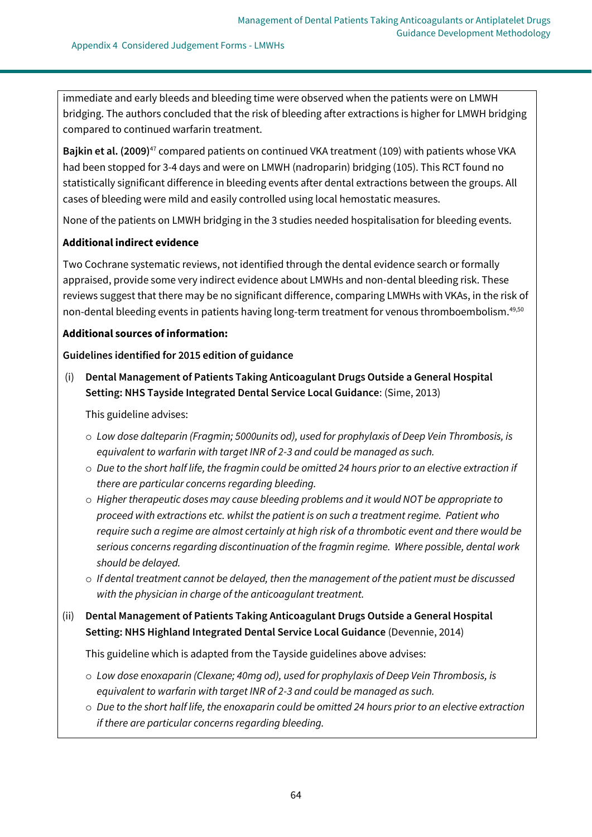immediate and early bleeds and bleeding time were observed when the patients were on LMWH bridging. The authors concluded that the risk of bleeding after extractions is higher for LMWH bridging compared to continued warfarin treatment.

**Bajkin et al. (2009)**<sup>47</sup> compared patients on continued VKA treatment (109) with patients whose VKA had been stopped for 3-4 days and were on LMWH (nadroparin) bridging (105). This RCT found no statistically significant difference in bleeding events after dental extractions between the groups. All cases of bleeding were mild and easily controlled using local hemostatic measures.

None of the patients on LMWH bridging in the 3 studies needed hospitalisation for bleeding events.

# **Additional indirect evidence**

Two Cochrane systematic reviews, not identified through the dental evidence search or formally appraised, provide some very indirect evidence about LMWHs and non-dental bleeding risk. These reviews suggest that there may be no significant difference, comparing LMWHs with VKAs, in the risk of non-dental bleeding events in patients having long-term treatment for venous thromboembolism.<sup>49,50</sup>

### **Additional sources of information:**

# **Guidelines identified for 2015 edition of guidance**

(i) **Dental Management of Patients Taking Anticoagulant Drugs Outside a General Hospital Setting: NHS Tayside Integrated Dental Service Local Guidance**: (Sime, 2013)

This guideline advises:

- o *Low dose dalteparin (Fragmin; 5000units od), used for prophylaxis of Deep Vein Thrombosis, is equivalent to warfarin with target INR of 2-3 and could be managed as such.*
- o *Due to the short half life, the fragmin could be omitted 24 hours prior to an elective extraction if there are particular concerns regarding bleeding.*
- o *Higher therapeutic doses may cause bleeding problems and it would NOT be appropriate to proceed with extractions etc. whilst the patient is on such a treatment regime. Patient who require such a regime are almost certainly at high risk of a thrombotic event and there would be serious concerns regarding discontinuation of the fragmin regime. Where possible, dental work should be delayed.*
- o *If dental treatment cannot be delayed, then the management of the patient must be discussed with the physician in charge of the anticoagulant treatment.*
- (ii) **Dental Management of Patients Taking Anticoagulant Drugs Outside a General Hospital Setting: NHS Highland Integrated Dental Service Local Guidance** (Devennie, 2014)

This guideline which is adapted from the Tayside guidelines above advises:

- o *Low dose enoxaparin (Clexane; 40mg od), used for prophylaxis of Deep Vein Thrombosis, is equivalent to warfarin with target INR of 2-3 and could be managed as such.*
- o *Due to the short half life, the enoxaparin could be omitted 24 hours prior to an elective extraction if there are particular concerns regarding bleeding.*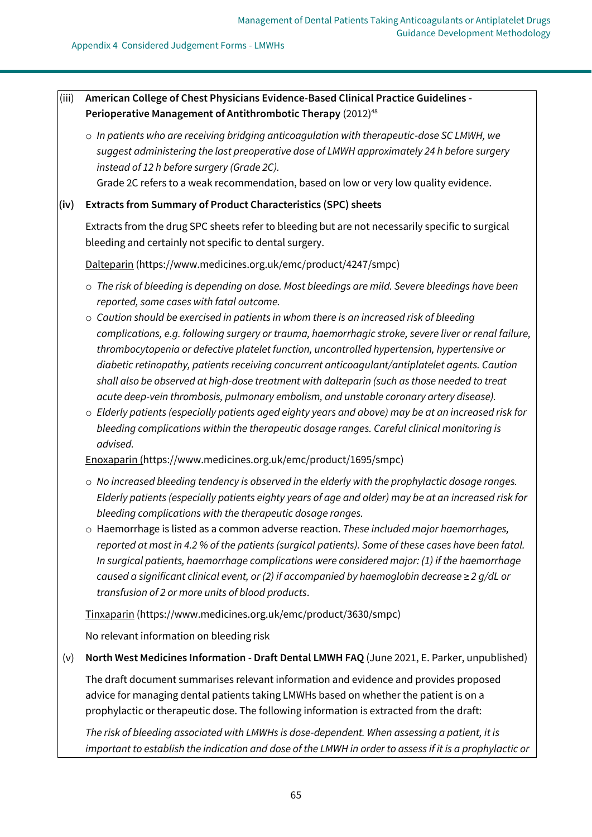# (iii) **American College of Chest Physicians Evidence-Based Clinical Practice Guidelines -** Perioperative Management of Antithrombotic Therapy (2012)<sup>48</sup>

o *In patients who are receiving bridging anticoagulation with therapeutic-dose SC LMWH, we suggest administering the last preoperative dose of LMWH approximately 24 h before surgery instead of 12 h before surgery (Grade 2C).*

Grade 2C refers to a weak recommendation, based on low or very low quality evidence.

## **(iv) Extracts from Summary of Product Characteristics (SPC) sheets**

Extracts from the drug SPC sheets refer to bleeding but are not necessarily specific to surgical bleeding and certainly not specific to dental surgery.

Dalteparin [\(https://www.medicines.org.uk/emc/product/4247/smpc\)](https://www.medicines.org.uk/emc/product/4247/smpc)

- o *The risk of bleeding is depending on dose. Most bleedings are mild. Severe bleedings have been reported, some cases with fatal outcome.*
- o *Caution should be exercised in patients in whom there is an increased risk of bleeding complications, e.g. following surgery or trauma, haemorrhagic stroke, severe liver or renal failure, thrombocytopenia or defective platelet function, uncontrolled hypertension, hypertensive or diabetic retinopathy, patients receiving concurrent anticoagulant/antiplatelet agents. Caution shall also be observed at high-dose treatment with dalteparin (such as those needed to treat acute deep-vein thrombosis, pulmonary embolism, and unstable coronary artery disease).*
- o *Elderly patients (especially patients aged eighty years and above) may be at an increased risk for bleeding complications within the therapeutic dosage ranges. Careful clinical monitoring is advised.*

Enoxaparin [\(https://www.medicines.org.uk/emc/product/1695/smpc\)](https://www.medicines.org.uk/emc/product/1695/smpc)

- o *No increased bleeding tendency is observed in the elderly with the prophylactic dosage ranges. Elderly patients (especially patients eighty years of age and older) may be at an increased risk for bleeding complications with the therapeutic dosage ranges.*
- o Haemorrhage is listed as a common adverse reaction. *These included major haemorrhages, reported at most in 4.2 % of the patients (surgical patients). Some of these cases have been fatal. In surgical patients, haemorrhage complications were considered major: (1) if the haemorrhage caused a significant clinical event, or (2) if accompanied by haemoglobin decrease ≥ 2 g/dL or transfusion of 2 or more units of blood products*.

Tinxaparin [\(https://www.medicines.org.uk/emc/product/3630/smpc\)](https://www.medicines.org.uk/emc/product/3630/smpc)

No relevant information on bleeding risk

(v) **North West Medicines Information - Draft Dental LMWH FAQ** (June 2021, E. Parker, unpublished)

The draft document summarises relevant information and evidence and provides proposed advice for managing dental patients taking LMWHs based on whether the patient is on a prophylactic or therapeutic dose. The following information is extracted from the draft:

*The risk of bleeding associated with LMWHs is dose-dependent. When assessing a patient, it is important to establish the indication and dose of the LMWH in order to assess if it is a prophylactic or*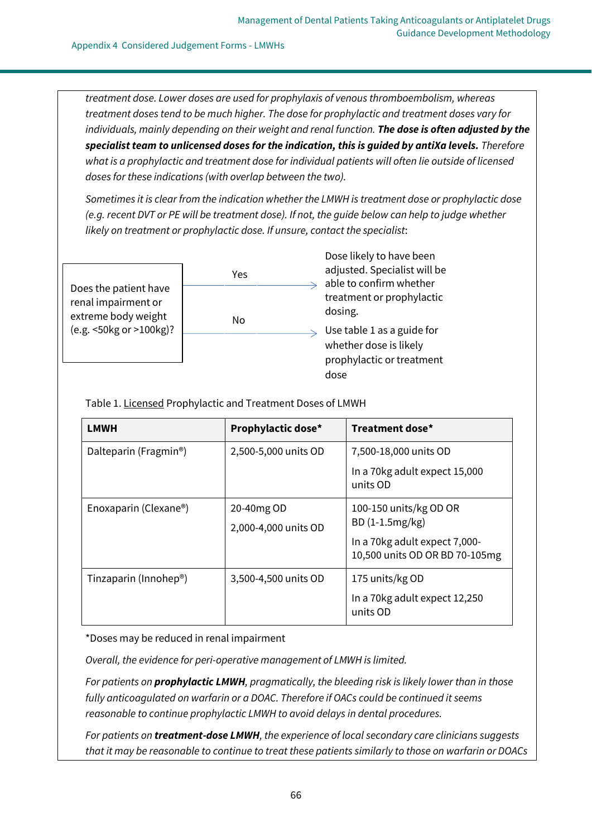*treatment dose. Lower doses are used for prophylaxis of venous thromboembolism, whereas treatment doses tend to be much higher. The dose for prophylactic and treatment doses vary for individuals, mainly depending on their weight and renal function. The dose is often adjusted by the specialist team to unlicensed doses for the indication, this is guided by antiXa levels. Therefore what is a prophylactic and treatment dose for individual patients will often lie outside of licensed doses for these indications (with overlap between the two).*

*Sometimes it is clear from the indication whether the LMWH is treatment dose or prophylactic dose (e.g. recent DVT or PE will be treatment dose). If not, the guide below can help to judge whether likely on treatment or prophylactic dose. If unsure, contact the specialist*:

Does the patient have renal impairment or extreme body weight (e.g. <50kg or >100kg)?



Dose likely to have been adjusted. Specialist will be  $\Rightarrow$  able to confirm whether treatment or prophylactic dosing. Use table 1 as a guide for whether dose is likely prophylactic or treatment dose

Table 1. Licensed Prophylactic and Treatment Doses of LMWH

| <b>LMWH</b>                        | Prophylactic dose*                 | Treatment dose*                                                                                              |
|------------------------------------|------------------------------------|--------------------------------------------------------------------------------------------------------------|
| Dalteparin (Fragmin <sup>®</sup> ) | 2,500-5,000 units OD               | 7,500-18,000 units OD<br>In a 70kg adult expect 15,000<br>units OD                                           |
| Enoxaparin (Clexane <sup>®</sup> ) | 20-40mg OD<br>2,000-4,000 units OD | 100-150 units/kg OD OR<br>BD (1-1.5mg/kg)<br>In a 70kg adult expect 7,000-<br>10,500 units OD OR BD 70-105mg |
| Tinzaparin (Innohep®)              | 3,500-4,500 units OD               | 175 units/kg OD<br>In a 70kg adult expect 12,250<br>units OD                                                 |

\*Doses may be reduced in renal impairment

*Overall, the evidence for peri-operative management of LMWH is limited.*

*For patients on prophylactic LMWH, pragmatically, the bleeding risk is likely lower than in those fully anticoagulated on warfarin or a DOAC. Therefore if OACs could be continued it seems reasonable to continue prophylactic LMWH to avoid delays in dental procedures.* 

*For patients on treatment-dose LMWH, the experience of local secondary care clinicians suggests that it may be reasonable to continue to treat these patients similarly to those on warfarin or DOACs*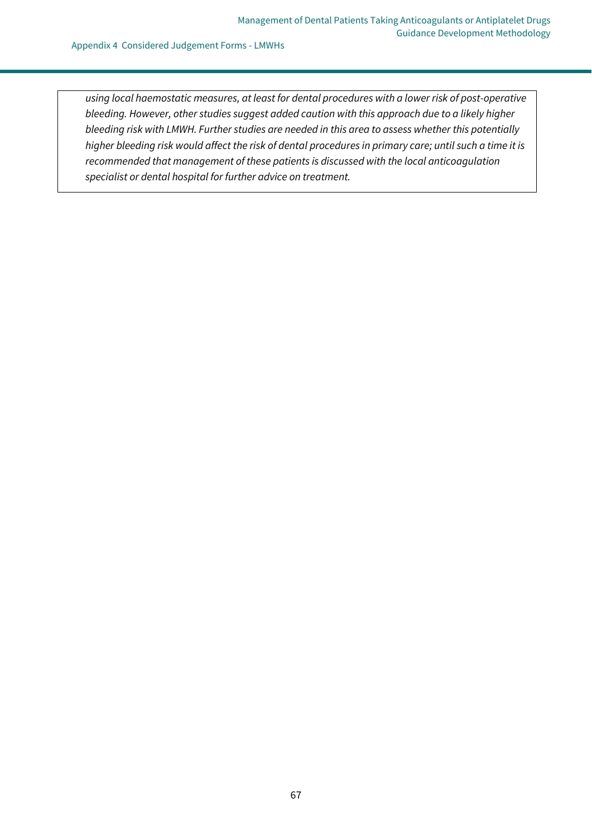Appendix 4 Considered Judgement Forms - LMWHs

*using local haemostatic measures, at least for dental procedures with a lower risk of post-operative bleeding. However, other studies suggest added caution with this approach due to a likely higher bleeding risk with LMWH. Further studies are needed in this area to assess whether this potentially higher bleeding risk would affect the risk of dental procedures in primary care; until such a time it is recommended that management of these patients is discussed with the local anticoagulation specialist or dental hospital for further advice on treatment.*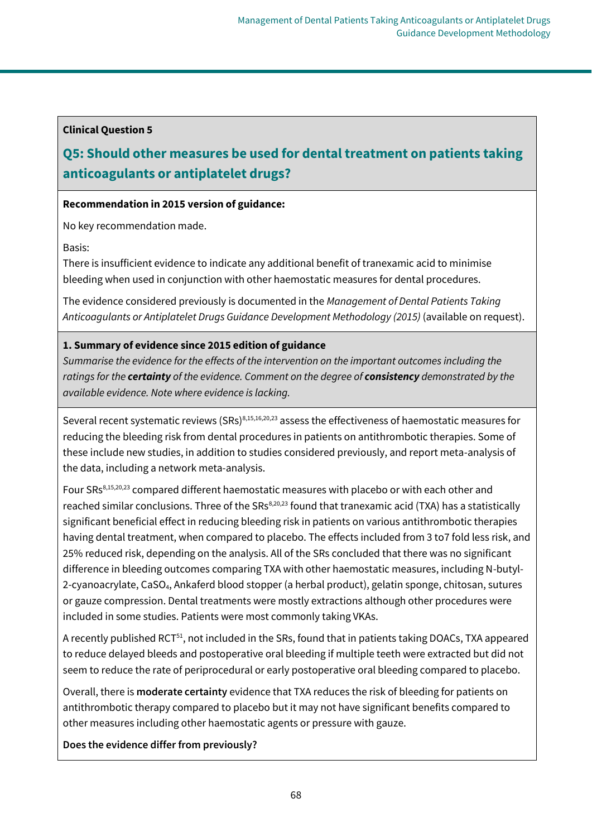# **Clinical Question 5**

# **Q5: Should other measures be used for dental treatment on patients taking anticoagulants or antiplatelet drugs?**

# **Recommendation in 2015 version of guidance:**

No key recommendation made.

Basis:

There is insufficient evidence to indicate any additional benefit of tranexamic acid to minimise bleeding when used in conjunction with other haemostatic measures for dental procedures.

The evidence considered previously is documented in the *Management of Dental Patients Taking Anticoagulants or Antiplatelet Drugs Guidance Development Methodology (2015)* (available on request).

# **1. Summary of evidence since 2015 edition of guidance**

*Summarise the evidence for the effects of the intervention on the important outcomes including the ratings for the certainty of the evidence. Comment on the degree of consistency demonstrated by the available evidence. Note where evidence is lacking.*

Several recent systematic reviews (SRs)<sup>8,15,16,20,23</sup> assess the effectiveness of haemostatic measures for reducing the bleeding risk from dental procedures in patients on antithrombotic therapies. Some of these include new studies, in addition to studies considered previously, and report meta-analysis of the data, including a network meta-analysis.

Four SRs<sup>8,15,20,23</sup> compared different haemostatic measures with placebo or with each other and reached similar conclusions. Three of the SRs<sup>8,20,23</sup> found that tranexamic acid (TXA) has a statistically significant beneficial effect in reducing bleeding risk in patients on various antithrombotic therapies having dental treatment, when compared to placebo. The effects included from 3 to7 fold less risk, and 25% reduced risk, depending on the analysis. All of the SRs concluded that there was no significant difference in bleeding outcomes comparing TXA with other haemostatic measures, including N-butyl-2-cyanoacrylate, CaSO4, Ankaferd blood stopper (a herbal product), gelatin sponge, chitosan, sutures or gauze compression. Dental treatments were mostly extractions although other procedures were included in some studies. Patients were most commonly taking VKAs.

A recently published RCT<sup>51</sup>, not included in the SRs, found that in patients taking DOACs, TXA appeared to reduce delayed bleeds and postoperative oral bleeding if multiple teeth were extracted but did not seem to reduce the rate of periprocedural or early postoperative oral bleeding compared to placebo.

Overall, there is **moderate certainty** evidence that TXA reduces the risk of bleeding for patients on antithrombotic therapy compared to placebo but it may not have significant benefits compared to other measures including other haemostatic agents or pressure with gauze.

**Does the evidence differ from previously?**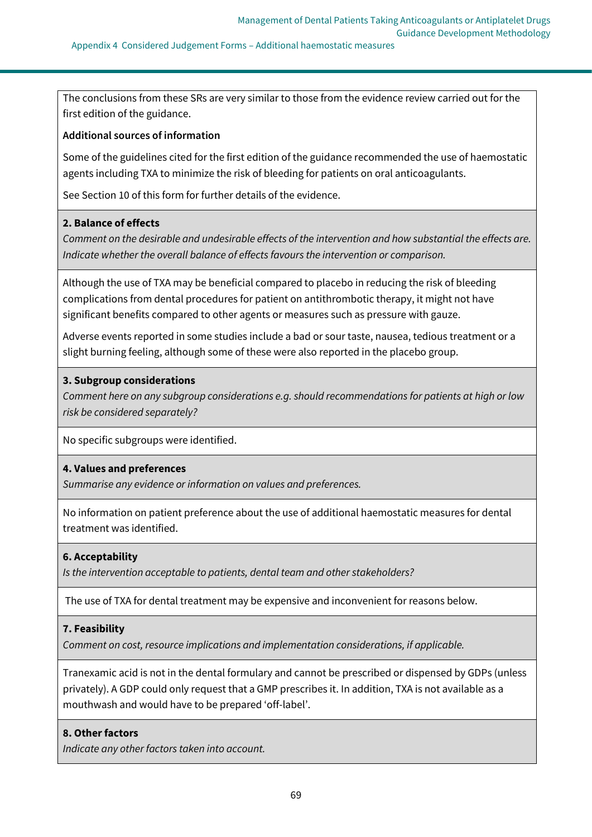Appendix 4 Considered Judgement Forms – Additional haemostatic measures

The conclusions from these SRs are very similar to those from the evidence review carried out for the first edition of the guidance.

## **Additional sources of information**

Some of the guidelines cited for the first edition of the guidance recommended the use of haemostatic agents including TXA to minimize the risk of bleeding for patients on oral anticoagulants.

See Section 10 of this form for further details of the evidence.

# **2. Balance of effects**

*Comment on the desirable and undesirable effects of the intervention and how substantial the effects are. Indicate whether the overall balance of effects favours the intervention or comparison.*

Although the use of TXA may be beneficial compared to placebo in reducing the risk of bleeding complications from dental procedures for patient on antithrombotic therapy, it might not have significant benefits compared to other agents or measures such as pressure with gauze.

Adverse events reported in some studies include a bad or sour taste, nausea, tedious treatment or a slight burning feeling, although some of these were also reported in the placebo group.

### **3. Subgroup considerations**

*Comment here on any subgroup considerations e.g. should recommendations for patients at high or low risk be considered separately?*

No specific subgroups were identified.

# **4. Values and preferences**

*Summarise any evidence or information on values and preferences.*

No information on patient preference about the use of additional haemostatic measures for dental treatment was identified.

### **6. Acceptability**

*Is the intervention acceptable to patients, dental team and other stakeholders?*

The use of TXA for dental treatment may be expensive and inconvenient for reasons below.

### **7. Feasibility**

*Comment on cost, resource implications and implementation considerations, if applicable.*

Tranexamic acid is not in the dental formulary and cannot be prescribed or dispensed by GDPs (unless privately). A GDP could only request that a GMP prescribes it. In addition, TXA is not available as a mouthwash and would have to be prepared 'off-label'.

### **8. Other factors**

*Indicate any other factors taken into account.*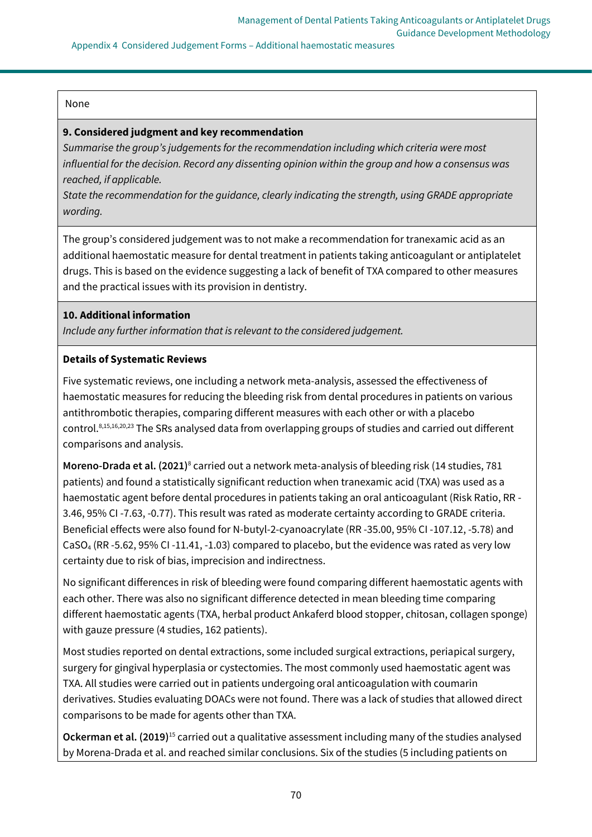Appendix 4 Considered Judgement Forms – Additional haemostatic measures

### None

### **9. Considered judgment and key recommendation**

*Summarise the group's judgements for the recommendation including which criteria were most influential for the decision. Record any dissenting opinion within the group and how a consensus was reached, if applicable.*

*State the recommendation for the guidance, clearly indicating the strength, using GRADE appropriate wording.*

The group's considered judgement was to not make a recommendation for tranexamic acid as an additional haemostatic measure for dental treatment in patients taking anticoagulant or antiplatelet drugs. This is based on the evidence suggesting a lack of benefit of TXA compared to other measures and the practical issues with its provision in dentistry.

# **10. Additional information**

*Include any further information that is relevant to the considered judgement.*

# **Details of Systematic Reviews**

Five systematic reviews, one including a network meta-analysis, assessed the effectiveness of haemostatic measures for reducing the bleeding risk from dental procedures in patients on various antithrombotic therapies, comparing different measures with each other or with a placebo control.8,15,16,20,23 The SRs analysed data from overlapping groups of studies and carried out different comparisons and analysis.

Moreno-Drada et al. (2021)<sup>8</sup> carried out a network meta-analysis of bleeding risk (14 studies, 781 patients) and found a statistically significant reduction when tranexamic acid (TXA) was used as a haemostatic agent before dental procedures in patients taking an oral anticoagulant (Risk Ratio, RR - 3.46, 95% CI -7.63, -0.77). This result was rated as moderate certainty according to GRADE criteria. Beneficial effects were also found for N-butyl-2-cyanoacrylate (RR -35.00, 95% CI -107.12, -5.78) and CaSO<sup>4</sup> (RR -5.62, 95% CI -11.41, -1.03) compared to placebo, but the evidence was rated as very low certainty due to risk of bias, imprecision and indirectness.

No significant differences in risk of bleeding were found comparing different haemostatic agents with each other. There was also no significant difference detected in mean bleeding time comparing different haemostatic agents (TXA, herbal product Ankaferd blood stopper, chitosan, collagen sponge) with gauze pressure (4 studies, 162 patients).

Most studies reported on dental extractions, some included surgical extractions, periapical surgery, surgery for gingival hyperplasia or cystectomies. The most commonly used haemostatic agent was TXA. All studies were carried out in patients undergoing oral anticoagulation with coumarin derivatives. Studies evaluating DOACs were not found. There was a lack of studies that allowed direct comparisons to be made for agents other than TXA.

**Ockerman et al. (2019)**<sup>15</sup> carried out a qualitative assessment including many of the studies analysed by Morena-Drada et al. and reached similar conclusions. Six of the studies (5 including patients on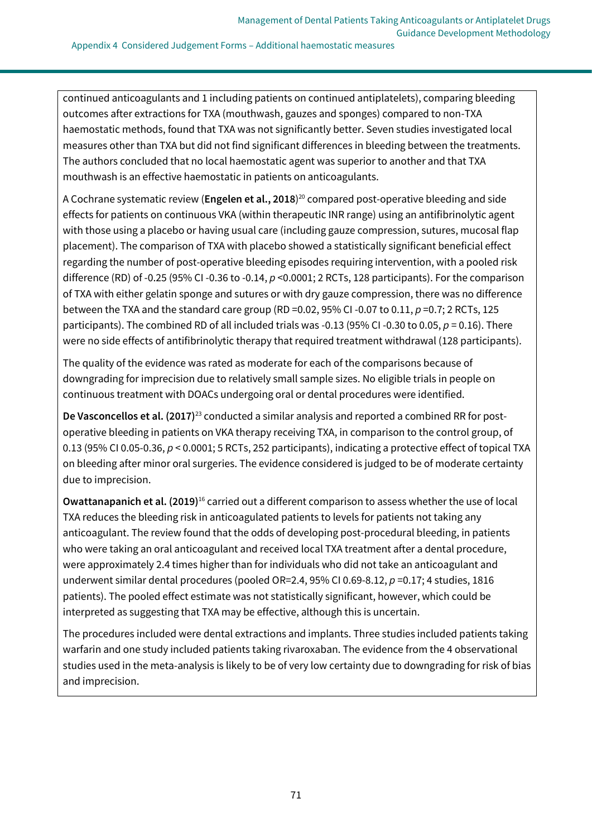continued anticoagulants and 1 including patients on continued antiplatelets), comparing bleeding outcomes after extractions for TXA (mouthwash, gauzes and sponges) compared to non-TXA haemostatic methods, found that TXA was not significantly better. Seven studies investigated local measures other than TXA but did not find significant differences in bleeding between the treatments. The authors concluded that no local haemostatic agent was superior to another and that TXA mouthwash is an effective haemostatic in patients on anticoagulants.

A Cochrane systematic review (**Engelen et al., 2018**) <sup>20</sup> compared post-operative bleeding and side effects for patients on continuous VKA (within therapeutic INR range) using an antifibrinolytic agent with those using a placebo or having usual care (including gauze compression, sutures, mucosal flap placement). The comparison of TXA with placebo showed a statistically significant beneficial effect regarding the number of post-operative bleeding episodes requiring intervention, with a pooled risk difference (RD) of -0.25 (95% CI -0.36 to -0.14, *p* <0.0001; 2 RCTs, 128 participants). For the comparison of TXA with either gelatin sponge and sutures or with dry gauze compression, there was no difference between the TXA and the standard care group (RD =0.02, 95% CI -0.07 to 0.11, *p* =0.7; 2 RCTs, 125 participants). The combined RD of all included trials was -0.13 (95% CI -0.30 to 0.05,  $p = 0.16$ ). There were no side effects of antifibrinolytic therapy that required treatment withdrawal (128 participants).

The quality of the evidence was rated as moderate for each of the comparisons because of downgrading for imprecision due to relatively small sample sizes. No eligible trials in people on continuous treatment with DOACs undergoing oral or dental procedures were identified.

**De Vasconcellos et al. (2017)**<sup>23</sup> conducted a similar analysis and reported a combined RR for postoperative bleeding in patients on VKA therapy receiving TXA, in comparison to the control group, of 0.13 (95% CI 0.05-0.36, *p* < 0.0001; 5 RCTs, 252 participants), indicating a protective effect of topical TXA on bleeding after minor oral surgeries. The evidence considered is judged to be of moderate certainty due to imprecision.

**Owattanapanich et al. (2019)**<sup>16</sup> carried out a different comparison to assess whether the use of local TXA reduces the bleeding risk in anticoagulated patients to levels for patients not taking any anticoagulant. The review found that the odds of developing post-procedural bleeding, in patients who were taking an oral anticoagulant and received local TXA treatment after a dental procedure, were approximately 2.4 times higher than for individuals who did not take an anticoagulant and underwent similar dental procedures (pooled OR=2.4, 95% CI 0.69-8.12, *p* =0.17; 4 studies, 1816 patients). The pooled effect estimate was not statistically significant, however, which could be interpreted as suggesting that TXA may be effective, although this is uncertain.

The procedures included were dental extractions and implants. Three studies included patients taking warfarin and one study included patients taking rivaroxaban. The evidence from the 4 observational studies used in the meta-analysis is likely to be of very low certainty due to downgrading for risk of bias and imprecision.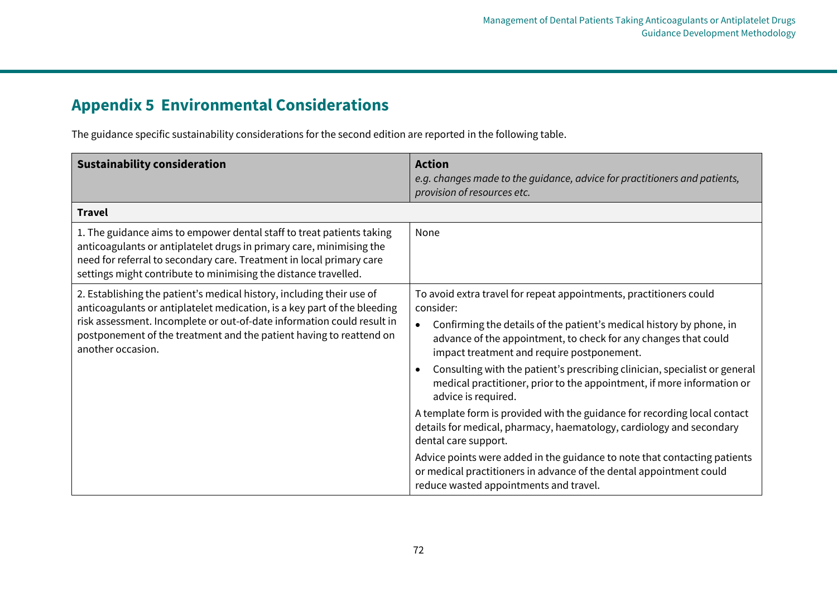## **Appendix 5 Environmental Considerations**

The guidance specific sustainability considerations for the second edition are reported in the following table.

| <b>Sustainability consideration</b>                                                                                                                                                                                                                                                                                     | <b>Action</b><br>e.g. changes made to the guidance, advice for practitioners and patients,<br>provision of resources etc.                                                                                                                                                                                                                                                                                                                                            |
|-------------------------------------------------------------------------------------------------------------------------------------------------------------------------------------------------------------------------------------------------------------------------------------------------------------------------|----------------------------------------------------------------------------------------------------------------------------------------------------------------------------------------------------------------------------------------------------------------------------------------------------------------------------------------------------------------------------------------------------------------------------------------------------------------------|
| <b>Travel</b>                                                                                                                                                                                                                                                                                                           |                                                                                                                                                                                                                                                                                                                                                                                                                                                                      |
| 1. The guidance aims to empower dental staff to treat patients taking<br>anticoagulants or antiplatelet drugs in primary care, minimising the<br>need for referral to secondary care. Treatment in local primary care<br>settings might contribute to minimising the distance travelled.                                | None                                                                                                                                                                                                                                                                                                                                                                                                                                                                 |
| 2. Establishing the patient's medical history, including their use of<br>anticoagulants or antiplatelet medication, is a key part of the bleeding<br>risk assessment. Incomplete or out-of-date information could result in<br>postponement of the treatment and the patient having to reattend on<br>another occasion. | To avoid extra travel for repeat appointments, practitioners could<br>consider:<br>Confirming the details of the patient's medical history by phone, in<br>$\bullet$<br>advance of the appointment, to check for any changes that could<br>impact treatment and require postponement.<br>Consulting with the patient's prescribing clinician, specialist or general<br>medical practitioner, prior to the appointment, if more information or<br>advice is required. |
|                                                                                                                                                                                                                                                                                                                         | A template form is provided with the guidance for recording local contact<br>details for medical, pharmacy, haematology, cardiology and secondary<br>dental care support.<br>Advice points were added in the guidance to note that contacting patients                                                                                                                                                                                                               |
|                                                                                                                                                                                                                                                                                                                         | or medical practitioners in advance of the dental appointment could<br>reduce wasted appointments and travel.                                                                                                                                                                                                                                                                                                                                                        |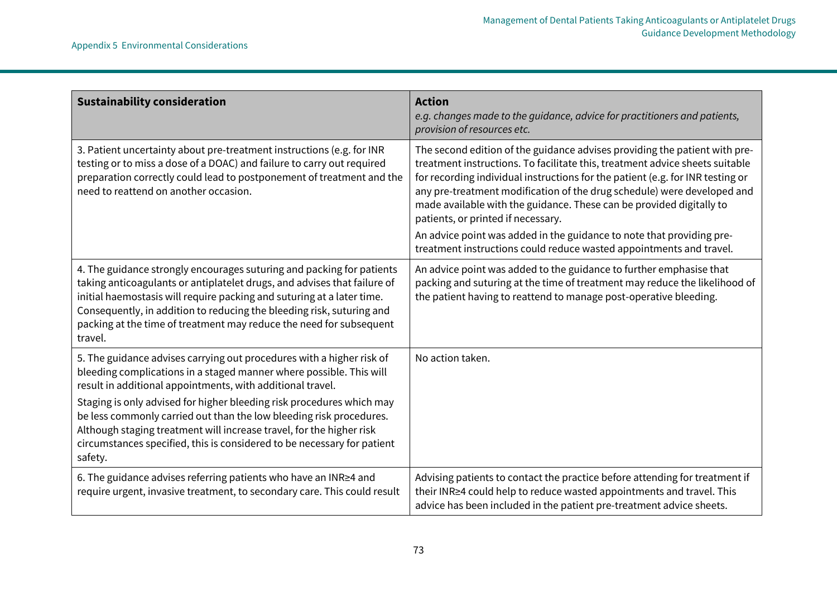| <b>Sustainability consideration</b>                                                                                                                                                                                                                                                                                                                                                    | <b>Action</b><br>e.g. changes made to the guidance, advice for practitioners and patients,<br>provision of resources etc.                                                                                                                                                                                                                                                                                                             |
|----------------------------------------------------------------------------------------------------------------------------------------------------------------------------------------------------------------------------------------------------------------------------------------------------------------------------------------------------------------------------------------|---------------------------------------------------------------------------------------------------------------------------------------------------------------------------------------------------------------------------------------------------------------------------------------------------------------------------------------------------------------------------------------------------------------------------------------|
| 3. Patient uncertainty about pre-treatment instructions (e.g. for INR<br>testing or to miss a dose of a DOAC) and failure to carry out required<br>preparation correctly could lead to postponement of treatment and the<br>need to reattend on another occasion.                                                                                                                      | The second edition of the guidance advises providing the patient with pre-<br>treatment instructions. To facilitate this, treatment advice sheets suitable<br>for recording individual instructions for the patient (e.g. for INR testing or<br>any pre-treatment modification of the drug schedule) were developed and<br>made available with the guidance. These can be provided digitally to<br>patients, or printed if necessary. |
|                                                                                                                                                                                                                                                                                                                                                                                        | An advice point was added in the guidance to note that providing pre-<br>treatment instructions could reduce wasted appointments and travel.                                                                                                                                                                                                                                                                                          |
| 4. The guidance strongly encourages suturing and packing for patients<br>taking anticoagulants or antiplatelet drugs, and advises that failure of<br>initial haemostasis will require packing and suturing at a later time.<br>Consequently, in addition to reducing the bleeding risk, suturing and<br>packing at the time of treatment may reduce the need for subsequent<br>travel. | An advice point was added to the guidance to further emphasise that<br>packing and suturing at the time of treatment may reduce the likelihood of<br>the patient having to reattend to manage post-operative bleeding.                                                                                                                                                                                                                |
| 5. The guidance advises carrying out procedures with a higher risk of<br>bleeding complications in a staged manner where possible. This will<br>result in additional appointments, with additional travel.                                                                                                                                                                             | No action taken.                                                                                                                                                                                                                                                                                                                                                                                                                      |
| Staging is only advised for higher bleeding risk procedures which may<br>be less commonly carried out than the low bleeding risk procedures.<br>Although staging treatment will increase travel, for the higher risk<br>circumstances specified, this is considered to be necessary for patient<br>safety.                                                                             |                                                                                                                                                                                                                                                                                                                                                                                                                                       |
| 6. The guidance advises referring patients who have an INR≥4 and<br>require urgent, invasive treatment, to secondary care. This could result                                                                                                                                                                                                                                           | Advising patients to contact the practice before attending for treatment if<br>their INR≥4 could help to reduce wasted appointments and travel. This<br>advice has been included in the patient pre-treatment advice sheets.                                                                                                                                                                                                          |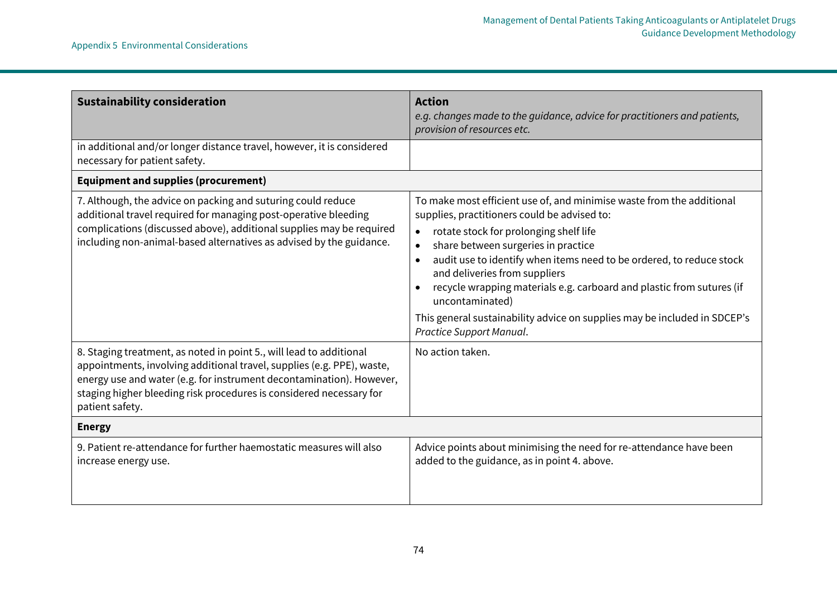| <b>Sustainability consideration</b>                                                                                                                                                                                                                                                                             | <b>Action</b><br>e.g. changes made to the guidance, advice for practitioners and patients,<br>provision of resources etc.                                                                                                                                                                                                                                                                                                                                                                                                                      |  |
|-----------------------------------------------------------------------------------------------------------------------------------------------------------------------------------------------------------------------------------------------------------------------------------------------------------------|------------------------------------------------------------------------------------------------------------------------------------------------------------------------------------------------------------------------------------------------------------------------------------------------------------------------------------------------------------------------------------------------------------------------------------------------------------------------------------------------------------------------------------------------|--|
| in additional and/or longer distance travel, however, it is considered<br>necessary for patient safety.                                                                                                                                                                                                         |                                                                                                                                                                                                                                                                                                                                                                                                                                                                                                                                                |  |
| <b>Equipment and supplies (procurement)</b>                                                                                                                                                                                                                                                                     |                                                                                                                                                                                                                                                                                                                                                                                                                                                                                                                                                |  |
| 7. Although, the advice on packing and suturing could reduce<br>additional travel required for managing post-operative bleeding<br>complications (discussed above), additional supplies may be required<br>including non-animal-based alternatives as advised by the guidance.                                  | To make most efficient use of, and minimise waste from the additional<br>supplies, practitioners could be advised to:<br>rotate stock for prolonging shelf life<br>$\bullet$<br>share between surgeries in practice<br>audit use to identify when items need to be ordered, to reduce stock<br>$\bullet$<br>and deliveries from suppliers<br>recycle wrapping materials e.g. carboard and plastic from sutures (if<br>uncontaminated)<br>This general sustainability advice on supplies may be included in SDCEP's<br>Practice Support Manual. |  |
| 8. Staging treatment, as noted in point 5., will lead to additional<br>appointments, involving additional travel, supplies (e.g. PPE), waste,<br>energy use and water (e.g. for instrument decontamination). However,<br>staging higher bleeding risk procedures is considered necessary for<br>patient safety. | No action taken.                                                                                                                                                                                                                                                                                                                                                                                                                                                                                                                               |  |
| <b>Energy</b>                                                                                                                                                                                                                                                                                                   |                                                                                                                                                                                                                                                                                                                                                                                                                                                                                                                                                |  |
| 9. Patient re-attendance for further haemostatic measures will also<br>increase energy use.                                                                                                                                                                                                                     | Advice points about minimising the need for re-attendance have been<br>added to the guidance, as in point 4. above.                                                                                                                                                                                                                                                                                                                                                                                                                            |  |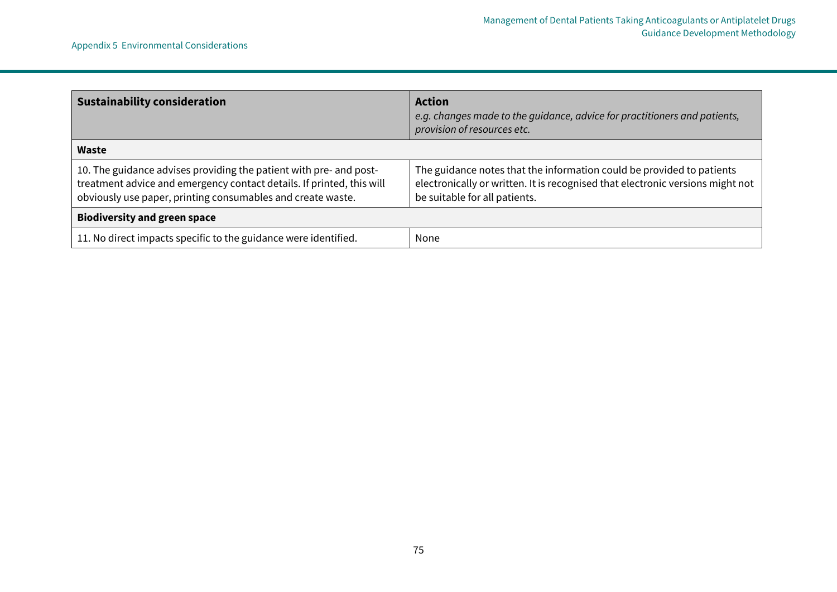| <b>Sustainability consideration</b>                                                                                                                                                                        | <b>Action</b><br>e.g. changes made to the guidance, advice for practitioners and patients,<br>provision of resources etc.                                                                |  |
|------------------------------------------------------------------------------------------------------------------------------------------------------------------------------------------------------------|------------------------------------------------------------------------------------------------------------------------------------------------------------------------------------------|--|
| Waste                                                                                                                                                                                                      |                                                                                                                                                                                          |  |
| 10. The guidance advises providing the patient with pre- and post-<br>treatment advice and emergency contact details. If printed, this will<br>obviously use paper, printing consumables and create waste. | The guidance notes that the information could be provided to patients<br>electronically or written. It is recognised that electronic versions might not<br>be suitable for all patients. |  |
| <b>Biodiversity and green space</b>                                                                                                                                                                        |                                                                                                                                                                                          |  |
| 11. No direct impacts specific to the guidance were identified.                                                                                                                                            | None                                                                                                                                                                                     |  |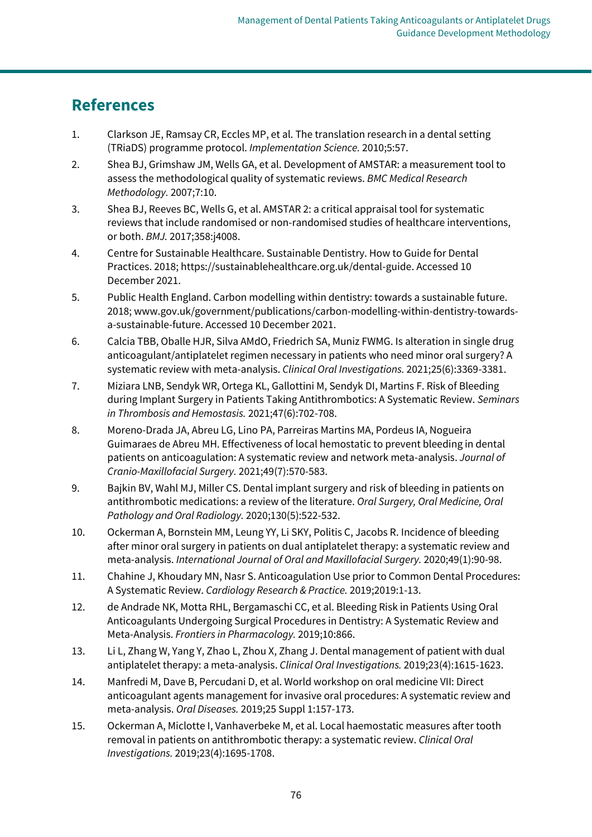## **References**

- 1. Clarkson JE, Ramsay CR, Eccles MP, et al. The translation research in a dental setting (TRiaDS) programme protocol. *Implementation Science.* 2010;5:57.
- 2. Shea BJ, Grimshaw JM, Wells GA, et al. Development of AMSTAR: a measurement tool to assess the methodological quality of systematic reviews. *BMC Medical Research Methodology.* 2007;7:10.
- 3. Shea BJ, Reeves BC, Wells G, et al. AMSTAR 2: a critical appraisal tool for systematic reviews that include randomised or non-randomised studies of healthcare interventions, or both. *BMJ.* 2017;358:j4008.
- 4. Centre for Sustainable Healthcare. Sustainable Dentistry. How to Guide for Dental Practices. 2018; [https://sustainablehealthcare.org.uk/dental-guide.](https://sustainablehealthcare.org.uk/dental-guide) Accessed 10 December 2021.
- 5. Public Health England. Carbon modelling within dentistry: towards a sustainable future. 2018; [www.gov.uk/government/publications/carbon-modelling-within-dentistry-towards](http://www.gov.uk/government/publications/carbon-modelling-within-dentistry-towards-a-sustainable-future)[a-sustainable-future.](http://www.gov.uk/government/publications/carbon-modelling-within-dentistry-towards-a-sustainable-future) Accessed 10 December 2021.
- 6. Calcia TBB, Oballe HJR, Silva AMdO, Friedrich SA, Muniz FWMG. Is alteration in single drug anticoagulant/antiplatelet regimen necessary in patients who need minor oral surgery? A systematic review with meta-analysis. *Clinical Oral Investigations.* 2021;25(6):3369-3381.
- 7. Miziara LNB, Sendyk WR, Ortega KL, Gallottini M, Sendyk DI, Martins F. Risk of Bleeding during Implant Surgery in Patients Taking Antithrombotics: A Systematic Review. *Seminars in Thrombosis and Hemostasis.* 2021;47(6):702-708.
- 8. Moreno-Drada JA, Abreu LG, Lino PA, Parreiras Martins MA, Pordeus IA, Nogueira Guimaraes de Abreu MH. Effectiveness of local hemostatic to prevent bleeding in dental patients on anticoagulation: A systematic review and network meta-analysis. *Journal of Cranio-Maxillofacial Surgery.* 2021;49(7):570-583.
- 9. Bajkin BV, Wahl MJ, Miller CS. Dental implant surgery and risk of bleeding in patients on antithrombotic medications: a review of the literature. *Oral Surgery, Oral Medicine, Oral Pathology and Oral Radiology.* 2020;130(5):522-532.
- 10. Ockerman A, Bornstein MM, Leung YY, Li SKY, Politis C, Jacobs R. Incidence of bleeding after minor oral surgery in patients on dual antiplatelet therapy: a systematic review and meta-analysis. *International Journal of Oral and Maxillofacial Surgery.* 2020;49(1):90-98.
- 11. Chahine J, Khoudary MN, Nasr S. Anticoagulation Use prior to Common Dental Procedures: A Systematic Review. *Cardiology Research & Practice.* 2019;2019:1-13.
- 12. de Andrade NK, Motta RHL, Bergamaschi CC, et al. Bleeding Risk in Patients Using Oral Anticoagulants Undergoing Surgical Procedures in Dentistry: A Systematic Review and Meta-Analysis. *Frontiers in Pharmacology.* 2019;10:866.
- 13. Li L, Zhang W, Yang Y, Zhao L, Zhou X, Zhang J. Dental management of patient with dual antiplatelet therapy: a meta-analysis. *Clinical Oral Investigations.* 2019;23(4):1615-1623.
- 14. Manfredi M, Dave B, Percudani D, et al. World workshop on oral medicine VII: Direct anticoagulant agents management for invasive oral procedures: A systematic review and meta-analysis. *Oral Diseases.* 2019;25 Suppl 1:157-173.
- 15. Ockerman A, Miclotte I, Vanhaverbeke M, et al. Local haemostatic measures after tooth removal in patients on antithrombotic therapy: a systematic review. *Clinical Oral Investigations.* 2019;23(4):1695-1708.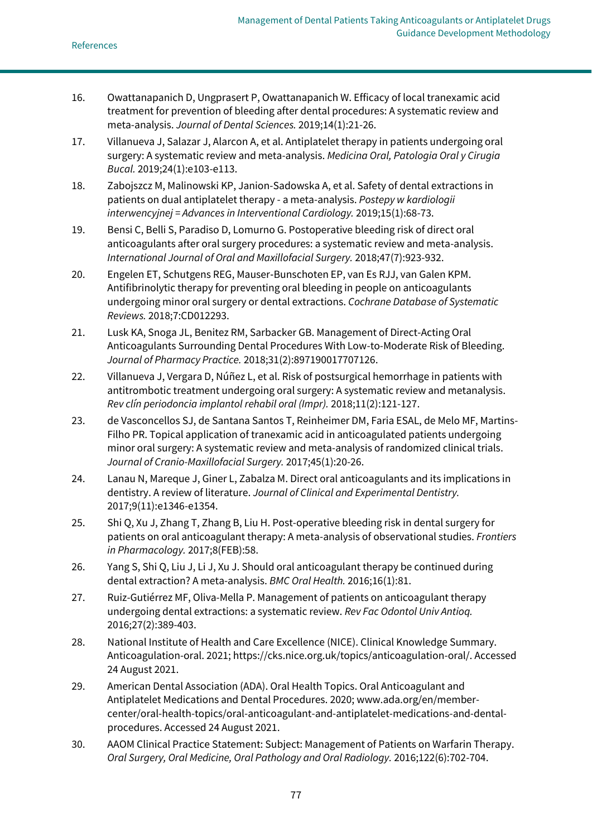- 16. Owattanapanich D, Ungprasert P, Owattanapanich W. Efficacy of local tranexamic acid treatment for prevention of bleeding after dental procedures: A systematic review and meta-analysis. *Journal of Dental Sciences.* 2019;14(1):21-26.
- 17. Villanueva J, Salazar J, Alarcon A, et al. Antiplatelet therapy in patients undergoing oral surgery: A systematic review and meta-analysis. *Medicina Oral, Patologia Oral y Cirugia Bucal.* 2019;24(1):e103-e113.
- 18. Zabojszcz M, Malinowski KP, Janion-Sadowska A, et al. Safety of dental extractions in patients on dual antiplatelet therapy - a meta-analysis. *Postepy w kardiologii interwencyjnej = Advances in Interventional Cardiology.* 2019;15(1):68-73.
- 19. Bensi C, Belli S, Paradiso D, Lomurno G. Postoperative bleeding risk of direct oral anticoagulants after oral surgery procedures: a systematic review and meta-analysis. *International Journal of Oral and Maxillofacial Surgery.* 2018;47(7):923-932.
- 20. Engelen ET, Schutgens REG, Mauser‐Bunschoten EP, van Es RJJ, van Galen KPM. Antifibrinolytic therapy for preventing oral bleeding in people on anticoagulants undergoing minor oral surgery or dental extractions. *Cochrane Database of Systematic Reviews.* 2018;7:CD012293.
- 21. Lusk KA, Snoga JL, Benitez RM, Sarbacker GB. Management of Direct-Acting Oral Anticoagulants Surrounding Dental Procedures With Low-to-Moderate Risk of Bleeding. *Journal of Pharmacy Practice.* 2018;31(2):897190017707126.
- 22. Villanueva J, Vergara D, Núñez L, et al. Risk of postsurgical hemorrhage in patients with antitrombotic treatment undergoing oral surgery: A systematic review and metanalysis. *Rev clín periodoncia implantol rehabil oral (Impr).* 2018;11(2):121-127.
- 23. de Vasconcellos SJ, de Santana Santos T, Reinheimer DM, Faria ESAL, de Melo MF, Martins-Filho PR. Topical application of tranexamic acid in anticoagulated patients undergoing minor oral surgery: A systematic review and meta-analysis of randomized clinical trials. *Journal of Cranio-Maxillofacial Surgery.* 2017;45(1):20-26.
- 24. Lanau N, Mareque J, Giner L, Zabalza M. Direct oral anticoagulants and its implications in dentistry. A review of literature. *Journal of Clinical and Experimental Dentistry.*  2017;9(11):e1346-e1354.
- 25. Shi Q, Xu J, Zhang T, Zhang B, Liu H. Post-operative bleeding risk in dental surgery for patients on oral anticoagulant therapy: A meta-analysis of observational studies. *Frontiers in Pharmacology.* 2017;8(FEB):58.
- 26. Yang S, Shi Q, Liu J, Li J, Xu J. Should oral anticoagulant therapy be continued during dental extraction? A meta-analysis. *BMC Oral Health.* 2016;16(1):81.
- 27. Ruiz-Gutiérrez MF, Oliva-Mella P. Management of patients on anticoagulant therapy undergoing dental extractions: a systematic review. *Rev Fac Odontol Univ Antioq.*  2016;27(2):389-403.
- 28. National Institute of Health and Care Excellence (NICE). Clinical Knowledge Summary. Anticoagulation-oral. 2021[; https://cks.nice.org.uk/topics/anticoagulation-oral/.](https://cks.nice.org.uk/topics/anticoagulation-oral/) Accessed 24 August 2021.
- 29. American Dental Association (ADA). Oral Health Topics. Oral Anticoagulant and Antiplatelet Medications and Dental Procedures. 2020; [www.ada.org/en/member](http://www.ada.org/en/member-center/oral-health-topics/oral-anticoagulant-and-antiplatelet-medications-and-dental-procedures)[center/oral-health-topics/oral-anticoagulant-and-antiplatelet-medications-and-dental](http://www.ada.org/en/member-center/oral-health-topics/oral-anticoagulant-and-antiplatelet-medications-and-dental-procedures)[procedures.](http://www.ada.org/en/member-center/oral-health-topics/oral-anticoagulant-and-antiplatelet-medications-and-dental-procedures) Accessed 24 August 2021.
- 30. AAOM Clinical Practice Statement: Subject: Management of Patients on Warfarin Therapy. *Oral Surgery, Oral Medicine, Oral Pathology and Oral Radiology.* 2016;122(6):702-704.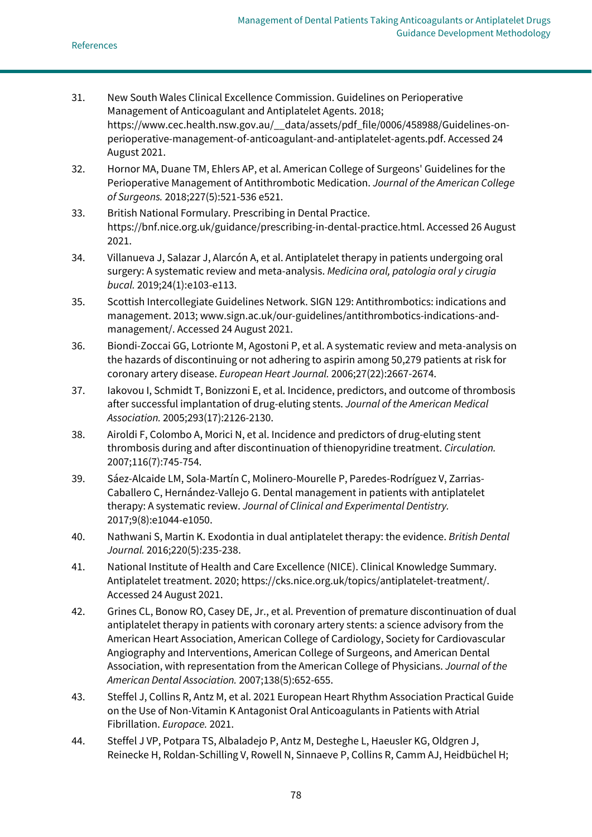- 31. New South Wales Clinical Excellence Commission. Guidelines on Perioperative Management of Anticoagulant and Antiplatelet Agents. 2018; [https://www.cec.health.nsw.gov.au/\\_\\_data/assets/pdf\\_file/0006/458988/Guidelines-on](https://www.cec.health.nsw.gov.au/__data/assets/pdf_file/0006/458988/Guidelines-on-perioperative-management-of-anticoagulant-and-antiplatelet-agents.pdf)[perioperative-management-of-anticoagulant-and-antiplatelet-agents.pdf.](https://www.cec.health.nsw.gov.au/__data/assets/pdf_file/0006/458988/Guidelines-on-perioperative-management-of-anticoagulant-and-antiplatelet-agents.pdf) Accessed 24 August 2021.
- 32. Hornor MA, Duane TM, Ehlers AP, et al. American College of Surgeons' Guidelines for the Perioperative Management of Antithrombotic Medication. *Journal of the American College of Surgeons.* 2018;227(5):521-536 e521.
- 33. British National Formulary. Prescribing in Dental Practice. [https://bnf.nice.org.uk/guidance/prescribing-in-dental-practice.html.](https://bnf.nice.org.uk/guidance/prescribing-in-dental-practice.html) Accessed 26 August 2021.
- 34. Villanueva J, Salazar J, Alarcón A, et al. Antiplatelet therapy in patients undergoing oral surgery: A systematic review and meta-analysis. *Medicina oral, patologia oral y cirugia bucal.* 2019;24(1):e103-e113.
- 35. Scottish Intercollegiate Guidelines Network. SIGN 129: Antithrombotics: indications and management. 2013[; www.sign.ac.uk/our-guidelines/antithrombotics-indications-and](http://www.sign.ac.uk/our-guidelines/antithrombotics-indications-and-management/)[management/.](http://www.sign.ac.uk/our-guidelines/antithrombotics-indications-and-management/) Accessed 24 August 2021.
- 36. Biondi-Zoccai GG, Lotrionte M, Agostoni P, et al. A systematic review and meta-analysis on the hazards of discontinuing or not adhering to aspirin among 50,279 patients at risk for coronary artery disease. *European Heart Journal.* 2006;27(22):2667-2674.
- 37. Iakovou I, Schmidt T, Bonizzoni E, et al. Incidence, predictors, and outcome of thrombosis after successful implantation of drug-eluting stents. *Journal of the American Medical Association.* 2005;293(17):2126-2130.
- 38. Airoldi F, Colombo A, Morici N, et al. Incidence and predictors of drug-eluting stent thrombosis during and after discontinuation of thienopyridine treatment. *Circulation.*  2007;116(7):745-754.
- 39. Sáez-Alcaide LM, Sola-Martín C, Molinero-Mourelle P, Paredes-Rodríguez V, Zarrias-Caballero C, Hernández-Vallejo G. Dental management in patients with antiplatelet therapy: A systematic review. *Journal of Clinical and Experimental Dentistry.*  2017;9(8):e1044-e1050.
- 40. Nathwani S, Martin K. Exodontia in dual antiplatelet therapy: the evidence. *British Dental Journal.* 2016;220(5):235-238.
- 41. National Institute of Health and Care Excellence (NICE). Clinical Knowledge Summary. Antiplatelet treatment. 2020[; https://cks.nice.org.uk/topics/antiplatelet-treatment/.](https://cks.nice.org.uk/topics/antiplatelet-treatment/) Accessed 24 August 2021.
- 42. Grines CL, Bonow RO, Casey DE, Jr., et al. Prevention of premature discontinuation of dual antiplatelet therapy in patients with coronary artery stents: a science advisory from the American Heart Association, American College of Cardiology, Society for Cardiovascular Angiography and Interventions, American College of Surgeons, and American Dental Association, with representation from the American College of Physicians. *Journal of the American Dental Association.* 2007;138(5):652-655.
- 43. Steffel J, Collins R, Antz M, et al. 2021 European Heart Rhythm Association Practical Guide on the Use of Non-Vitamin K Antagonist Oral Anticoagulants in Patients with Atrial Fibrillation. *Europace.* 2021.
- 44. Steffel J VP, Potpara TS, Albaladejo P, Antz M, Desteghe L, Haeusler KG, Oldgren J, Reinecke H, Roldan-Schilling V, Rowell N, Sinnaeve P, Collins R, Camm AJ, Heidbüchel H;